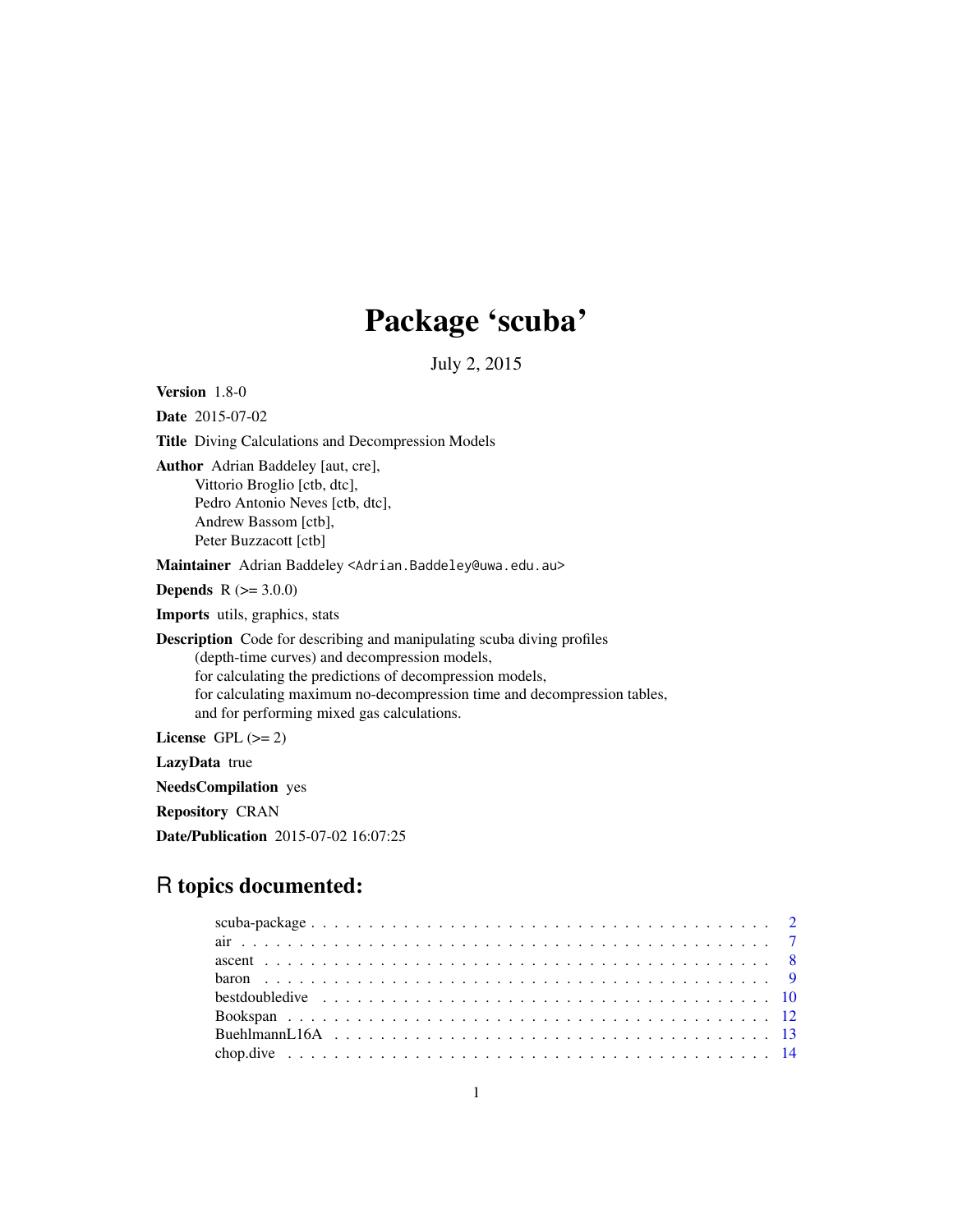## Package 'scuba'

July 2, 2015

<span id="page-0-0"></span>Version 1.8-0 Date 2015-07-02 Title Diving Calculations and Decompression Models Author Adrian Baddeley [aut, cre], Vittorio Broglio [ctb, dtc], Pedro Antonio Neves [ctb, dtc], Andrew Bassom [ctb], Peter Buzzacott [ctb] Maintainer Adrian Baddeley <Adrian.Baddeley@uwa.edu.au> **Depends** R  $(>= 3.0.0)$ Imports utils, graphics, stats Description Code for describing and manipulating scuba diving profiles (depth-time curves) and decompression models, for calculating the predictions of decompression models, for calculating maximum no-decompression time and decompression tables, and for performing mixed gas calculations. License GPL  $(>= 2)$ LazyData true NeedsCompilation yes

Repository CRAN

Date/Publication 2015-07-02 16:07:25

## R topics documented: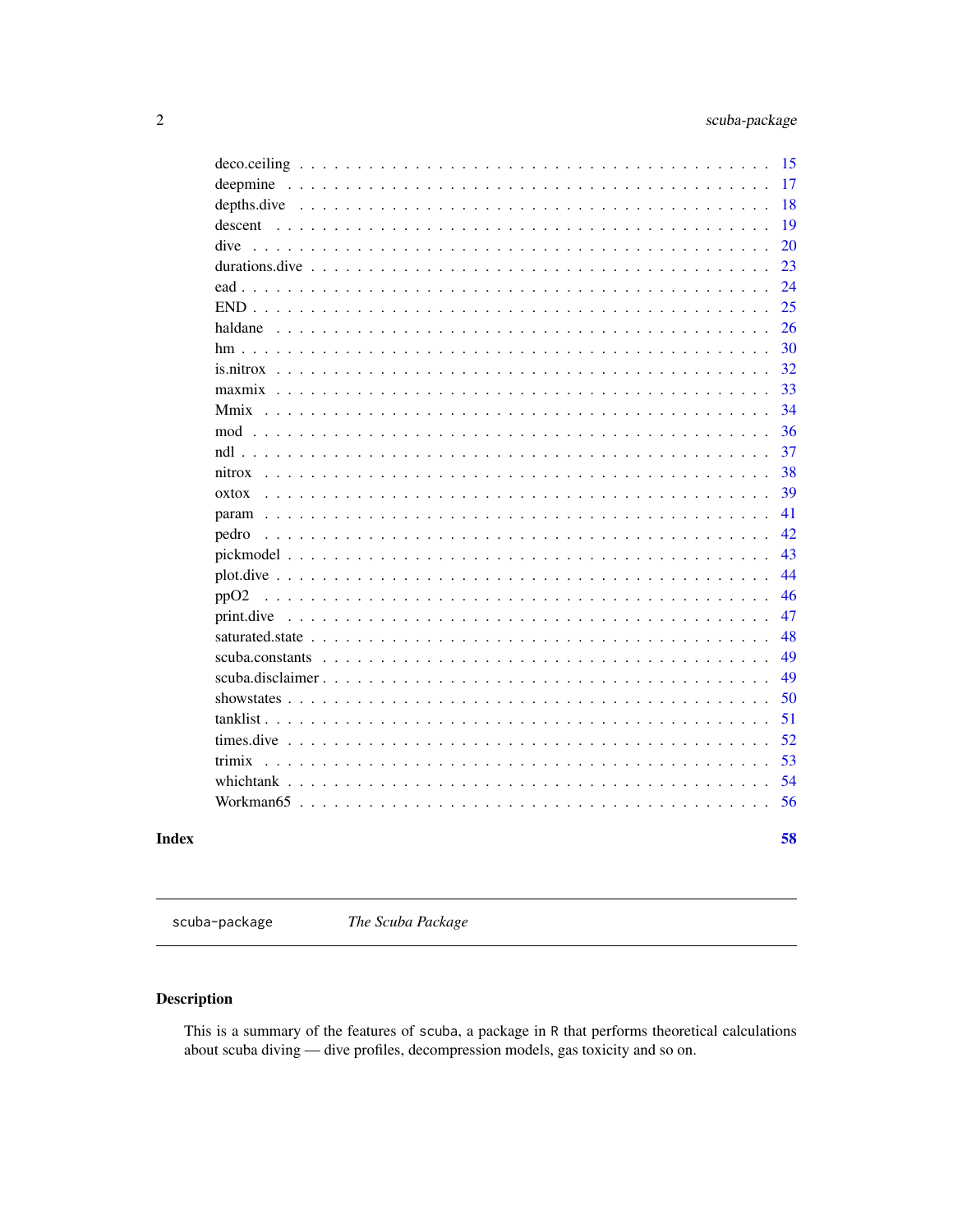<span id="page-1-0"></span>

| descent<br>dive<br>haldane $\ldots$ | 15<br>17<br>18<br>19<br>20<br>23<br>24<br>25<br>26 |
|-------------------------------------|----------------------------------------------------|
|                                     | 30                                                 |
|                                     | 32                                                 |
|                                     | 33                                                 |
|                                     | 34                                                 |
|                                     | 36                                                 |
|                                     | 37                                                 |
| nitrox                              | 38                                                 |
|                                     | 39                                                 |
| $\alpha$ xtox                       |                                                    |
|                                     | 41                                                 |
| pedro                               | 42                                                 |
|                                     | 43                                                 |
|                                     | 44                                                 |
| ppO <sub>2</sub>                    | 46                                                 |
| print.dive                          | 47                                                 |
|                                     | 48                                                 |
|                                     | 49                                                 |
|                                     | 49                                                 |
|                                     | 50                                                 |
| $tanklist \ldots \ldots$            | 51                                                 |
|                                     | 52                                                 |
| trimix                              | 53                                                 |
|                                     | 54                                                 |
|                                     | 56                                                 |
|                                     | 58                                                 |

## **Index**

scuba-package

The Scuba Package

## $\begin{minipage}{.4\linewidth} \textbf{Description} \end{minipage} \vspace{-0.5em}$

This is a summary of the features of scuba, a package in R that performs theoretical calculations about scuba diving — dive profiles, decompression models, gas toxicity and so on.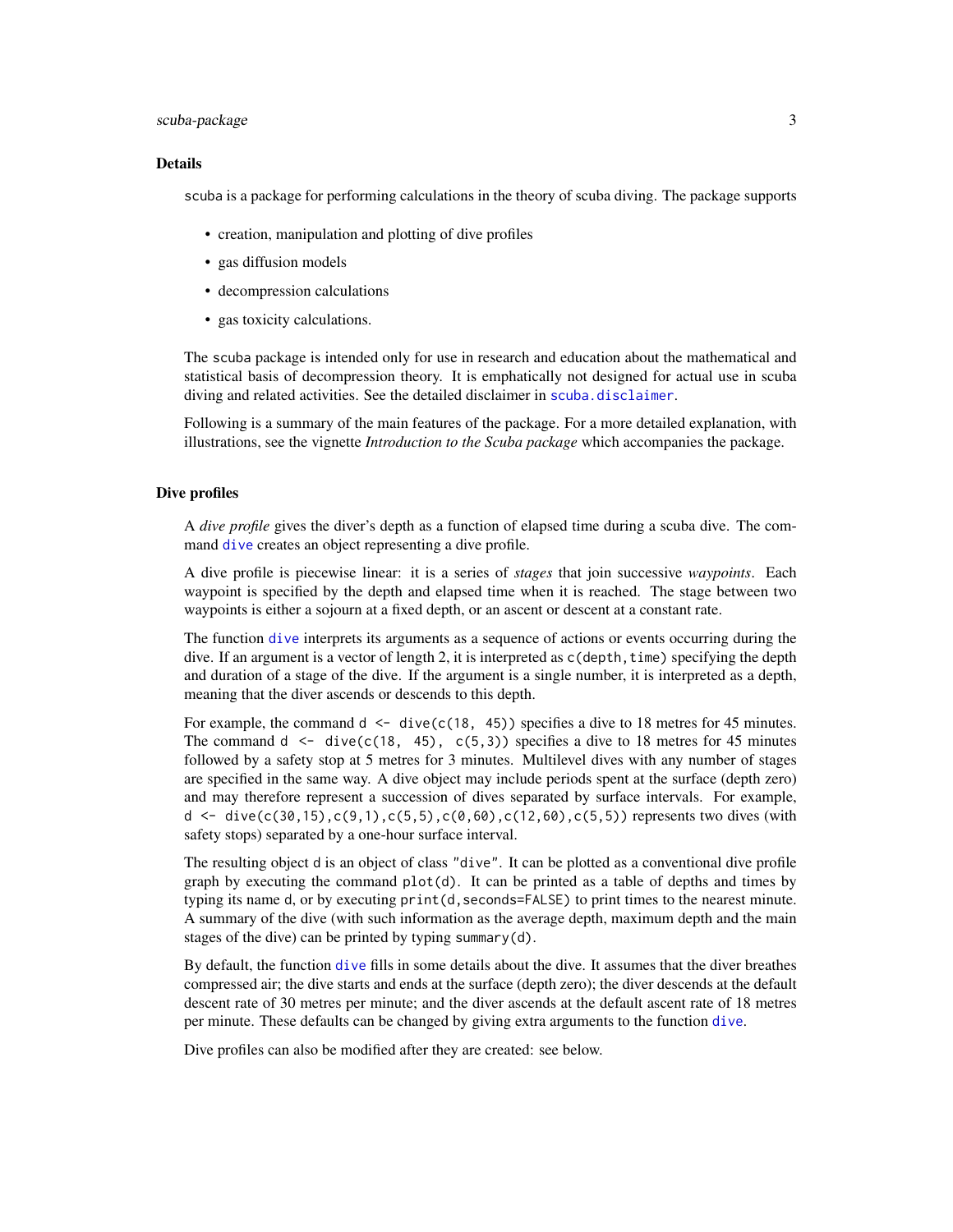## <span id="page-2-0"></span>scuba-package 3

#### Details

scuba is a package for performing calculations in the theory of scuba diving. The package supports

- creation, manipulation and plotting of dive profiles
- gas diffusion models
- decompression calculations
- gas toxicity calculations.

The scuba package is intended only for use in research and education about the mathematical and statistical basis of decompression theory. It is emphatically not designed for actual use in scuba diving and related activities. See the detailed disclaimer in [scuba.disclaimer](#page-48-1).

Following is a summary of the main features of the package. For a more detailed explanation, with illustrations, see the vignette *Introduction to the Scuba package* which accompanies the package.

#### Dive profiles

A *dive profile* gives the diver's depth as a function of elapsed time during a scuba dive. The command [dive](#page-19-1) creates an object representing a dive profile.

A dive profile is piecewise linear: it is a series of *stages* that join successive *waypoints*. Each waypoint is specified by the depth and elapsed time when it is reached. The stage between two waypoints is either a sojourn at a fixed depth, or an ascent or descent at a constant rate.

The function [dive](#page-19-1) interprets its arguments as a sequence of actions or events occurring during the dive. If an argument is a vector of length 2, it is interpreted as  $c$  (depth, time) specifying the depth and duration of a stage of the dive. If the argument is a single number, it is interpreted as a depth, meaning that the diver ascends or descends to this depth.

For example, the command  $d \leq$  dive $(c(18, 45))$  specifies a dive to 18 metres for 45 minutes. The command d  $\leq$  dive(c(18, 45), c(5,3)) specifies a dive to 18 metres for 45 minutes followed by a safety stop at 5 metres for 3 minutes. Multilevel dives with any number of stages are specified in the same way. A dive object may include periods spent at the surface (depth zero) and may therefore represent a succession of dives separated by surface intervals. For example, d  $\leq$  dive(c(30,15),c(9,1),c(5,5),c(0,60),c(12,60),c(5,5)) represents two dives (with safety stops) separated by a one-hour surface interval.

The resulting object d is an object of class "dive". It can be plotted as a conventional dive profile graph by executing the command  $plot(d)$ . It can be printed as a table of depths and times by typing its name d, or by executing print(d, seconds=FALSE) to print times to the nearest minute. A summary of the dive (with such information as the average depth, maximum depth and the main stages of the dive) can be printed by typing summary(d).

By default, the function [dive](#page-19-1) fills in some details about the dive. It assumes that the diver breathes compressed air; the dive starts and ends at the surface (depth zero); the diver descends at the default descent rate of 30 metres per minute; and the diver ascends at the default ascent rate of 18 metres per minute. These defaults can be changed by giving extra arguments to the function [dive](#page-19-1).

Dive profiles can also be modified after they are created: see below.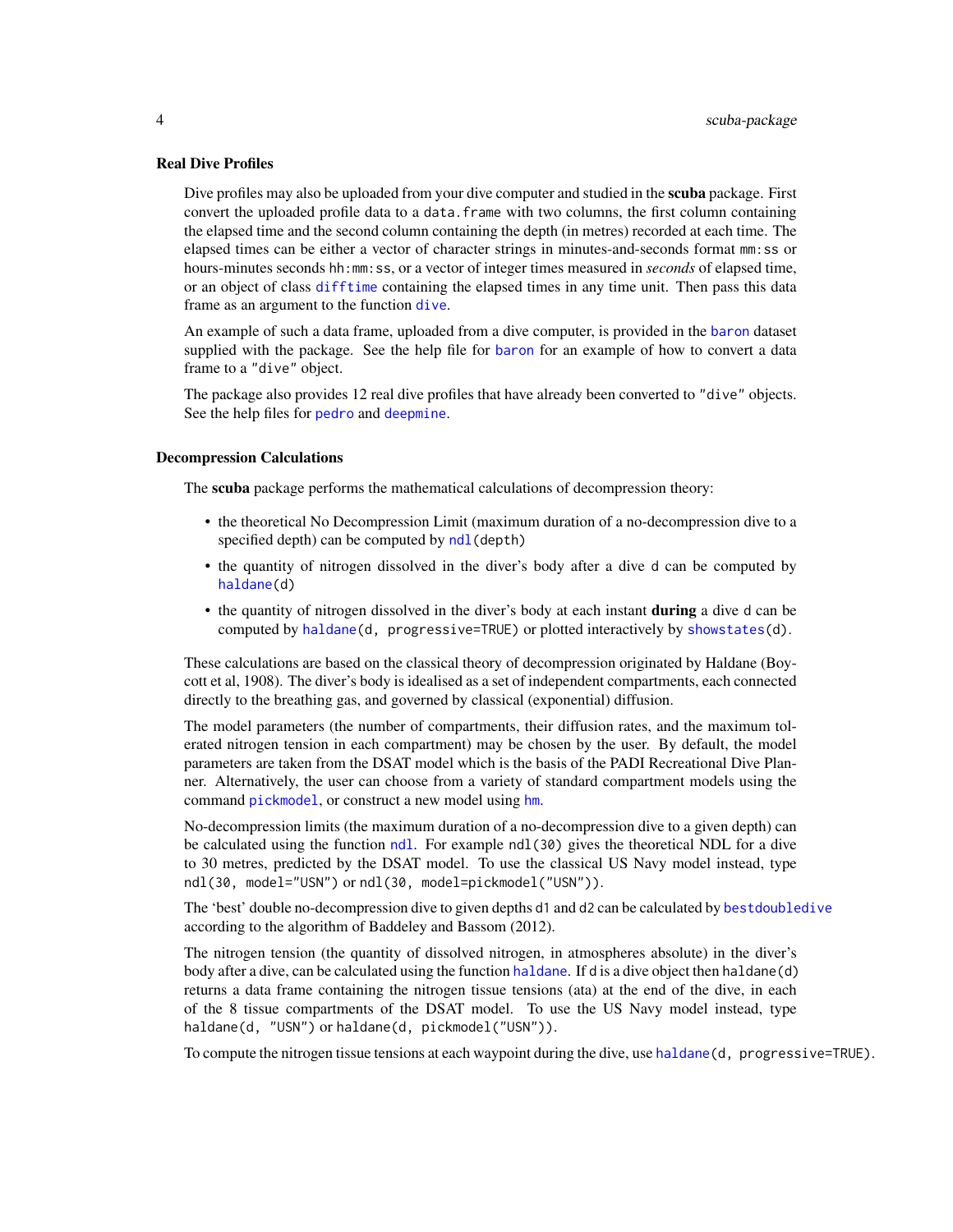#### <span id="page-3-0"></span>Real Dive Profiles

Dive profiles may also be uploaded from your dive computer and studied in the **scuba** package. First convert the uploaded profile data to a data.frame with two columns, the first column containing the elapsed time and the second column containing the depth (in metres) recorded at each time. The elapsed times can be either a vector of character strings in minutes-and-seconds format mm:ss or hours-minutes seconds hh:mm:ss, or a vector of integer times measured in *seconds* of elapsed time, or an object of class [difftime](#page-0-0) containing the elapsed times in any time unit. Then pass this data frame as an argument to the function [dive](#page-19-1).

An example of such a data frame, uploaded from a dive computer, is provided in the [baron](#page-8-1) dataset supplied with the package. See the help file for [baron](#page-8-1) for an example of how to convert a data frame to a "dive" object.

The package also provides 12 real dive profiles that have already been converted to "dive" objects. See the help files for [pedro](#page-41-1) and [deepmine](#page-16-1).

#### Decompression Calculations

The scuba package performs the mathematical calculations of decompression theory:

- the theoretical No Decompression Limit (maximum duration of a no-decompression dive to a specified depth) can be computed by ndl (depth)
- the quantity of nitrogen dissolved in the diver's body after a dive d can be computed by [haldane\(](#page-25-1)d)
- the quantity of nitrogen dissolved in the diver's body at each instant **during** a dive d can be computed by [haldane\(](#page-25-1)d, progressive=TRUE) or plotted interactively by [showstates\(](#page-49-1)d).

These calculations are based on the classical theory of decompression originated by Haldane (Boycott et al, 1908). The diver's body is idealised as a set of independent compartments, each connected directly to the breathing gas, and governed by classical (exponential) diffusion.

The model parameters (the number of compartments, their diffusion rates, and the maximum tolerated nitrogen tension in each compartment) may be chosen by the user. By default, the model parameters are taken from the DSAT model which is the basis of the PADI Recreational Dive Planner. Alternatively, the user can choose from a variety of standard compartment models using the command [pickmodel](#page-42-1), or construct a new model using [hm](#page-29-1).

No-decompression limits (the maximum duration of a no-decompression dive to a given depth) can be calculated using the function [ndl](#page-36-1). For example ndl(30) gives the theoretical NDL for a dive to 30 metres, predicted by the DSAT model. To use the classical US Navy model instead, type ndl(30, model="USN") or ndl(30, model=pickmodel("USN")).

The 'best' double no-decompression dive to given depths d1 and d2 can be calculated by [bestdoubledive](#page-9-1) according to the algorithm of Baddeley and Bassom (2012).

The nitrogen tension (the quantity of dissolved nitrogen, in atmospheres absolute) in the diver's body after a dive, can be calculated using the function [haldane](#page-25-1). If d is a dive object then haldane(d) returns a data frame containing the nitrogen tissue tensions (ata) at the end of the dive, in each of the 8 tissue compartments of the DSAT model. To use the US Navy model instead, type haldane(d, "USN") or haldane(d, pickmodel("USN")).

To compute the nitrogen tissue tensions at each waypoint during the dive, use [haldane\(](#page-25-1)d, progressive=TRUE).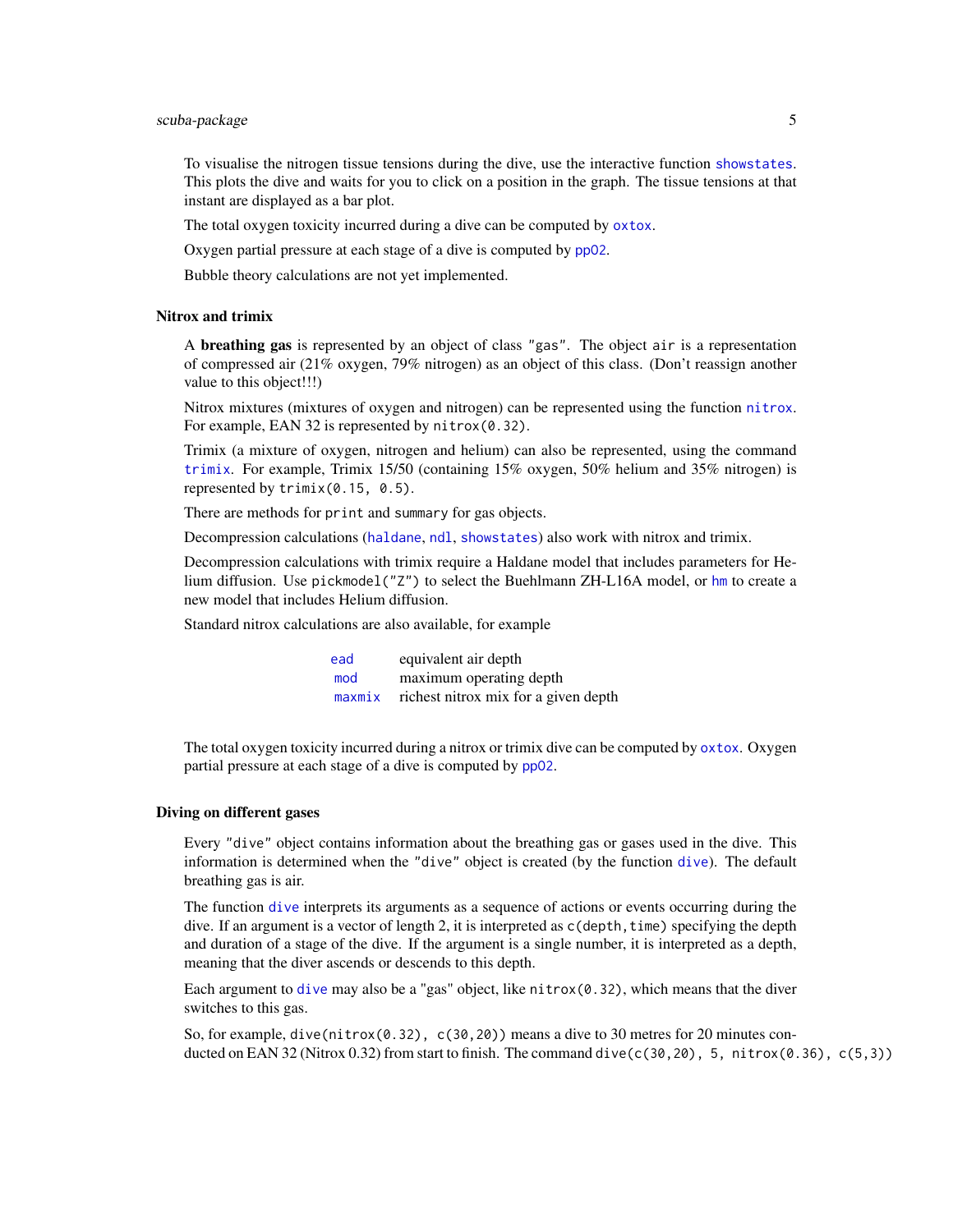## <span id="page-4-0"></span>scuba-package 5

To visualise the nitrogen tissue tensions during the dive, use the interactive function [showstates](#page-49-1). This plots the dive and waits for you to click on a position in the graph. The tissue tensions at that instant are displayed as a bar plot.

The total oxygen toxicity incurred during a dive can be computed by [oxtox](#page-38-1).

Oxygen partial pressure at each stage of a dive is computed by [ppO2](#page-45-1).

Bubble theory calculations are not yet implemented.

#### Nitrox and trimix

A **breathing gas** is represented by an object of class "gas". The object air is a representation of compressed air (21% oxygen, 79% nitrogen) as an object of this class. (Don't reassign another value to this object!!!)

Nitrox mixtures (mixtures of oxygen and nitrogen) can be represented using the function [nitrox](#page-37-1). For example, EAN 32 is represented by nitrox(0.32).

Trimix (a mixture of oxygen, nitrogen and helium) can also be represented, using the command [trimix](#page-52-1). For example, Trimix 15/50 (containing 15% oxygen, 50% helium and 35% nitrogen) is represented by trimix(0.15, 0.5).

There are methods for print and summary for gas objects.

Decompression calculations ([haldane](#page-25-1), [ndl](#page-36-1), [showstates](#page-49-1)) also work with nitrox and trimix.

Decompression calculations with trimix require a Haldane model that includes parameters for Helium diffusion. Use pickmodel("Z") to select the Buehlmann ZH-L16A model, or [hm](#page-29-1) to create a new model that includes Helium diffusion.

Standard nitrox calculations are also available, for example

| ead | equivalent air depth                        |
|-----|---------------------------------------------|
| mod | maximum operating depth                     |
|     | maxmix richest nitrox mix for a given depth |

The total oxygen toxicity incurred during a nitrox or trimix dive can be computed by [oxtox](#page-38-1). Oxygen partial pressure at each stage of a dive is computed by pp02.

#### Diving on different gases

Every "dive" object contains information about the breathing gas or gases used in the dive. This information is determined when the "dive" object is created (by the function [dive](#page-19-1)). The default breathing gas is air.

The function [dive](#page-19-1) interprets its arguments as a sequence of actions or events occurring during the dive. If an argument is a vector of length 2, it is interpreted as  $c$  (depth, time) specifying the depth and duration of a stage of the dive. If the argument is a single number, it is interpreted as a depth, meaning that the diver ascends or descends to this depth.

Each argument to [dive](#page-19-1) may also be a "gas" object, like  $n$ itrox(0.32), which means that the diver switches to this gas.

So, for example, dive(nitrox(0.32), c(30,20)) means a dive to 30 metres for 20 minutes conducted on EAN 32 (Nitrox 0.32) from start to finish. The command dive( $c(30,20)$ , 5, nitrox(0.36),  $c(5,3)$ )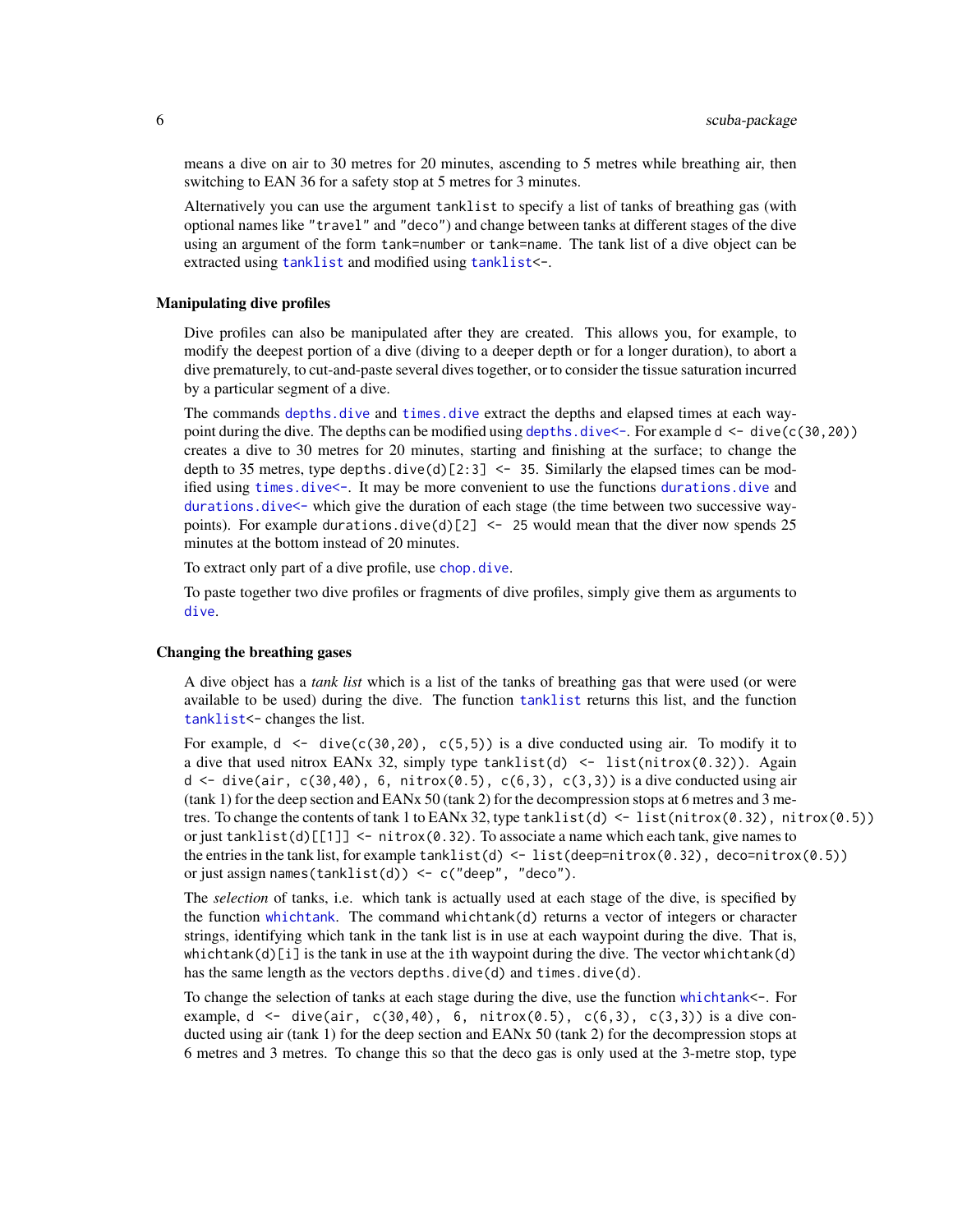means a dive on air to 30 metres for 20 minutes, ascending to 5 metres while breathing air, then switching to EAN 36 for a safety stop at 5 metres for 3 minutes.

Alternatively you can use the argument tanklist to specify a list of tanks of breathing gas (with optional names like "travel" and "deco") and change between tanks at different stages of the dive using an argument of the form tank=number or tank=name. The tank list of a dive object can be extracted using [tanklist](#page-50-1) and modified using [tanklist<](#page-50-1)-.

#### Manipulating dive profiles

Dive profiles can also be manipulated after they are created. This allows you, for example, to modify the deepest portion of a dive (diving to a deeper depth or for a longer duration), to abort a dive prematurely, to cut-and-paste several dives together, or to consider the tissue saturation incurred by a particular segment of a dive.

The commands [depths.dive](#page-17-1) and [times.dive](#page-51-1) extract the depths and elapsed times at each waypoint during the dive. The depths can be modified using depths,  $\text{div}e\langle -\text{For example } d \langle -\text{div}e(c(30, 20)) \rangle$ creates a dive to 30 metres for 20 minutes, starting and finishing at the surface; to change the depth to 35 metres, type depths.dive(d)[2:3]  $\le$  35. Similarly the elapsed times can be modified using [times.dive<-](#page-51-2). It may be more convenient to use the functions [durations.dive](#page-22-1) and durations. dive<- which give the duration of each stage (the time between two successive waypoints). For example durations.dive(d)[2]  $\le$  25 would mean that the diver now spends 25 minutes at the bottom instead of 20 minutes.

To extract only part of a dive profile, use [chop.dive](#page-13-1).

To paste together two dive profiles or fragments of dive profiles, simply give them as arguments to [dive](#page-19-1).

#### Changing the breathing gases

A dive object has a *tank list* which is a list of the tanks of breathing gas that were used (or were available to be used) during the dive. The function [tanklist](#page-50-1) returns this list, and the function [tanklist<](#page-50-1)- changes the list.

For example,  $d \leq$  dive(c(30,20), c(5,5)) is a dive conducted using air. To modify it to a dive that used nitrox EANx 32, simply type  $tanhList(d) < - list(introx(0.32))$ . Again  $d \leq -$  dive(air,  $c(30, 40)$ , 6, nitrox(0.5),  $c(6, 3)$ ,  $c(3, 3)$ ) is a dive conducted using air (tank 1) for the deep section and EANx 50 (tank 2) for the decompression stops at 6 metres and 3 metres. To change the contents of tank 1 to EANx 32, type  $t$ anklist(d) <- list(nitrox(0.32), nitrox(0.5)) or just tanklist(d) $[[1]] \le -n$  itrox(0.32). To associate a name which each tank, give names to the entries in the tank list, for example  $tanhlist(d) < -list(deep=nitrox(0.32)$ , deco=nitrox(0.5)) or just assign names(tanklist(d)) <-  $c("deep", "deco").$ 

The *selection* of tanks, i.e. which tank is actually used at each stage of the dive, is specified by the function [whichtank](#page-53-1). The command whichtank(d) returns a vector of integers or character strings, identifying which tank in the tank list is in use at each waypoint during the dive. That is, whichtank(d)[i] is the tank in use at the ith waypoint during the dive. The vector whichtank(d) has the same length as the vectors depths.dive(d) and times.dive(d).

To change the selection of tanks at each stage during the dive, use the function [whichtank<](#page-53-1)-. For example,  $d \leq$  dive(air, c(30,40), 6, nitrox(0.5), c(6,3), c(3,3)) is a dive conducted using air (tank 1) for the deep section and EANx 50 (tank 2) for the decompression stops at 6 metres and 3 metres. To change this so that the deco gas is only used at the 3-metre stop, type

<span id="page-5-0"></span>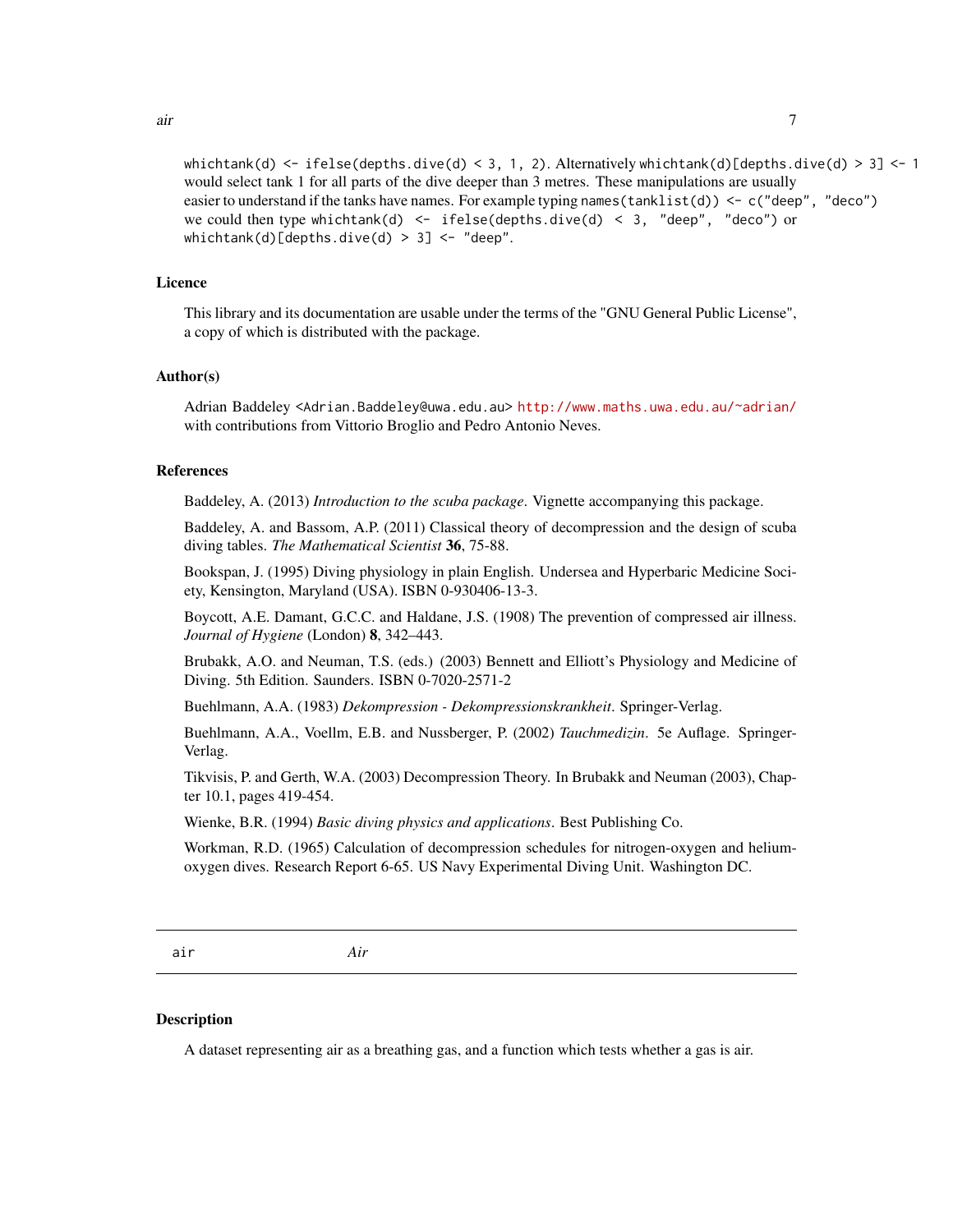<span id="page-6-0"></span>whichtank(d)  $\le$  ifelse(depths.dive(d)  $\le$  3, 1, 2). Alternatively whichtank(d)[depths.dive(d)  $>$  3]  $\le$  1 would select tank 1 for all parts of the dive deeper than 3 metres. These manipulations are usually easier to understand if the tanks have names. For example typing names ( $tanhlist(d)$ )  $\leq c$  ("deep", "deco") we could then type whichtank(d) <- ifelse(depths.dive(d) < 3, "deep", "deco") or whichtank(d)[depths.dive(d) > 3] <- "deep".

#### Licence

This library and its documentation are usable under the terms of the "GNU General Public License", a copy of which is distributed with the package.

#### Author(s)

Adrian Baddeley <Adrian.Baddeley@uwa.edu.au> <http://www.maths.uwa.edu.au/~adrian/> with contributions from Vittorio Broglio and Pedro Antonio Neves.

## References

Baddeley, A. (2013) *Introduction to the scuba package*. Vignette accompanying this package.

Baddeley, A. and Bassom, A.P. (2011) Classical theory of decompression and the design of scuba diving tables. *The Mathematical Scientist* 36, 75-88.

Bookspan, J. (1995) Diving physiology in plain English. Undersea and Hyperbaric Medicine Society, Kensington, Maryland (USA). ISBN 0-930406-13-3.

Boycott, A.E. Damant, G.C.C. and Haldane, J.S. (1908) The prevention of compressed air illness. *Journal of Hygiene* (London) 8, 342–443.

Brubakk, A.O. and Neuman, T.S. (eds.) (2003) Bennett and Elliott's Physiology and Medicine of Diving. 5th Edition. Saunders. ISBN 0-7020-2571-2

Buehlmann, A.A. (1983) *Dekompression - Dekompressionskrankheit*. Springer-Verlag.

Buehlmann, A.A., Voellm, E.B. and Nussberger, P. (2002) *Tauchmedizin*. 5e Auflage. Springer-Verlag.

Tikvisis, P. and Gerth, W.A. (2003) Decompression Theory. In Brubakk and Neuman (2003), Chapter 10.1, pages 419-454.

Wienke, B.R. (1994) *Basic diving physics and applications*. Best Publishing Co.

Workman, R.D. (1965) Calculation of decompression schedules for nitrogen-oxygen and heliumoxygen dives. Research Report 6-65. US Navy Experimental Diving Unit. Washington DC.

<span id="page-6-1"></span>air *Air*

## **Description**

A dataset representing air as a breathing gas, and a function which tests whether a gas is air.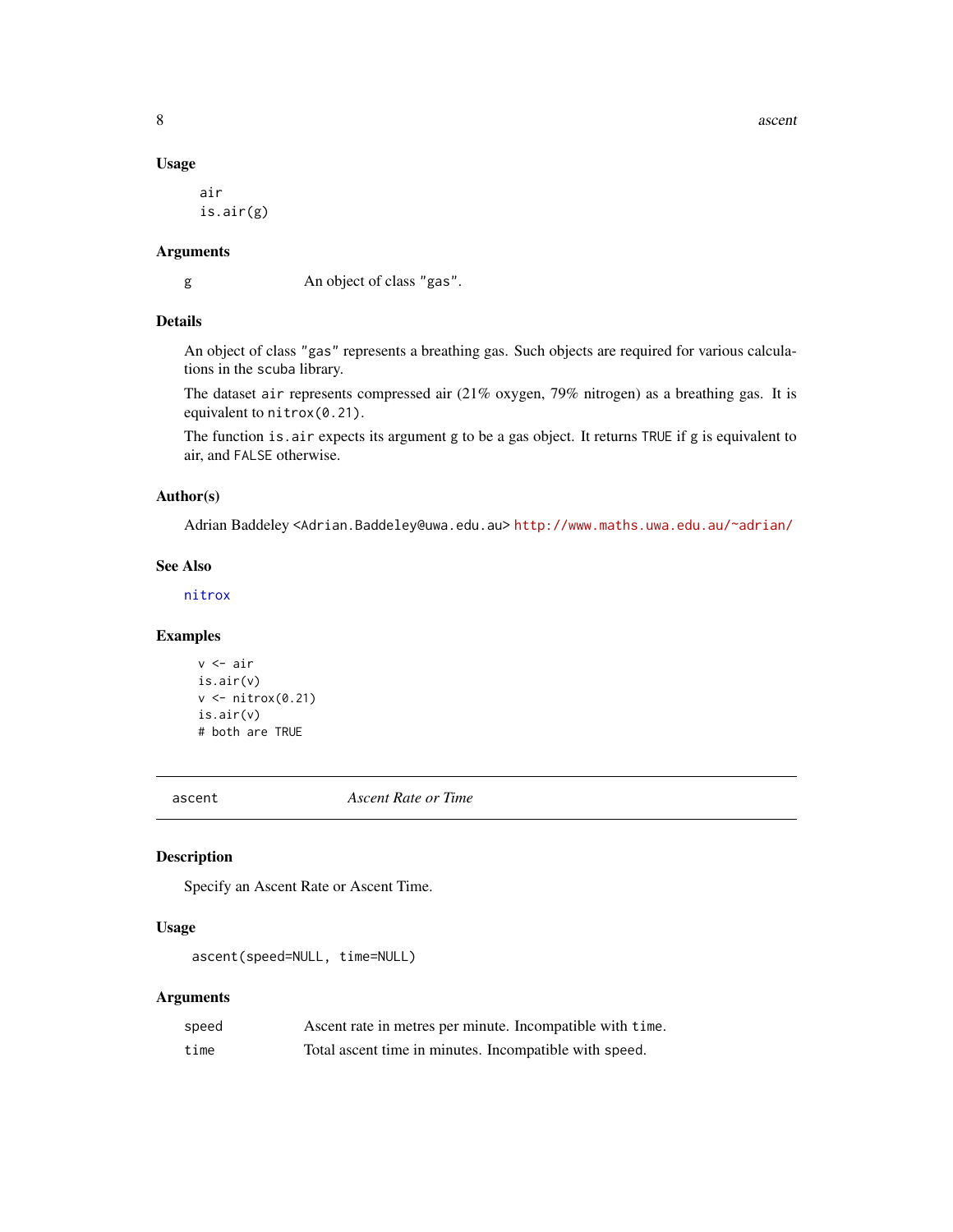8 ascenting the state of the state of the state of the state of the state of the state of the state of the state of the state of the state of the state of the state of the state of the state of the state of the state of th

## Usage

air is.air(g)

## Arguments

g An object of class "gas".

## Details

An object of class "gas" represents a breathing gas. Such objects are required for various calculations in the scuba library.

The dataset air represents compressed air (21% oxygen, 79% nitrogen) as a breathing gas. It is equivalent to nitrox(0.21).

The function is.air expects its argument g to be a gas object. It returns TRUE if g is equivalent to air, and FALSE otherwise.

## Author(s)

Adrian Baddeley <Adrian.Baddeley@uwa.edu.au> <http://www.maths.uwa.edu.au/~adrian/>

## See Also

[nitrox](#page-37-1)

## Examples

```
v <- air
is.air(v)
v <- nitrox(0.21)
is.air(v)
# both are TRUE
```
<span id="page-7-1"></span>ascent *Ascent Rate or Time*

## Description

Specify an Ascent Rate or Ascent Time.

## Usage

ascent(speed=NULL, time=NULL)

| speed | Ascent rate in metres per minute. Incompatible with time. |
|-------|-----------------------------------------------------------|
| time  | Total ascent time in minutes. Incompatible with speed.    |

<span id="page-7-0"></span>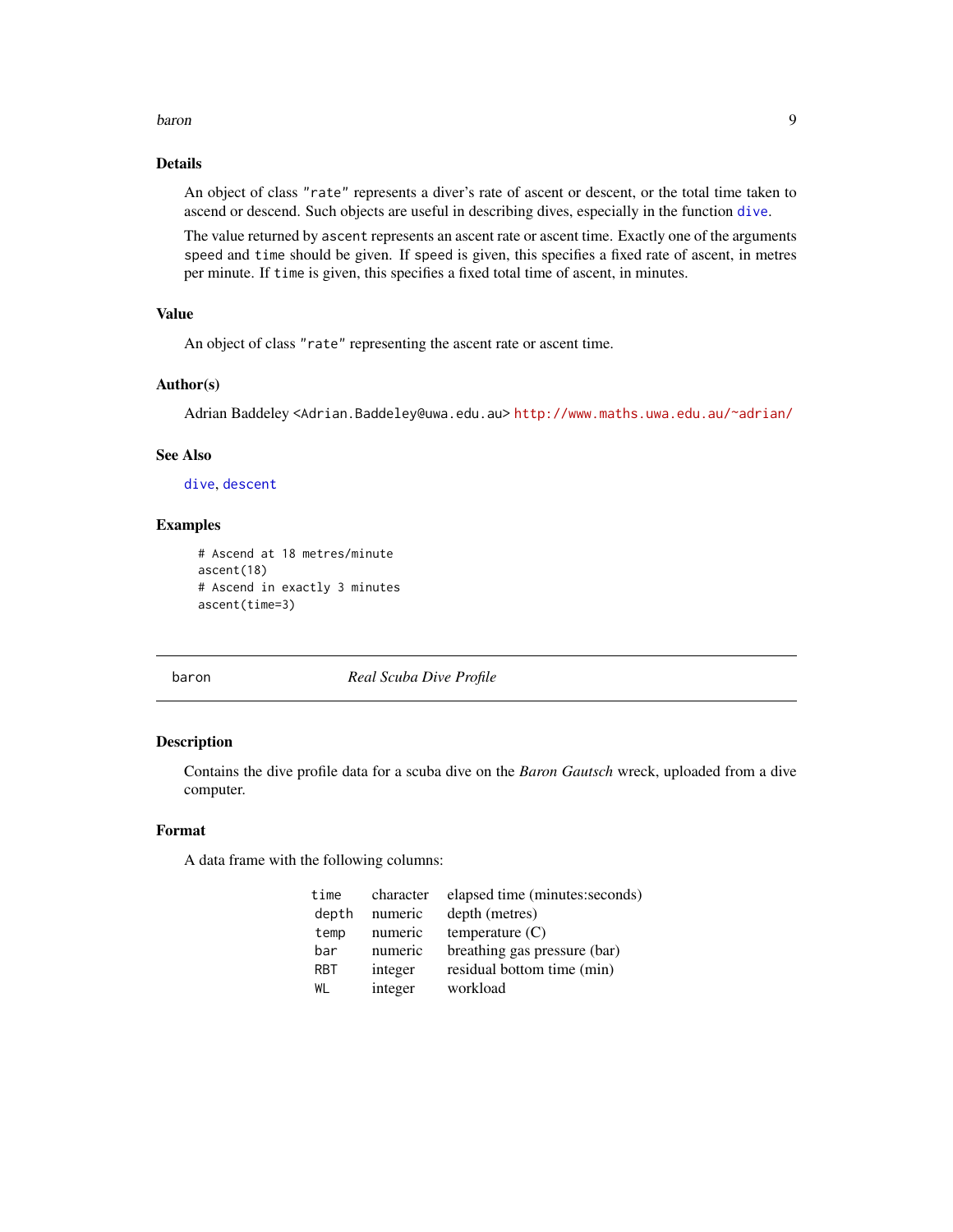#### <span id="page-8-0"></span>baron 99 and 2008 and 2008 and 2008 and 2008 and 2008 and 2008 and 2008 and 2008 and 2008 and 2008 and 2008 and 2008 and 2008 and 2008 and 2008 and 2008 and 2008 and 2008 and 2008 and 2008 and 2008 and 2008 and 2008 and 20

## Details

An object of class "rate" represents a diver's rate of ascent or descent, or the total time taken to ascend or descend. Such objects are useful in describing dives, especially in the function [dive](#page-19-1).

The value returned by ascent represents an ascent rate or ascent time. Exactly one of the arguments speed and time should be given. If speed is given, this specifies a fixed rate of ascent, in metres per minute. If time is given, this specifies a fixed total time of ascent, in minutes.

## Value

An object of class "rate" representing the ascent rate or ascent time.

#### Author(s)

Adrian Baddeley <Adrian.Baddeley@uwa.edu.au> <http://www.maths.uwa.edu.au/~adrian/>

## See Also

[dive](#page-19-1), [descent](#page-18-1)

## Examples

```
# Ascend at 18 metres/minute
ascent(18)
# Ascend in exactly 3 minutes
ascent(time=3)
```
<span id="page-8-1"></span>baron *Real Scuba Dive Profile*

#### Description

Contains the dive profile data for a scuba dive on the *Baron Gautsch* wreck, uploaded from a dive computer.

## Format

A data frame with the following columns:

| time       | character | elapsed time (minutes: seconds) |
|------------|-----------|---------------------------------|
| depth      | numeric   | depth (metres)                  |
| temp       | numeric   | temperature $(C)$               |
| bar        | numeric   | breathing gas pressure (bar)    |
| <b>RBT</b> | integer   | residual bottom time (min)      |
| WI         | integer   | workload                        |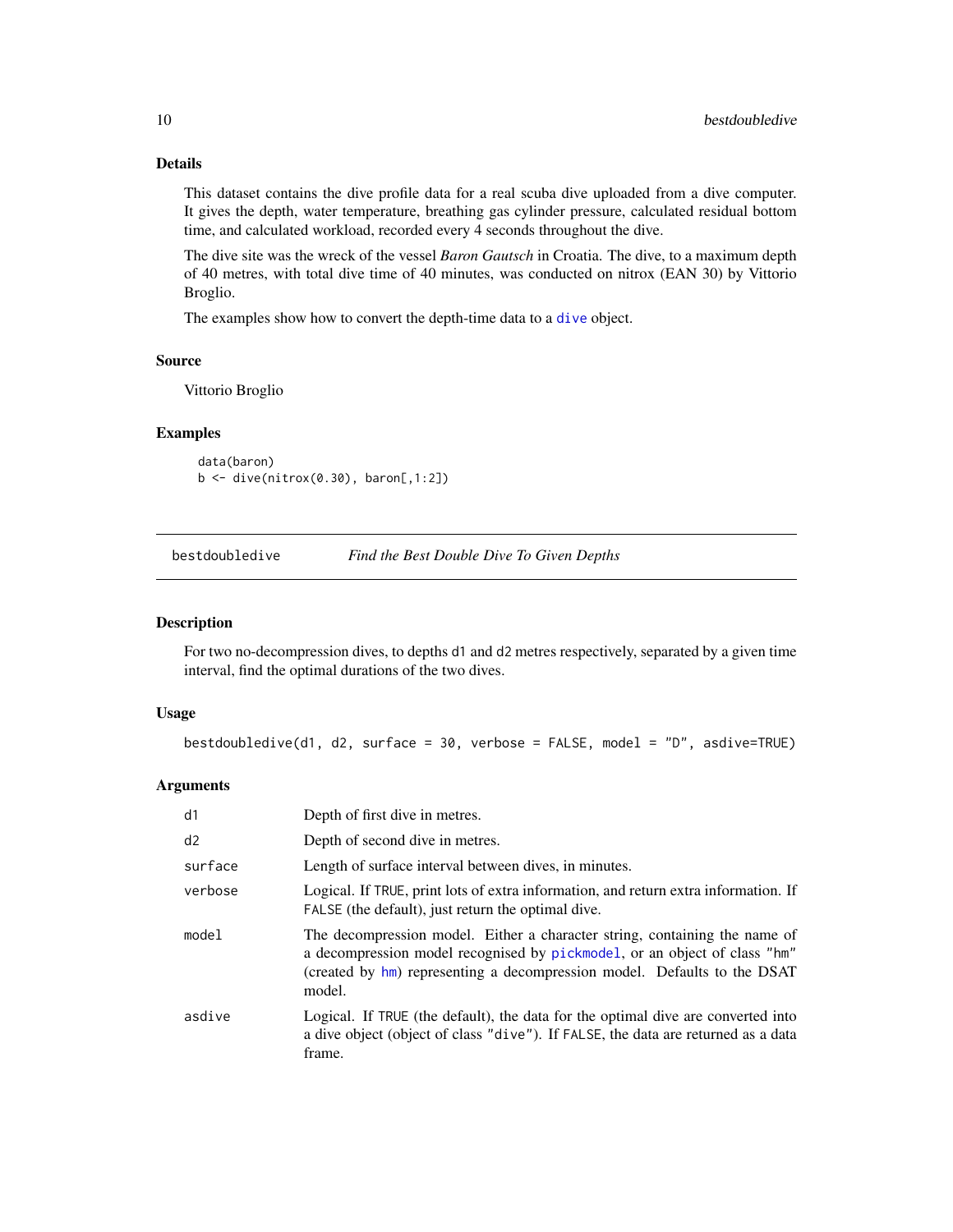## Details

This dataset contains the dive profile data for a real scuba dive uploaded from a dive computer. It gives the depth, water temperature, breathing gas cylinder pressure, calculated residual bottom time, and calculated workload, recorded every 4 seconds throughout the dive.

The dive site was the wreck of the vessel *Baron Gautsch* in Croatia. The dive, to a maximum depth of 40 metres, with total dive time of 40 minutes, was conducted on nitrox (EAN 30) by Vittorio Broglio.

The examples show how to convert the depth-time data to a [dive](#page-19-1) object.

#### Source

Vittorio Broglio

#### Examples

data(baron) b <- dive(nitrox(0.30), baron[,1:2])

<span id="page-9-1"></span>bestdoubledive *Find the Best Double Dive To Given Depths*

## Description

For two no-decompression dives, to depths d1 and d2 metres respectively, separated by a given time interval, find the optimal durations of the two dives.

#### Usage

bestdoubledive(d1, d2, surface = 30, verbose = FALSE, model = "D", asdive=TRUE)

| d1      | Depth of first dive in metres.                                                                                                                                                                                                                |
|---------|-----------------------------------------------------------------------------------------------------------------------------------------------------------------------------------------------------------------------------------------------|
| d2      | Depth of second dive in metres.                                                                                                                                                                                                               |
| surface | Length of surface interval between dives, in minutes.                                                                                                                                                                                         |
| verbose | Logical. If TRUE, print lots of extra information, and return extra information. If<br>FALSE (the default), just return the optimal dive.                                                                                                     |
| mode1   | The decompression model. Either a character string, containing the name of<br>a decompression model recognised by pickmodel, or an object of class "hm"<br>(created by hm) representing a decompression model. Defaults to the DSAT<br>model. |
| asdive  | Logical. If TRUE (the default), the data for the optimal dive are converted into<br>a dive object (object of class "dive"). If FALSE, the data are returned as a data<br>frame.                                                               |

<span id="page-9-0"></span>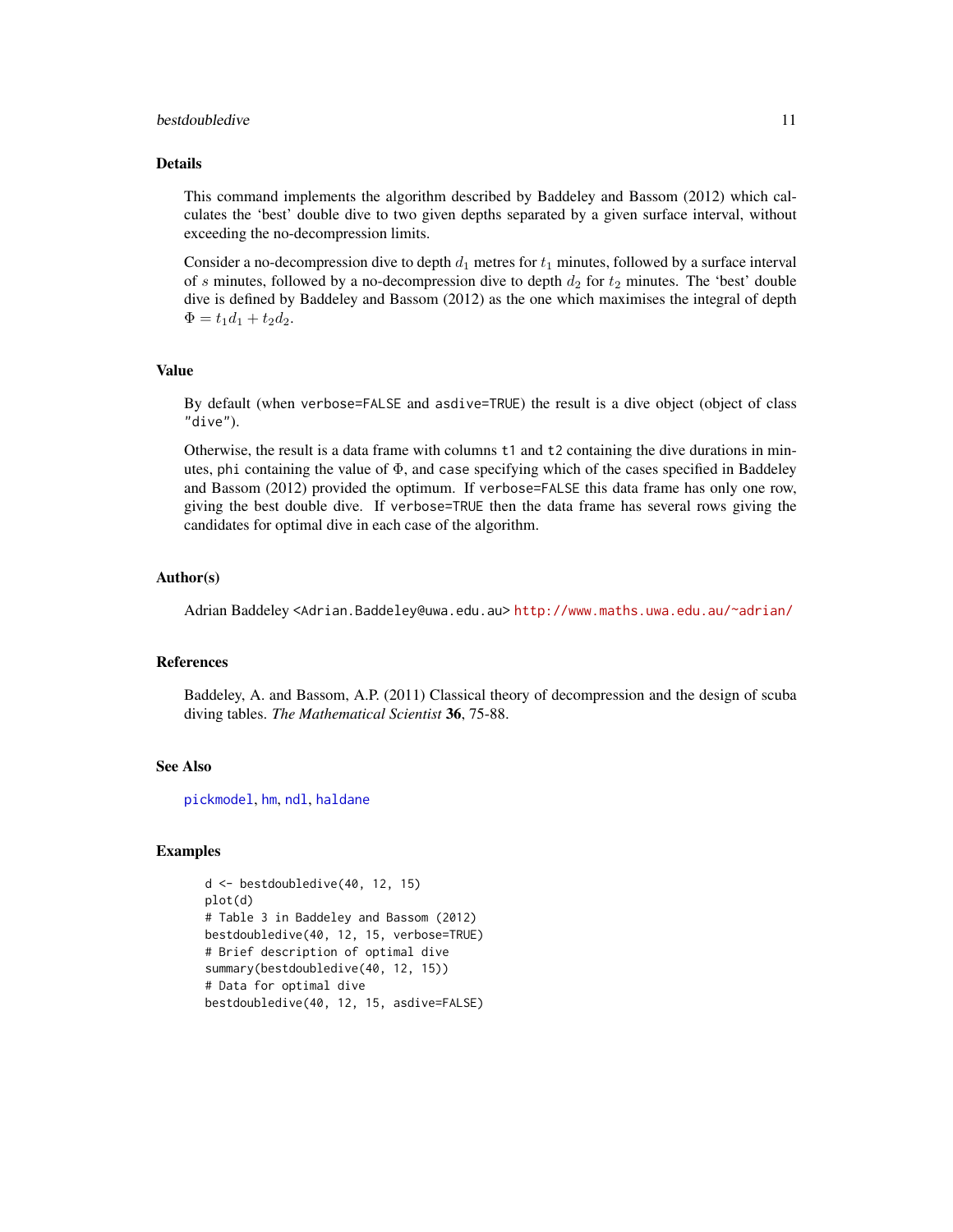## <span id="page-10-0"></span>bestdoubledive 11

#### Details

This command implements the algorithm described by Baddeley and Bassom (2012) which calculates the 'best' double dive to two given depths separated by a given surface interval, without exceeding the no-decompression limits.

Consider a no-decompression dive to depth  $d_1$  metres for  $t_1$  minutes, followed by a surface interval of s minutes, followed by a no-decompression dive to depth  $d_2$  for  $t_2$  minutes. The 'best' double dive is defined by Baddeley and Bassom (2012) as the one which maximises the integral of depth  $\Phi = t_1d_1 + t_2d_2.$ 

## Value

By default (when verbose=FALSE and asdive=TRUE) the result is a dive object (object of class "dive").

Otherwise, the result is a data frame with columns t1 and t2 containing the dive durations in minutes, phi containing the value of  $\Phi$ , and case specifying which of the cases specified in Baddeley and Bassom (2012) provided the optimum. If verbose=FALSE this data frame has only one row, giving the best double dive. If verbose=TRUE then the data frame has several rows giving the candidates for optimal dive in each case of the algorithm.

#### Author(s)

Adrian Baddeley <Adrian.Baddeley@uwa.edu.au> <http://www.maths.uwa.edu.au/~adrian/>

#### References

Baddeley, A. and Bassom, A.P. (2011) Classical theory of decompression and the design of scuba diving tables. *The Mathematical Scientist* 36, 75-88.

## See Also

[pickmodel](#page-42-1), [hm](#page-29-1), [ndl](#page-36-1), [haldane](#page-25-1)

```
d <- bestdoubledive(40, 12, 15)
plot(d)
# Table 3 in Baddeley and Bassom (2012)
bestdoubledive(40, 12, 15, verbose=TRUE)
# Brief description of optimal dive
summary(bestdoubledive(40, 12, 15))
# Data for optimal dive
bestdoubledive(40, 12, 15, asdive=FALSE)
```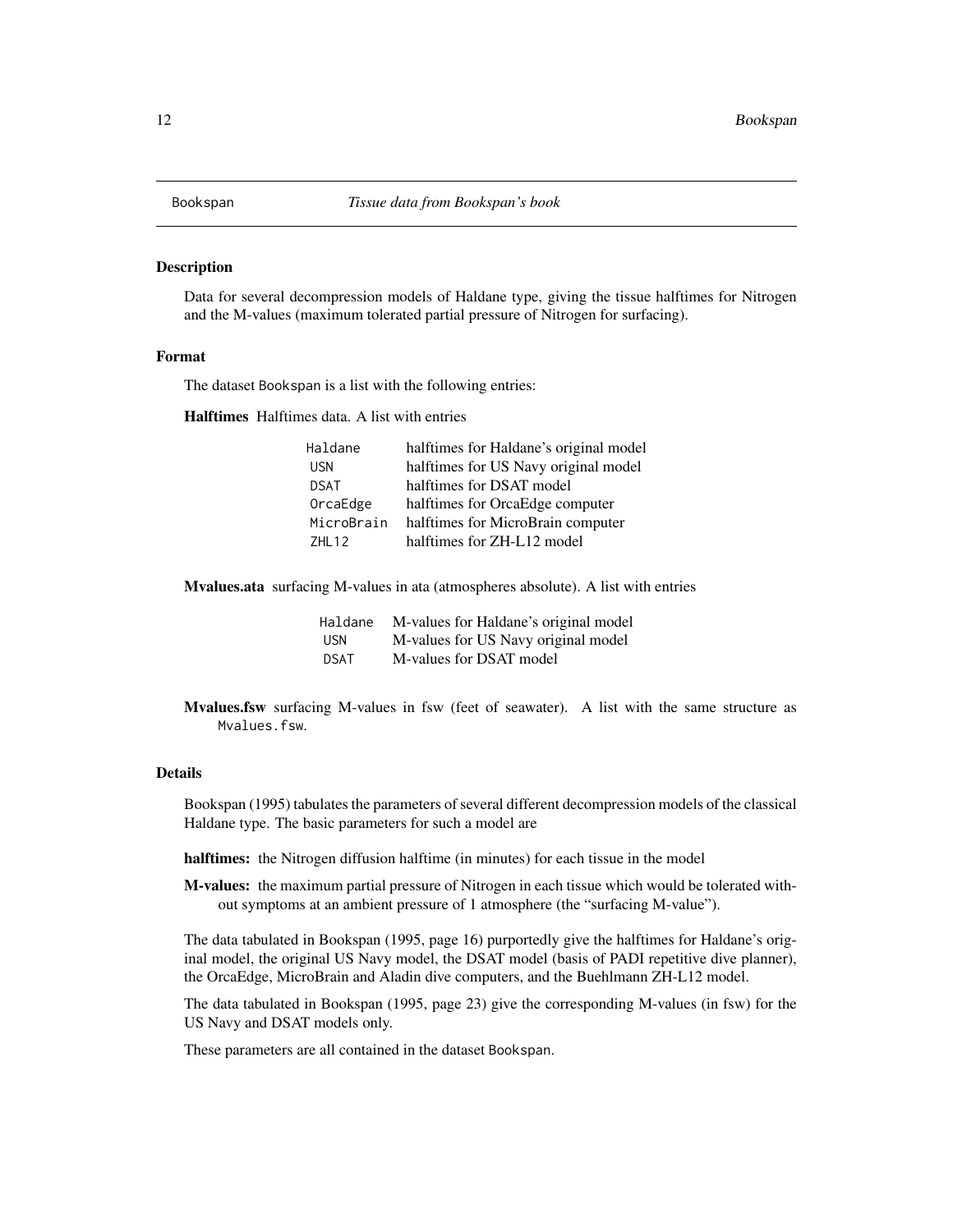<span id="page-11-0"></span>

#### Description

Data for several decompression models of Haldane type, giving the tissue halftimes for Nitrogen and the M-values (maximum tolerated partial pressure of Nitrogen for surfacing).

#### Format

The dataset Bookspan is a list with the following entries:

Halftimes Halftimes data. A list with entries

| Haldane     | halftimes for Haldane's original model |
|-------------|----------------------------------------|
| <b>USN</b>  | halftimes for US Navy original model   |
| <b>DSAT</b> | halftimes for DSAT model               |
| OrcaEdge    | halftimes for OrcaEdge computer        |
| MicroBrain  | halftimes for MicroBrain computer      |
| 7HI 12      | halftimes for ZH-L12 model             |

Mvalues.ata surfacing M-values in ata (atmospheres absolute). A list with entries

| Haldane    | M-values for Haldane's original model |
|------------|---------------------------------------|
| <b>USN</b> | M-values for US Navy original model   |
| DSAT       | M-values for DSAT model               |

Mvalues.fsw surfacing M-values in fsw (feet of seawater). A list with the same structure as Mvalues.fsw.

#### Details

Bookspan (1995) tabulates the parameters of several different decompression models of the classical Haldane type. The basic parameters for such a model are

halftimes: the Nitrogen diffusion halftime (in minutes) for each tissue in the model

M-values: the maximum partial pressure of Nitrogen in each tissue which would be tolerated without symptoms at an ambient pressure of 1 atmosphere (the "surfacing M-value").

The data tabulated in Bookspan (1995, page 16) purportedly give the halftimes for Haldane's original model, the original US Navy model, the DSAT model (basis of PADI repetitive dive planner), the OrcaEdge, MicroBrain and Aladin dive computers, and the Buehlmann ZH-L12 model.

The data tabulated in Bookspan (1995, page 23) give the corresponding M-values (in fsw) for the US Navy and DSAT models only.

These parameters are all contained in the dataset Bookspan.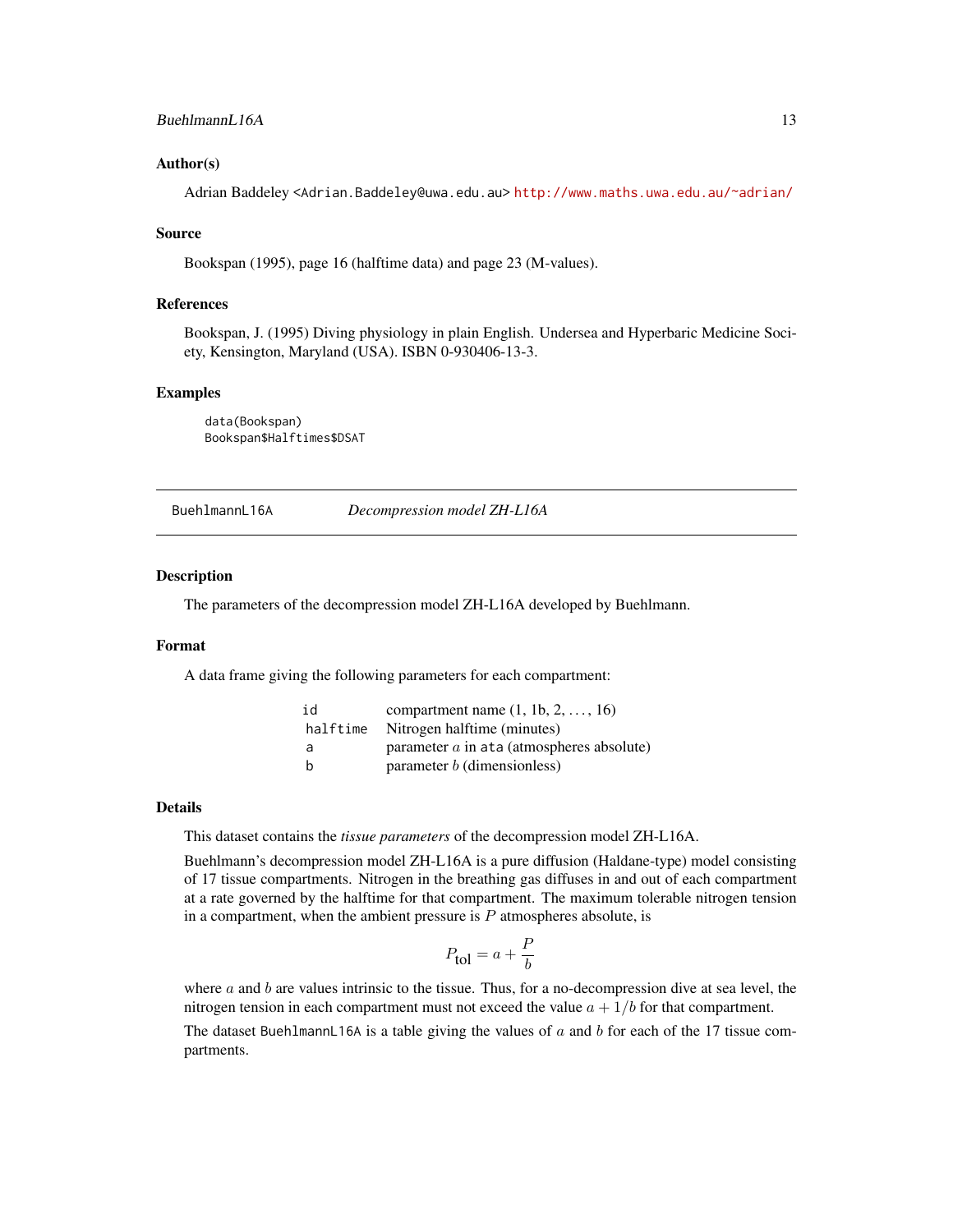#### <span id="page-12-0"></span>Author(s)

Adrian Baddeley <Adrian.Baddeley@uwa.edu.au> <http://www.maths.uwa.edu.au/~adrian/>

#### Source

Bookspan (1995), page 16 (halftime data) and page 23 (M-values).

## References

Bookspan, J. (1995) Diving physiology in plain English. Undersea and Hyperbaric Medicine Society, Kensington, Maryland (USA). ISBN 0-930406-13-3.

#### Examples

data(Bookspan) Bookspan\$Halftimes\$DSAT

<span id="page-12-1"></span>BuehlmannL16A *Decompression model ZH-L16A*

#### Description

The parameters of the decompression model ZH-L16A developed by Buehlmann.

#### Format

A data frame giving the following parameters for each compartment:

| id       | compartment name $(1, 1b, 2, \ldots, 16)$    |
|----------|----------------------------------------------|
| halftime | Nitrogen halftime (minutes)                  |
| a        | parameter $a$ in at a (atmospheres absolute) |
| b        | parameter $b$ (dimensionless)                |

#### Details

This dataset contains the *tissue parameters* of the decompression model ZH-L16A.

Buehlmann's decompression model ZH-L16A is a pure diffusion (Haldane-type) model consisting of 17 tissue compartments. Nitrogen in the breathing gas diffuses in and out of each compartment at a rate governed by the halftime for that compartment. The maximum tolerable nitrogen tension in a compartment, when the ambient pressure is  $P$  atmospheres absolute, is

$$
P_{\text{tol}} = a + \frac{P}{b}
$$

where a and b are values intrinsic to the tissue. Thus, for a no-decompression dive at sea level, the nitrogen tension in each compartment must not exceed the value  $a + 1/b$  for that compartment. The dataset BuehlmannL16A is a table giving the values of  $a$  and  $b$  for each of the 17 tissue compartments.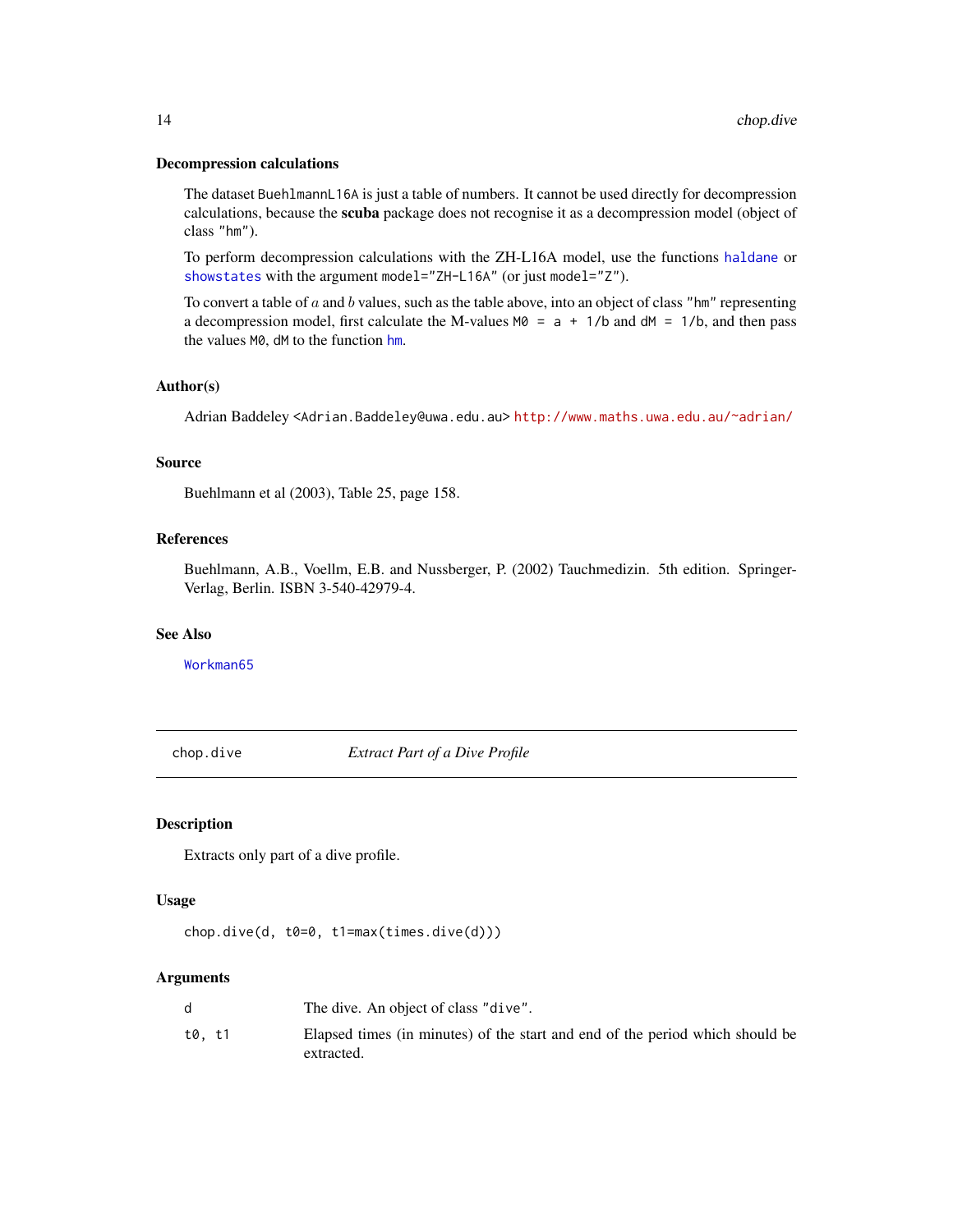#### <span id="page-13-0"></span>Decompression calculations

The dataset BuehlmannL16A is just a table of numbers. It cannot be used directly for decompression calculations, because the scuba package does not recognise it as a decompression model (object of class "hm").

To perform decompression calculations with the ZH-L16A model, use the functions [haldane](#page-25-1) or [showstates](#page-49-1) with the argument model="ZH-L16A" (or just model="Z").

To convert a table of  $a$  and  $b$  values, such as the table above, into an object of class "hm" representing a decompression model, first calculate the M-values  $M0 = a + 1/b$  and d $M = 1/b$ , and then pass the values M0, dM to the function [hm](#page-29-1).

#### Author(s)

Adrian Baddeley <Adrian.Baddeley@uwa.edu.au> <http://www.maths.uwa.edu.au/~adrian/>

#### Source

Buehlmann et al (2003), Table 25, page 158.

## References

Buehlmann, A.B., Voellm, E.B. and Nussberger, P. (2002) Tauchmedizin. 5th edition. Springer-Verlag, Berlin. ISBN 3-540-42979-4.

## See Also

[Workman65](#page-55-1)

<span id="page-13-1"></span>chop.dive *Extract Part of a Dive Profile*

#### Description

Extracts only part of a dive profile.

## Usage

chop.dive(d, t0=0, t1=max(times.dive(d)))

|        | The dive. An object of class "dive".                                                        |
|--------|---------------------------------------------------------------------------------------------|
| t0. t1 | Elapsed times (in minutes) of the start and end of the period which should be<br>extracted. |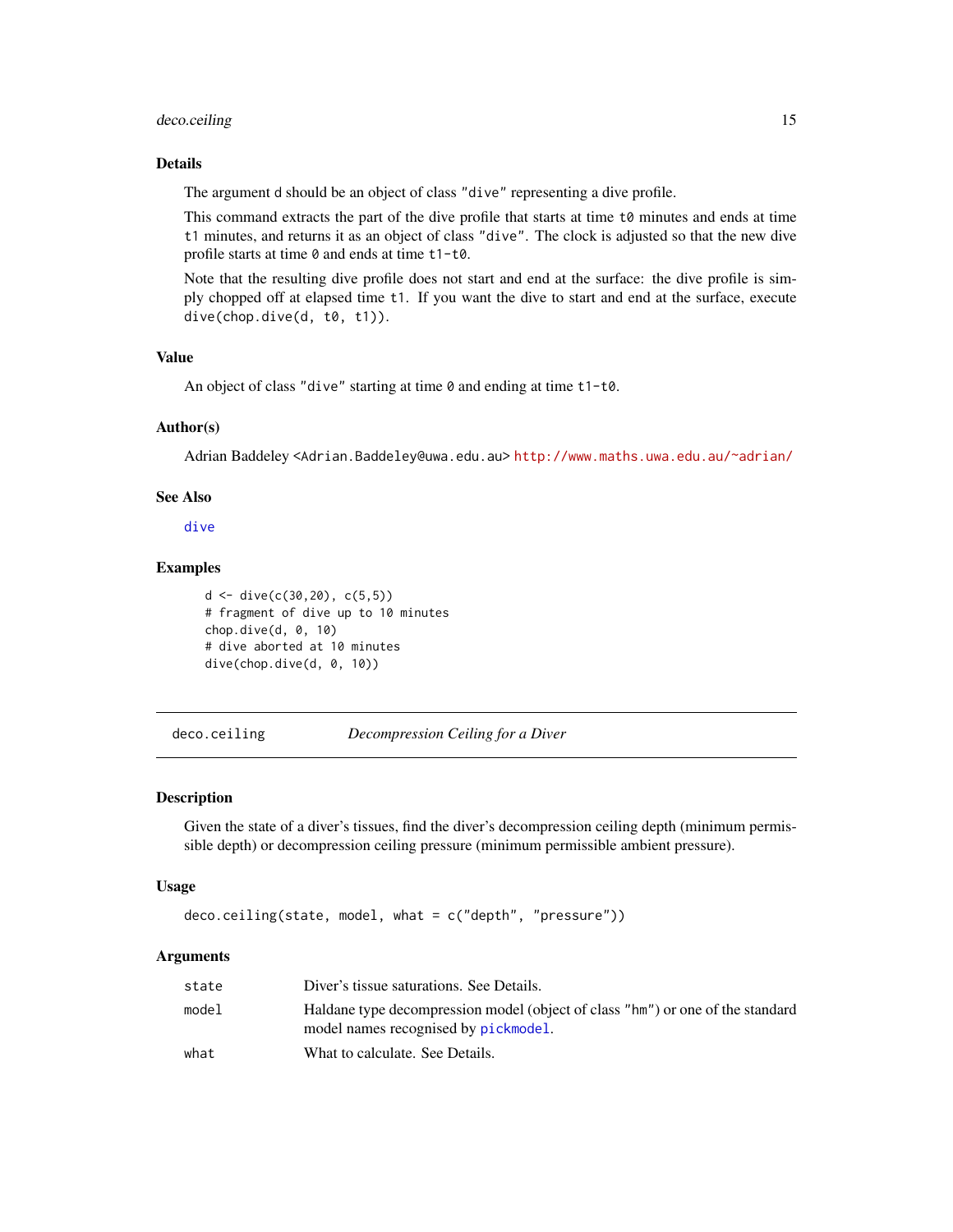## <span id="page-14-0"></span>deco.ceiling 15

## Details

The argument d should be an object of class "dive" representing a dive profile.

This command extracts the part of the dive profile that starts at time t0 minutes and ends at time t1 minutes, and returns it as an object of class "dive". The clock is adjusted so that the new dive profile starts at time 0 and ends at time t1-t0.

Note that the resulting dive profile does not start and end at the surface: the dive profile is simply chopped off at elapsed time t1. If you want the dive to start and end at the surface, execute dive(chop.dive(d, t0, t1)).

#### Value

An object of class "dive" starting at time 0 and ending at time t1-t0.

## Author(s)

Adrian Baddeley <Adrian.Baddeley@uwa.edu.au> <http://www.maths.uwa.edu.au/~adrian/>

## See Also

[dive](#page-19-1)

#### Examples

```
d \leq d ive(c(30, 20), c(5, 5))
# fragment of dive up to 10 minutes
chop.dive(d, 0, 10)
# dive aborted at 10 minutes
dive(chop.dive(d, 0, 10))
```
deco.ceiling *Decompression Ceiling for a Diver*

#### Description

Given the state of a diver's tissues, find the diver's decompression ceiling depth (minimum permissible depth) or decompression ceiling pressure (minimum permissible ambient pressure).

#### Usage

```
deco.ceiling(state, model, what = c("depth", "pressure"))
```

| state | Diver's tissue saturations. See Details.                                                                               |
|-------|------------------------------------------------------------------------------------------------------------------------|
| model | Haldane type decompression model (object of class "hm") or one of the standard<br>model names recognised by pickmodel. |
| what  | What to calculate. See Details.                                                                                        |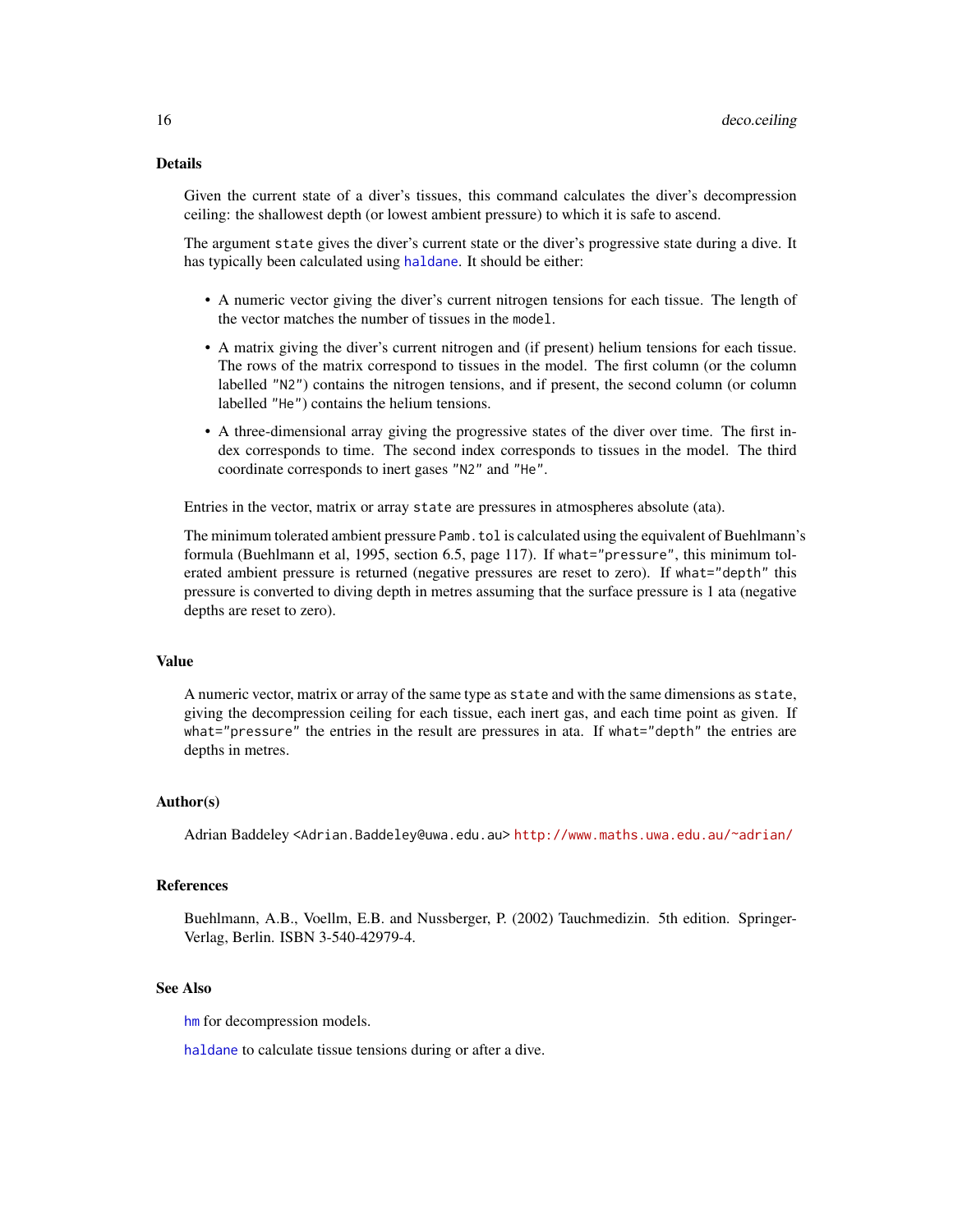## <span id="page-15-0"></span>Details

Given the current state of a diver's tissues, this command calculates the diver's decompression ceiling: the shallowest depth (or lowest ambient pressure) to which it is safe to ascend.

The argument state gives the diver's current state or the diver's progressive state during a dive. It has typically been calculated using [haldane](#page-25-1). It should be either:

- A numeric vector giving the diver's current nitrogen tensions for each tissue. The length of the vector matches the number of tissues in the model.
- A matrix giving the diver's current nitrogen and (if present) helium tensions for each tissue. The rows of the matrix correspond to tissues in the model. The first column (or the column labelled "N2") contains the nitrogen tensions, and if present, the second column (or column labelled "He") contains the helium tensions.
- A three-dimensional array giving the progressive states of the diver over time. The first index corresponds to time. The second index corresponds to tissues in the model. The third coordinate corresponds to inert gases "N2" and "He".

Entries in the vector, matrix or array state are pressures in atmospheres absolute (ata).

The minimum tolerated ambient pressure Pamb.tol is calculated using the equivalent of Buehlmann's formula (Buehlmann et al, 1995, section 6.5, page 117). If what="pressure", this minimum tolerated ambient pressure is returned (negative pressures are reset to zero). If what="depth" this pressure is converted to diving depth in metres assuming that the surface pressure is 1 ata (negative depths are reset to zero).

#### Value

A numeric vector, matrix or array of the same type as state and with the same dimensions as state, giving the decompression ceiling for each tissue, each inert gas, and each time point as given. If what="pressure" the entries in the result are pressures in ata. If what="depth" the entries are depths in metres.

## Author(s)

Adrian Baddeley <Adrian.Baddeley@uwa.edu.au> <http://www.maths.uwa.edu.au/~adrian/>

#### References

Buehlmann, A.B., Voellm, E.B. and Nussberger, P. (2002) Tauchmedizin. 5th edition. Springer-Verlag, Berlin. ISBN 3-540-42979-4.

#### See Also

[hm](#page-29-1) for decompression models.

[haldane](#page-25-1) to calculate tissue tensions during or after a dive.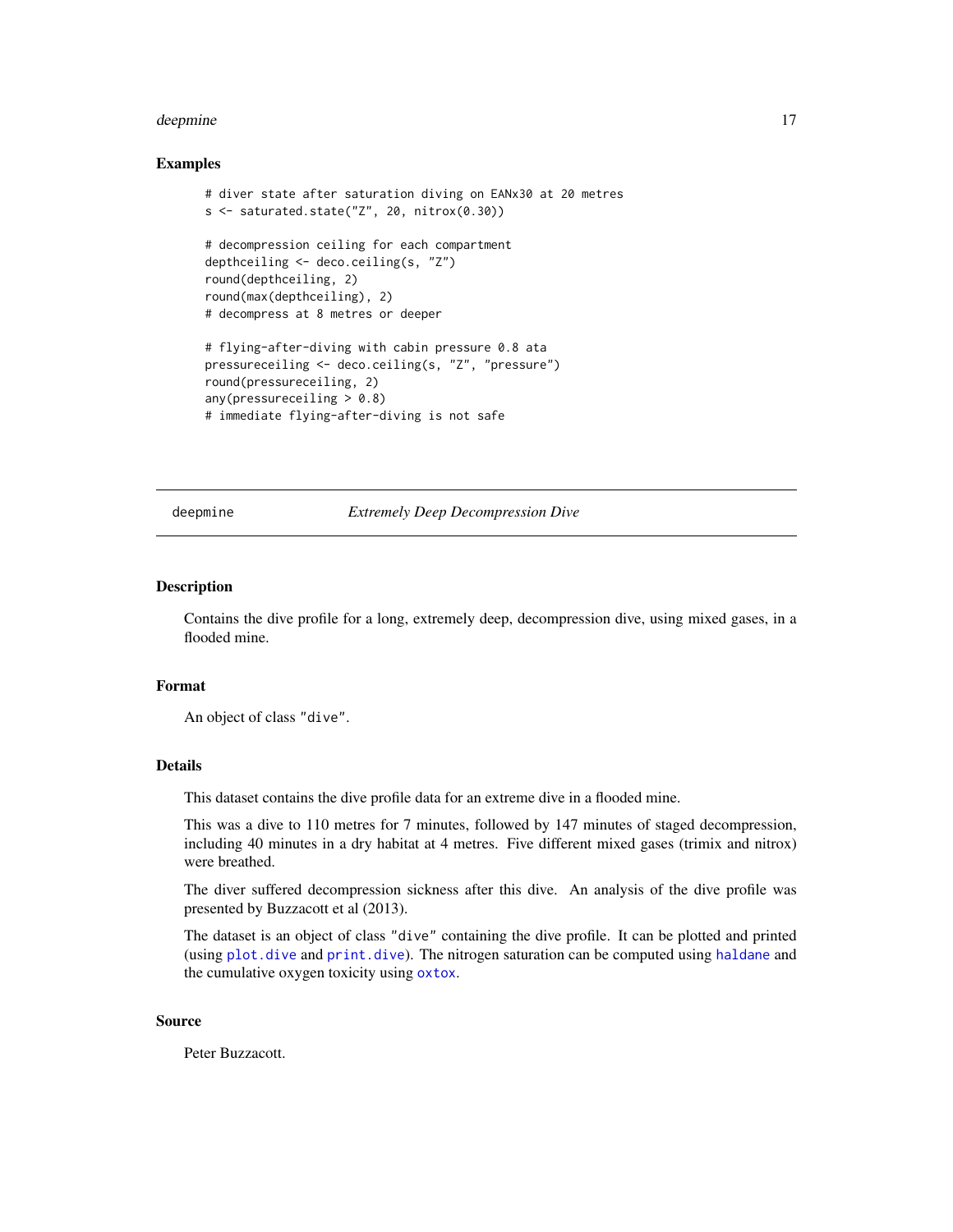#### <span id="page-16-0"></span>deepmine to the state of the state of the state of the state of the state of the state of the state of the state of the state of the state of the state of the state of the state of the state of the state of the state of th

#### Examples

```
# diver state after saturation diving on EANx30 at 20 metres
s <- saturated.state("Z", 20, nitrox(0.30))
# decompression ceiling for each compartment
depthceiling <- deco.ceiling(s, "Z")
round(depthceiling, 2)
round(max(depthceiling), 2)
# decompress at 8 metres or deeper
# flying-after-diving with cabin pressure 0.8 ata
pressureceiling <- deco.ceiling(s, "Z", "pressure")
round(pressureceiling, 2)
any(pressureceiling > 0.8)
# immediate flying-after-diving is not safe
```
<span id="page-16-1"></span>deepmine *Extremely Deep Decompression Dive*

## Description

Contains the dive profile for a long, extremely deep, decompression dive, using mixed gases, in a flooded mine.

#### Format

An object of class "dive".

## Details

This dataset contains the dive profile data for an extreme dive in a flooded mine.

This was a dive to 110 metres for 7 minutes, followed by 147 minutes of staged decompression, including 40 minutes in a dry habitat at 4 metres. Five different mixed gases (trimix and nitrox) were breathed.

The diver suffered decompression sickness after this dive. An analysis of the dive profile was presented by Buzzacott et al (2013).

The dataset is an object of class "dive" containing the dive profile. It can be plotted and printed (using [plot.dive](#page-43-1) and [print.dive](#page-46-1)). The nitrogen saturation can be computed using [haldane](#page-25-1) and the cumulative oxygen toxicity using [oxtox](#page-38-1).

#### Source

Peter Buzzacott.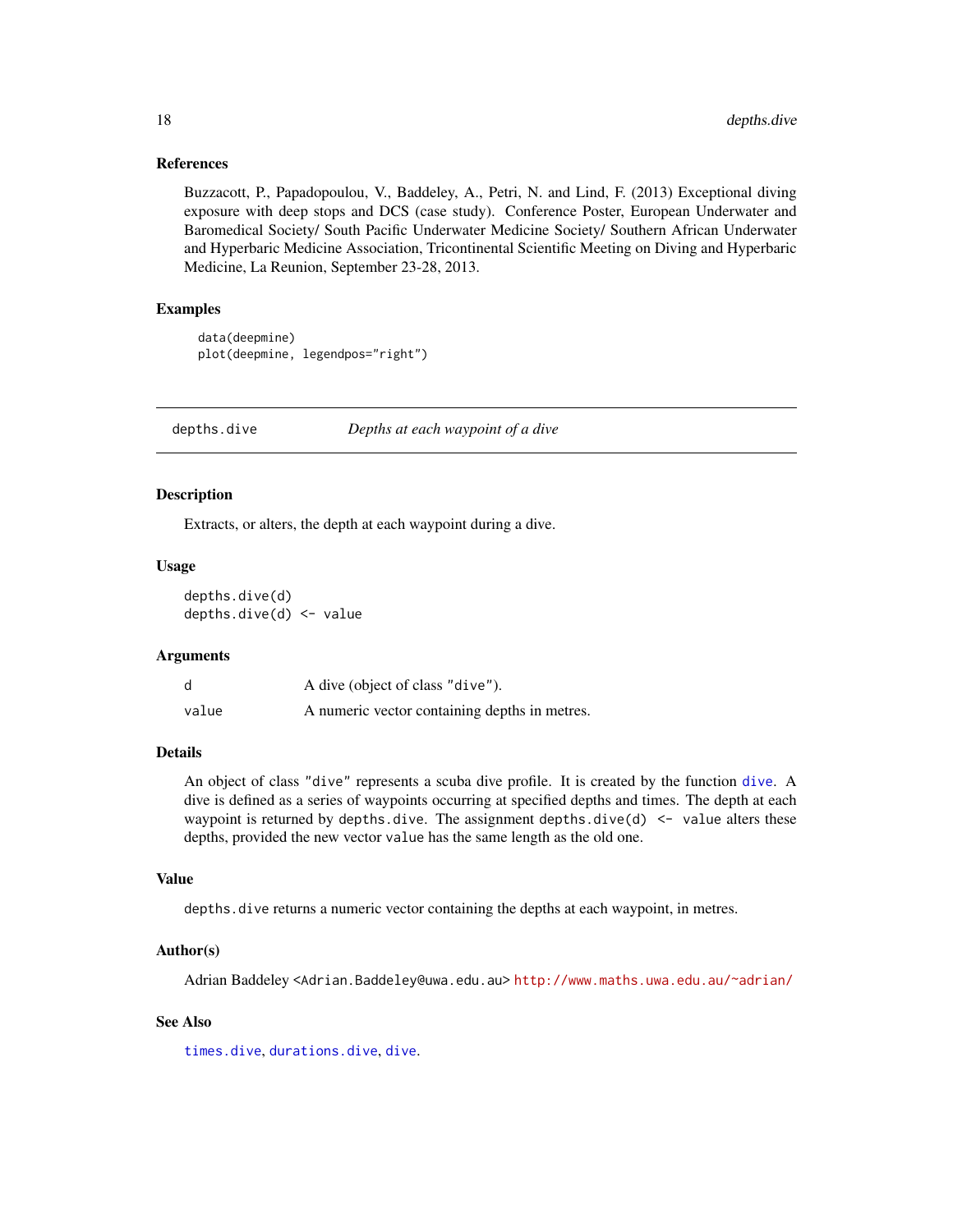#### References

Buzzacott, P., Papadopoulou, V., Baddeley, A., Petri, N. and Lind, F. (2013) Exceptional diving exposure with deep stops and DCS (case study). Conference Poster, European Underwater and Baromedical Society/ South Pacific Underwater Medicine Society/ Southern African Underwater and Hyperbaric Medicine Association, Tricontinental Scientific Meeting on Diving and Hyperbaric Medicine, La Reunion, September 23-28, 2013.

## Examples

```
data(deepmine)
plot(deepmine, legendpos="right")
```
<span id="page-17-1"></span>depths.dive *Depths at each waypoint of a dive*

### <span id="page-17-2"></span>Description

Extracts, or alters, the depth at each waypoint during a dive.

#### Usage

depths.dive(d) depths.dive(d) <- value

#### Arguments

|       | A dive (object of class "dive").              |
|-------|-----------------------------------------------|
| value | A numeric vector containing depths in metres. |

## Details

An object of class "dive" represents a scuba dive profile. It is created by the function [dive](#page-19-1). A dive is defined as a series of waypoints occurring at specified depths and times. The depth at each waypoint is returned by depths.dive. The assignment depths.dive(d)  $\le$  value alters these depths, provided the new vector value has the same length as the old one.

#### Value

depths.dive returns a numeric vector containing the depths at each waypoint, in metres.

#### Author(s)

Adrian Baddeley <Adrian.Baddeley@uwa.edu.au> <http://www.maths.uwa.edu.au/~adrian/>

#### See Also

[times.dive](#page-51-1), [durations.dive](#page-22-1), [dive](#page-19-1).

<span id="page-17-0"></span>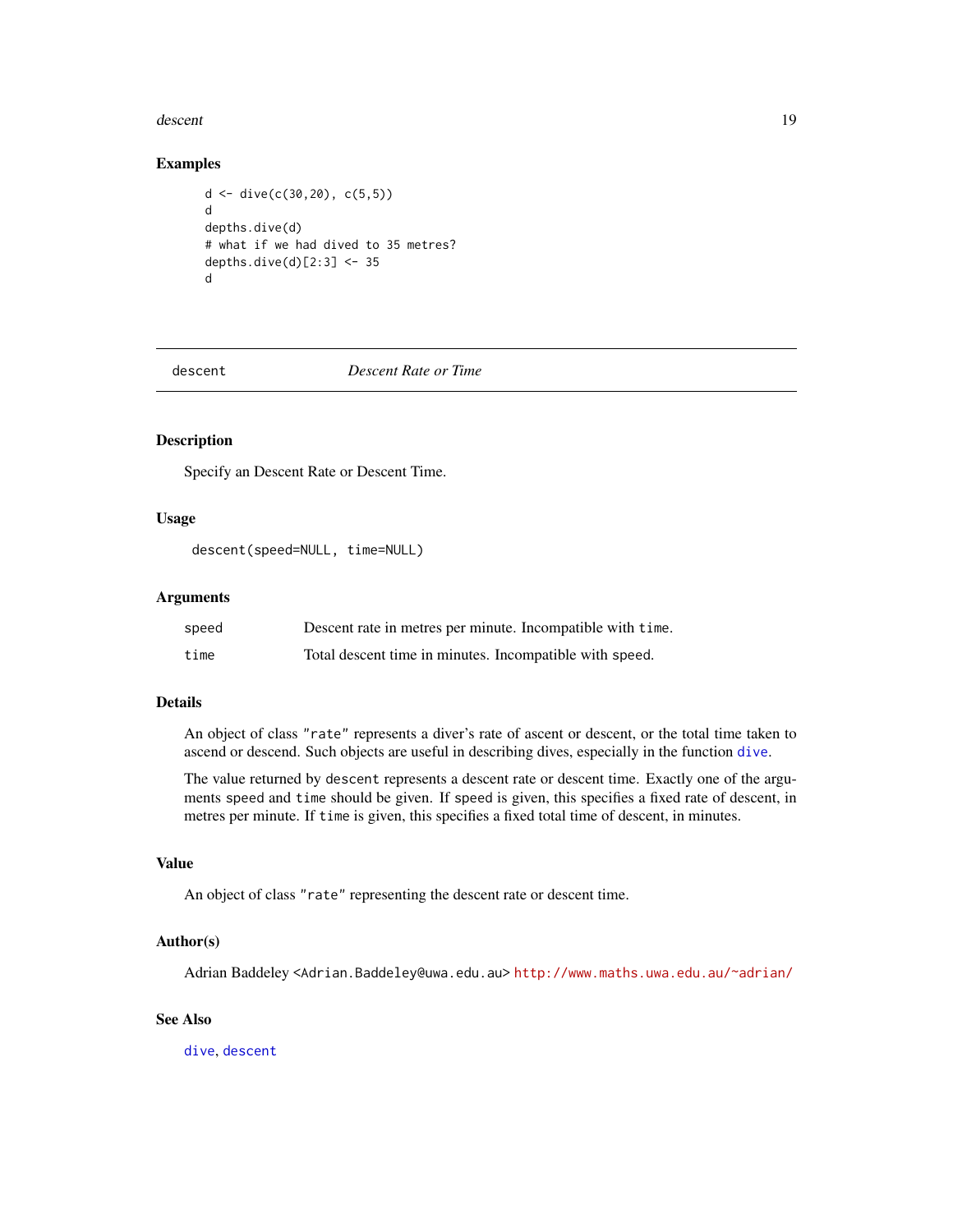#### <span id="page-18-0"></span>descent and the contract of the contract of the contract of the contract of the contract of the contract of the contract of the contract of the contract of the contract of the contract of the contract of the contract of th

#### Examples

```
d <- dive(c(30,20), c(5,5))
d
depths.dive(d)
# what if we had dived to 35 metres?
depths.dive(d)[2:3] <- 35
d
```
<span id="page-18-1"></span>descent *Descent Rate or Time*

## Description

Specify an Descent Rate or Descent Time.

## Usage

descent(speed=NULL, time=NULL)

## Arguments

| speed | Descent rate in metres per minute. Incompatible with time. |
|-------|------------------------------------------------------------|
| time  | Total descent time in minutes. Incompatible with speed.    |

## Details

An object of class "rate" represents a diver's rate of ascent or descent, or the total time taken to ascend or descend. Such objects are useful in describing dives, especially in the function [dive](#page-19-1).

The value returned by descent represents a descent rate or descent time. Exactly one of the arguments speed and time should be given. If speed is given, this specifies a fixed rate of descent, in metres per minute. If time is given, this specifies a fixed total time of descent, in minutes.

## Value

An object of class "rate" representing the descent rate or descent time.

## Author(s)

Adrian Baddeley <Adrian.Baddeley@uwa.edu.au> <http://www.maths.uwa.edu.au/~adrian/>

## See Also

[dive](#page-19-1), [descent](#page-18-1)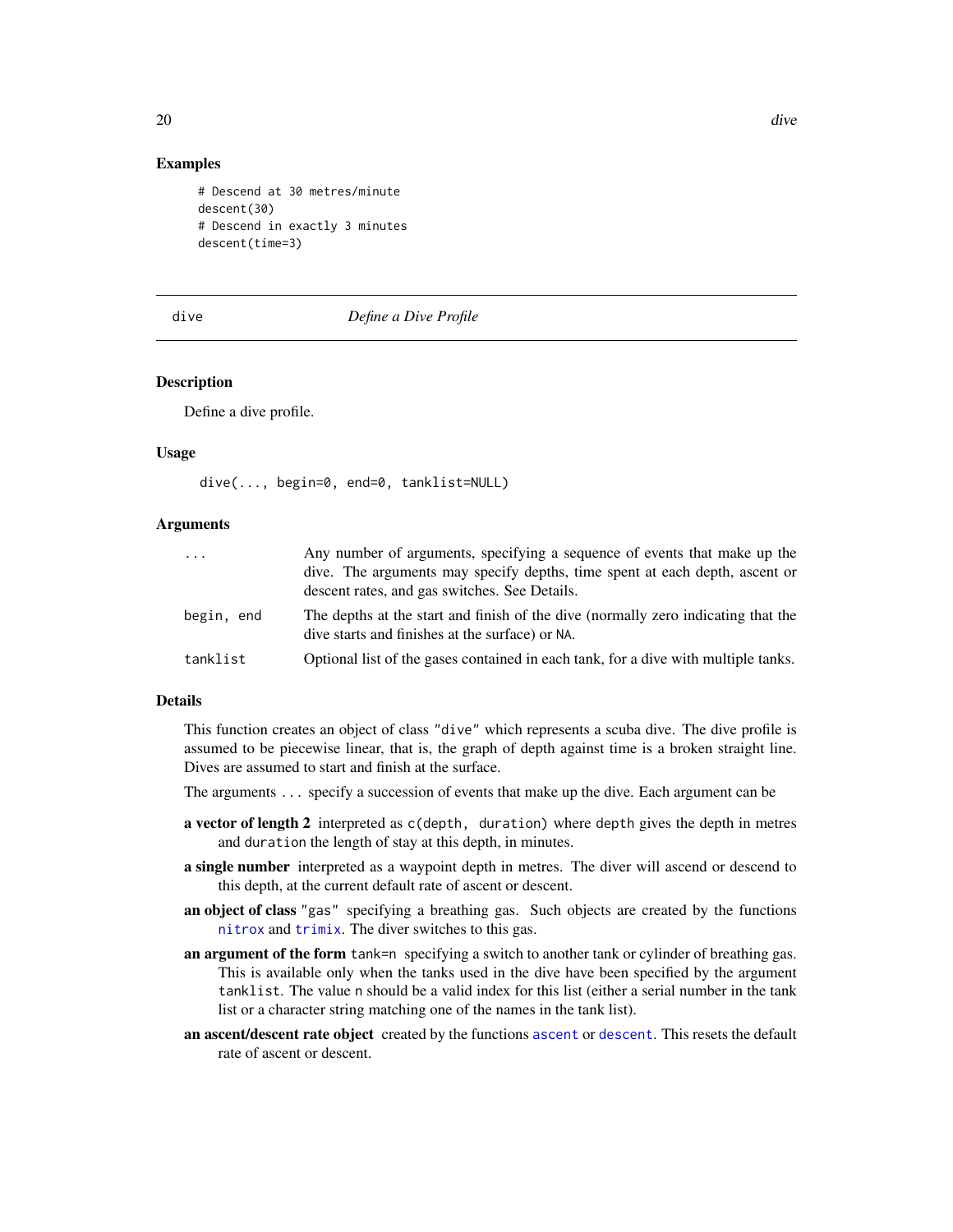## Examples

```
# Descend at 30 metres/minute
descent(30)
# Descend in exactly 3 minutes
descent(time=3)
```
<span id="page-19-1"></span>

## dive *Define a Dive Profile*

## Description

Define a dive profile.

#### Usage

```
dive(..., begin=0, end=0, tanklist=NULL)
```
#### Arguments

| .          | Any number of arguments, specifying a sequence of events that make up the<br>dive. The arguments may specify depths, time spent at each depth, ascent or<br>descent rates, and gas switches. See Details. |
|------------|-----------------------------------------------------------------------------------------------------------------------------------------------------------------------------------------------------------|
| begin, end | The depths at the start and finish of the dive (normally zero indicating that the<br>dive starts and finishes at the surface) or NA.                                                                      |
| tanklist   | Optional list of the gases contained in each tank, for a dive with multiple tanks.                                                                                                                        |
|            |                                                                                                                                                                                                           |

## Details

This function creates an object of class "dive" which represents a scuba dive. The dive profile is assumed to be piecewise linear, that is, the graph of depth against time is a broken straight line. Dives are assumed to start and finish at the surface.

The arguments ... specify a succession of events that make up the dive. Each argument can be

- a vector of length 2 interpreted as c(depth, duration) where depth gives the depth in metres and duration the length of stay at this depth, in minutes.
- **a single number** interpreted as a waypoint depth in metres. The diver will ascend or descend to this depth, at the current default rate of ascent or descent.
- an object of class "gas" specifying a breathing gas. Such objects are created by the functions [nitrox](#page-37-1) and [trimix](#page-52-1). The diver switches to this gas.
- an argument of the form tank=n specifying a switch to another tank or cylinder of breathing gas. This is available only when the tanks used in the dive have been specified by the argument tanklist. The value n should be a valid index for this list (either a serial number in the tank list or a character string matching one of the names in the tank list).
- an [ascent](#page-7-1)/[descent](#page-18-1) rate object created by the functions ascent or descent. This resets the default rate of ascent or descent.

<span id="page-19-0"></span>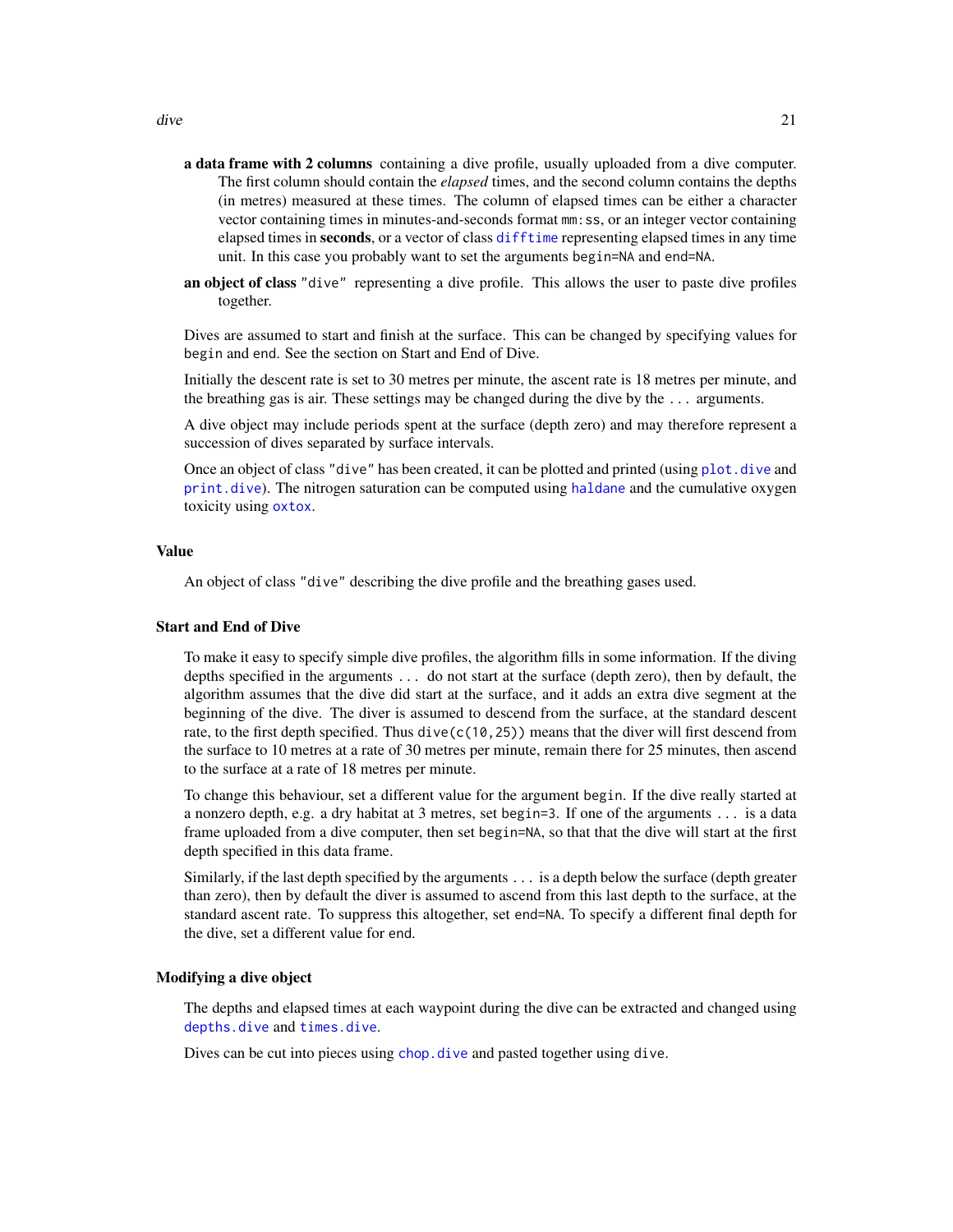- <span id="page-20-0"></span>a data frame with 2 columns containing a dive profile, usually uploaded from a dive computer. The first column should contain the *elapsed* times, and the second column contains the depths (in metres) measured at these times. The column of elapsed times can be either a character vector containing times in minutes-and-seconds format mm:ss, or an integer vector containing elapsed times in seconds, or a vector of class [difftime](#page-0-0) representing elapsed times in any time unit. In this case you probably want to set the arguments begin=NA and end=NA.
- an object of class "dive" representing a dive profile. This allows the user to paste dive profiles together.

Dives are assumed to start and finish at the surface. This can be changed by specifying values for begin and end. See the section on Start and End of Dive.

Initially the descent rate is set to 30 metres per minute, the ascent rate is 18 metres per minute, and the breathing gas is air. These settings may be changed during the dive by the  $\dots$  arguments.

A dive object may include periods spent at the surface (depth zero) and may therefore represent a succession of dives separated by surface intervals.

Once an object of class "dive" has been created, it can be plotted and printed (using [plot.dive](#page-43-1) and [print.dive](#page-46-1)). The nitrogen saturation can be computed using [haldane](#page-25-1) and the cumulative oxygen toxicity using [oxtox](#page-38-1).

#### Value

An object of class "dive" describing the dive profile and the breathing gases used.

#### Start and End of Dive

To make it easy to specify simple dive profiles, the algorithm fills in some information. If the diving depths specified in the arguments ... do not start at the surface (depth zero), then by default, the algorithm assumes that the dive did start at the surface, and it adds an extra dive segment at the beginning of the dive. The diver is assumed to descend from the surface, at the standard descent rate, to the first depth specified. Thus  $dive(c(10, 25))$  means that the diver will first descend from the surface to 10 metres at a rate of 30 metres per minute, remain there for 25 minutes, then ascend to the surface at a rate of 18 metres per minute.

To change this behaviour, set a different value for the argument begin. If the dive really started at a nonzero depth, e.g. a dry habitat at 3 metres, set begin=3. If one of the arguments ... is a data frame uploaded from a dive computer, then set begin=NA, so that that the dive will start at the first depth specified in this data frame.

Similarly, if the last depth specified by the arguments ... is a depth below the surface (depth greater than zero), then by default the diver is assumed to ascend from this last depth to the surface, at the standard ascent rate. To suppress this altogether, set end=NA. To specify a different final depth for the dive, set a different value for end.

#### Modifying a dive object

The depths and elapsed times at each waypoint during the dive can be extracted and changed using [depths.dive](#page-17-1) and [times.dive](#page-51-1).

Dives can be cut into pieces using [chop.dive](#page-13-1) and pasted together using dive.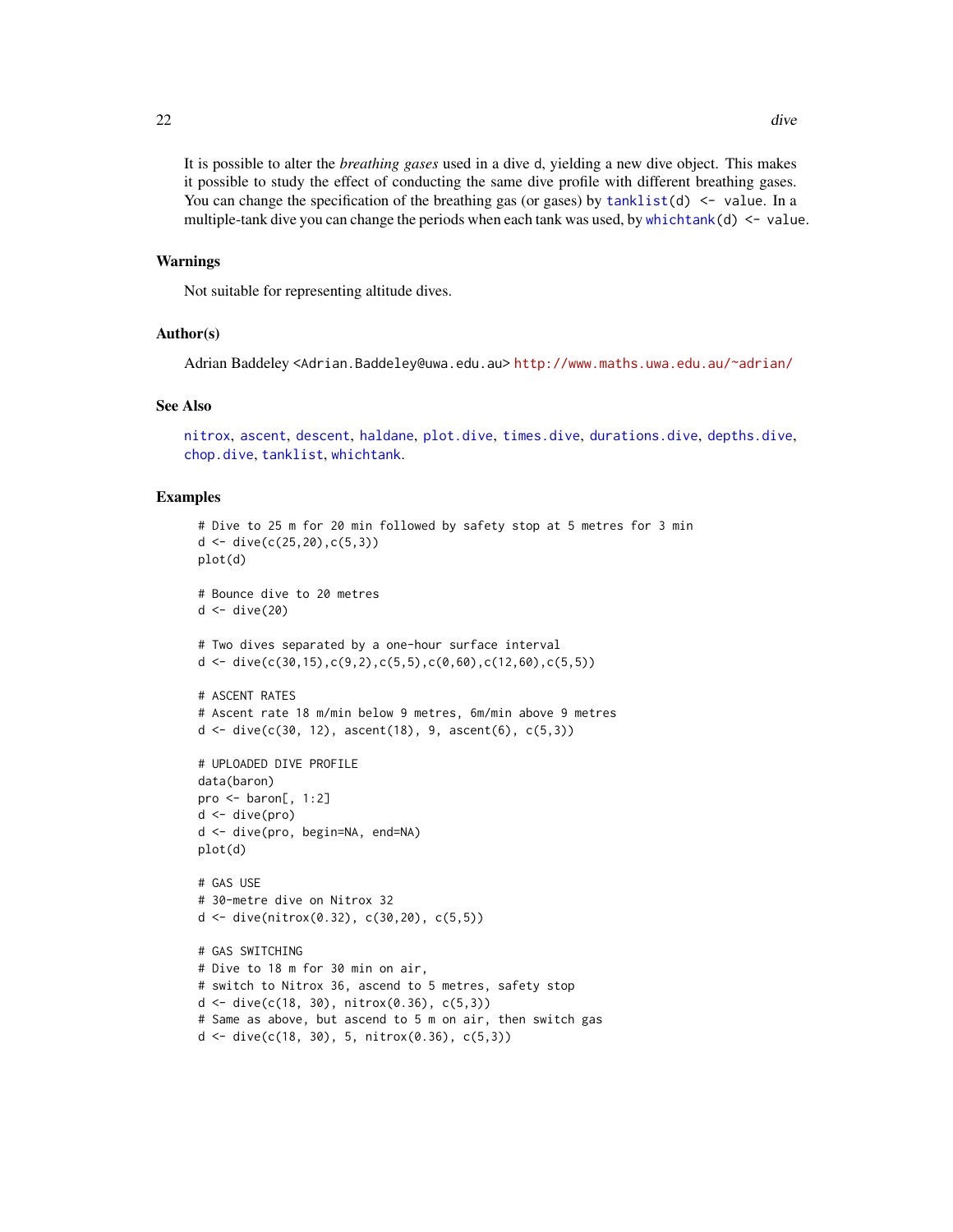<span id="page-21-0"></span>It is possible to alter the *breathing gases* used in a dive d, yielding a new dive object. This makes it possible to study the effect of conducting the same dive profile with different breathing gases. You can change the specification of the breathing gas (or gases) by  $tanhlist(d) < -$  value. In a multiple-tank dive you can change the periods when each tank was used, by [whichtank\(](#page-53-1)d)  $\le$  value.

#### Warnings

Not suitable for representing altitude dives.

#### Author(s)

Adrian Baddeley <Adrian.Baddeley@uwa.edu.au> <http://www.maths.uwa.edu.au/~adrian/>

#### See Also

[nitrox](#page-37-1), [ascent](#page-7-1), [descent](#page-18-1), [haldane](#page-25-1), [plot.dive](#page-43-1), [times.dive](#page-51-1), [durations.dive](#page-22-1), [depths.dive](#page-17-1), [chop.dive](#page-13-1), [tanklist](#page-50-1), [whichtank](#page-53-1).

```
# Dive to 25 m for 20 min followed by safety stop at 5 metres for 3 min
d <- dive(c(25, 20), c(5, 3))plot(d)
# Bounce dive to 20 metres
d \leftarrow \text{div}(20)# Two dives separated by a one-hour surface interval
d <- dive(c(30,15),c(9,2),c(5,5),c(0,60),c(12,60),c(5,5))
# ASCENT RATES
# Ascent rate 18 m/min below 9 metres, 6m/min above 9 metres
d \leq d ive(c(30, 12), ascent(18), 9, ascent(6), c(5,3))
# UPLOADED DIVE PROFILE
data(baron)
pro \leq - baron[, 1:2]
d <- dive(pro)
d <- dive(pro, begin=NA, end=NA)
plot(d)
# GAS USE
# 30-metre dive on Nitrox 32
d <- dive(nitrox(0.32), c(30,20), c(5,5))
# GAS SWITCHING
# Dive to 18 m for 30 min on air,
# switch to Nitrox 36, ascend to 5 metres, safety stop
d \le - dive(c(18, 30), nitrox(0.36), c(5,3))
# Same as above, but ascend to 5 m on air, then switch gas
d \le - dive(c(18, 30), 5, nitrox(0.36), c(5,3))
```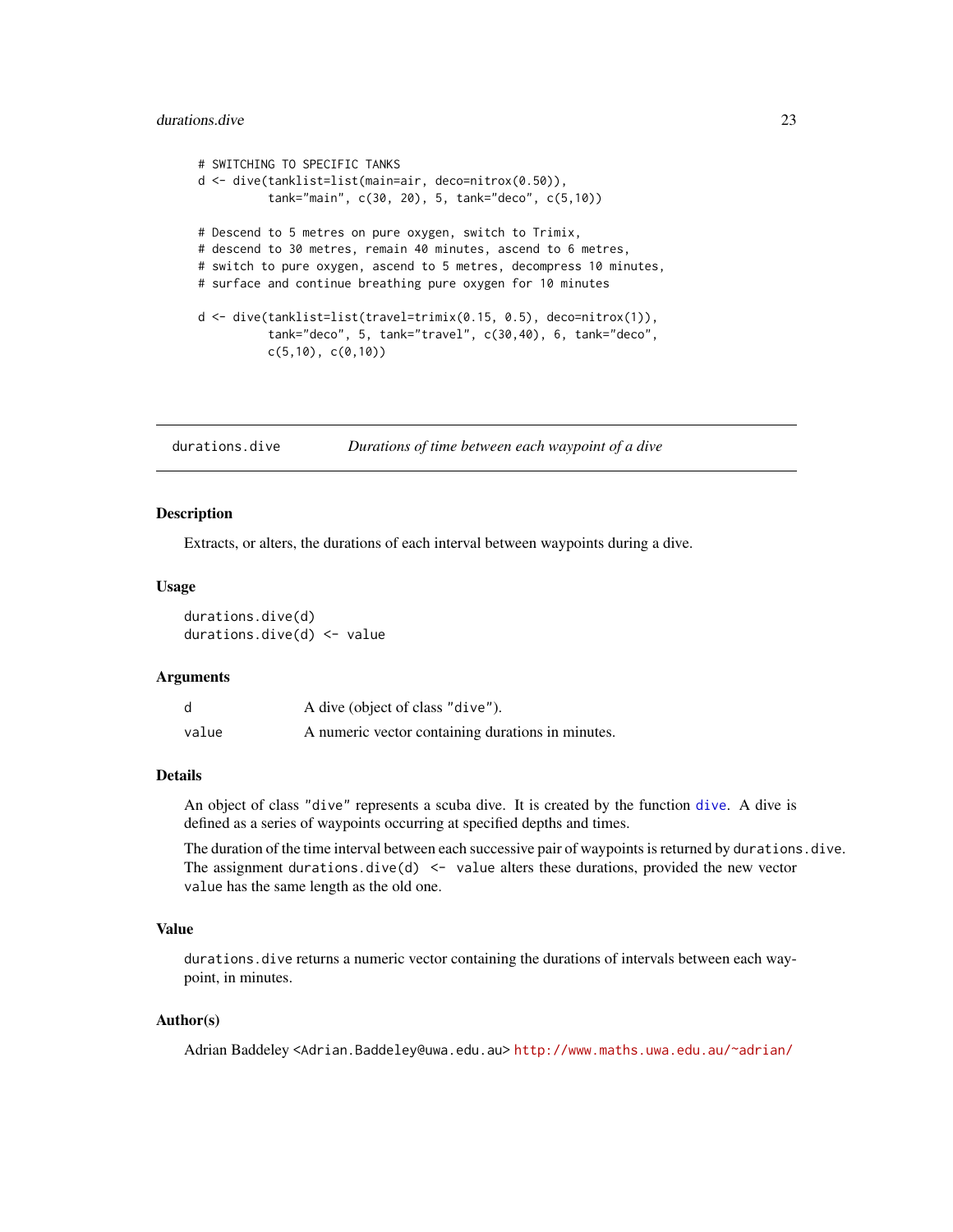## <span id="page-22-0"></span>durations.dive 23

```
# SWITCHING TO SPECIFIC TANKS
d <- dive(tanklist=list(main=air, deco=nitrox(0.50)),
          tank="main", c(30, 20), 5, tank="deco", c(5,10))
# Descend to 5 metres on pure oxygen, switch to Trimix,
# descend to 30 metres, remain 40 minutes, ascend to 6 metres,
# switch to pure oxygen, ascend to 5 metres, decompress 10 minutes,
# surface and continue breathing pure oxygen for 10 minutes
d <- dive(tanklist=list(travel=trimix(0.15, 0.5), deco=nitrox(1)),
          tank="deco", 5, tank="travel", c(30,40), 6, tank="deco",
          c(5,10), c(0,10)
```
<span id="page-22-1"></span>durations.dive *Durations of time between each waypoint of a dive*

#### <span id="page-22-2"></span>Description

Extracts, or alters, the durations of each interval between waypoints during a dive.

#### Usage

durations.dive(d) durations.dive(d) <- value

#### Arguments

|       | A dive (object of class "dive").                  |
|-------|---------------------------------------------------|
| value | A numeric vector containing durations in minutes. |

#### Details

An object of class "dive" represents a scuba dive. It is created by the function [dive](#page-19-1). A dive is defined as a series of waypoints occurring at specified depths and times.

The duration of the time interval between each successive pair of waypoints is returned by durations.dive. The assignment durations.dive(d)  $\leq$  value alters these durations, provided the new vector value has the same length as the old one.

## Value

durations.dive returns a numeric vector containing the durations of intervals between each waypoint, in minutes.

#### Author(s)

Adrian Baddeley <Adrian.Baddeley@uwa.edu.au> <http://www.maths.uwa.edu.au/~adrian/>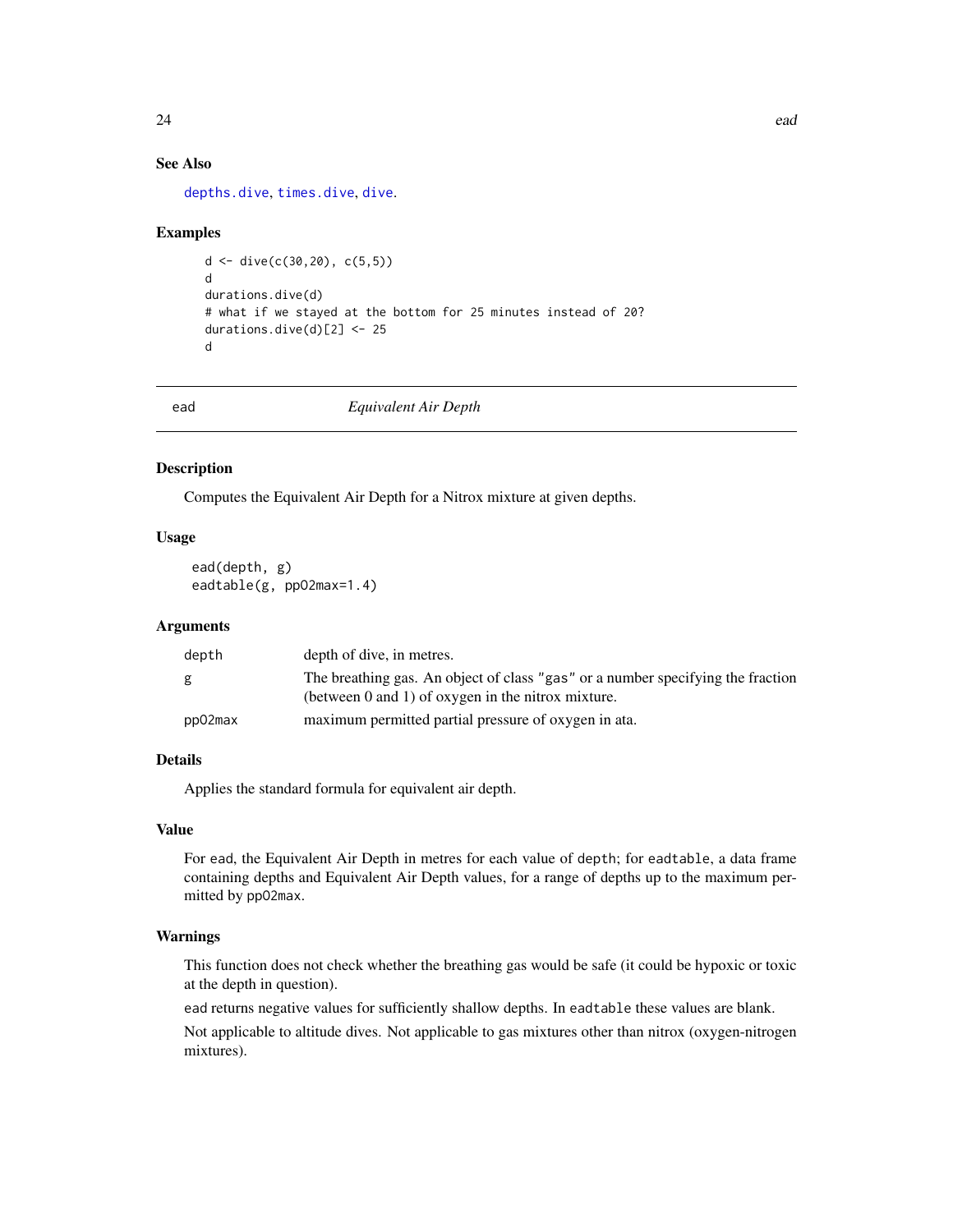## See Also

[depths.dive](#page-17-1), [times.dive](#page-51-1), [dive](#page-19-1).

#### Examples

```
d <- dive(c(30, 20), c(5, 5))
d
durations.dive(d)
# what if we stayed at the bottom for 25 minutes instead of 20?
durations.dive(d)[2] <- 25
d
```
<span id="page-23-1"></span>

ead *Equivalent Air Depth*

## <span id="page-23-2"></span>Description

Computes the Equivalent Air Depth for a Nitrox mixture at given depths.

## Usage

ead(depth, g) eadtable(g, ppO2max=1.4)

#### Arguments

| depth   | depth of dive, in metres.                                                                                                                  |
|---------|--------------------------------------------------------------------------------------------------------------------------------------------|
| g       | The breathing gas. An object of class "gas" or a number specifying the fraction<br>(between $0$ and $1$ ) of oxygen in the nitrox mixture. |
| pp02max | maximum permitted partial pressure of oxygen in ata.                                                                                       |

## Details

Applies the standard formula for equivalent air depth.

## Value

For ead, the Equivalent Air Depth in metres for each value of depth; for eadtable, a data frame containing depths and Equivalent Air Depth values, for a range of depths up to the maximum permitted by ppO2max.

#### Warnings

This function does not check whether the breathing gas would be safe (it could be hypoxic or toxic at the depth in question).

ead returns negative values for sufficiently shallow depths. In eadtable these values are blank.

Not applicable to altitude dives. Not applicable to gas mixtures other than nitrox (oxygen-nitrogen mixtures).

<span id="page-23-0"></span>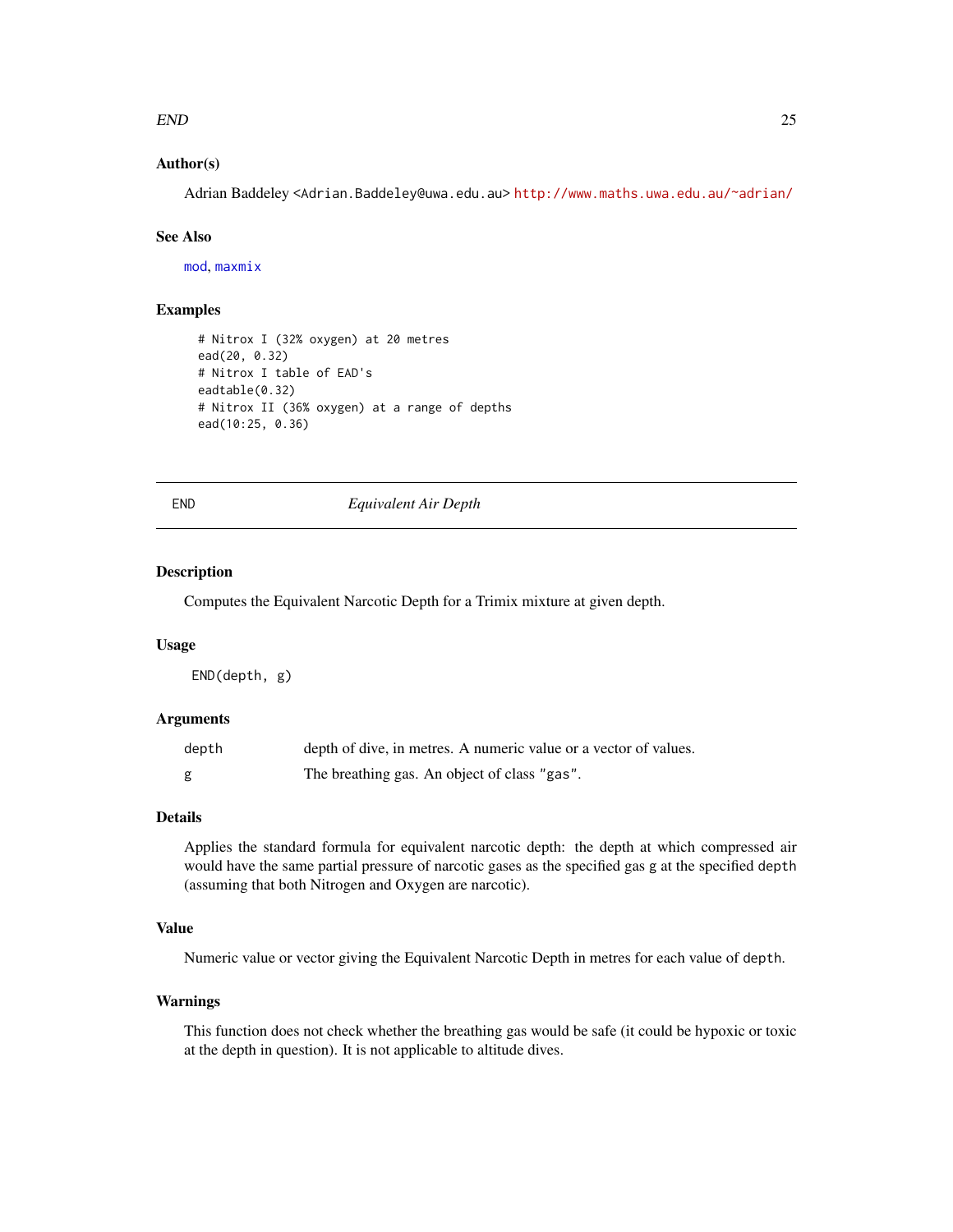#### <span id="page-24-0"></span> $END$  25

## Author(s)

Adrian Baddeley <Adrian.Baddeley@uwa.edu.au> <http://www.maths.uwa.edu.au/~adrian/>

#### See Also

[mod](#page-35-1), [maxmix](#page-32-1)

## Examples

```
# Nitrox I (32% oxygen) at 20 metres
ead(20, 0.32)
# Nitrox I table of EAD's
eadtable(0.32)
# Nitrox II (36% oxygen) at a range of depths
ead(10:25, 0.36)
```
END *Equivalent Air Depth*

## Description

Computes the Equivalent Narcotic Depth for a Trimix mixture at given depth.

#### Usage

END(depth, g)

## Arguments

| depth | depth of dive, in metres. A numeric value or a vector of values. |
|-------|------------------------------------------------------------------|
| g     | The breathing gas. An object of class "gas".                     |

#### Details

Applies the standard formula for equivalent narcotic depth: the depth at which compressed air would have the same partial pressure of narcotic gases as the specified gas g at the specified depth (assuming that both Nitrogen and Oxygen are narcotic).

## Value

Numeric value or vector giving the Equivalent Narcotic Depth in metres for each value of depth.

## Warnings

This function does not check whether the breathing gas would be safe (it could be hypoxic or toxic at the depth in question). It is not applicable to altitude dives.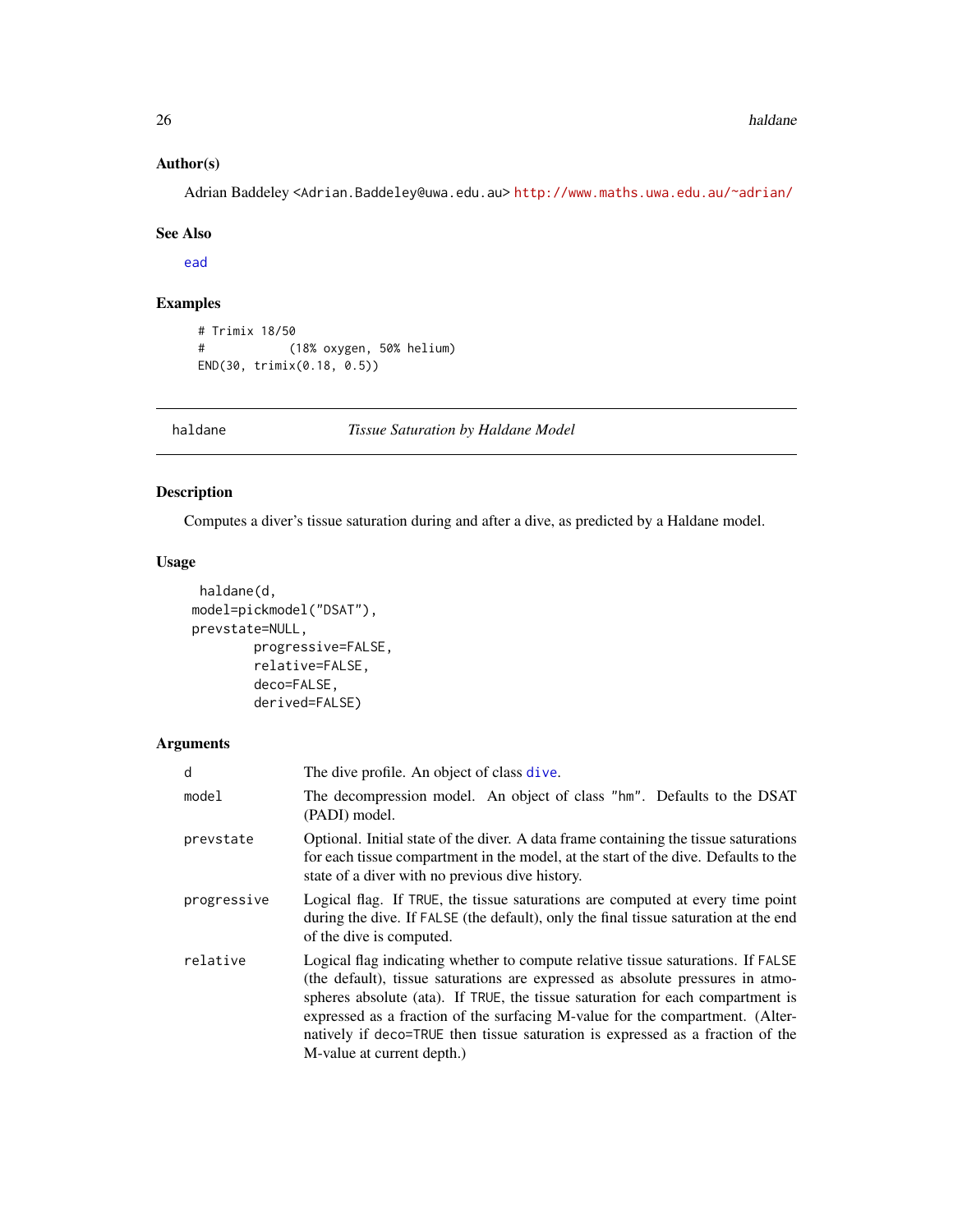## Author(s)

Adrian Baddeley <Adrian.Baddeley@uwa.edu.au> <http://www.maths.uwa.edu.au/~adrian/>

#### See Also

[ead](#page-23-1)

## Examples

```
# Trimix 18/50
# (18% oxygen, 50% helium)
END(30, trimix(0.18, 0.5))
```
<span id="page-25-1"></span>haldane *Tissue Saturation by Haldane Model*

## Description

Computes a diver's tissue saturation during and after a dive, as predicted by a Haldane model.

#### Usage

```
haldane(d,
model=pickmodel("DSAT"),
prevstate=NULL,
        progressive=FALSE,
        relative=FALSE,
        deco=FALSE,
        derived=FALSE)
```

| d           | The dive profile. An object of class dive.                                                                                                                                                                                                                                                                                                                                                                                                            |
|-------------|-------------------------------------------------------------------------------------------------------------------------------------------------------------------------------------------------------------------------------------------------------------------------------------------------------------------------------------------------------------------------------------------------------------------------------------------------------|
| model       | The decompression model. An object of class "hm". Defaults to the DSAT<br>(PADI) model.                                                                                                                                                                                                                                                                                                                                                               |
| prevstate   | Optional. Initial state of the diver. A data frame containing the tissue saturations<br>for each tissue compartment in the model, at the start of the dive. Defaults to the<br>state of a diver with no previous dive history.                                                                                                                                                                                                                        |
| progressive | Logical flag. If TRUE, the tissue saturations are computed at every time point<br>during the dive. If FALSE (the default), only the final tissue saturation at the end<br>of the dive is computed.                                                                                                                                                                                                                                                    |
| relative    | Logical flag indicating whether to compute relative tissue saturations. If FALSE<br>(the default), tissue saturations are expressed as absolute pressures in atmo-<br>spheres absolute (ata). If TRUE, the tissue saturation for each compartment is<br>expressed as a fraction of the surfacing M-value for the compartment. (Alter-<br>natively if deco=TRUE then tissue saturation is expressed as a fraction of the<br>M-value at current depth.) |

<span id="page-25-0"></span>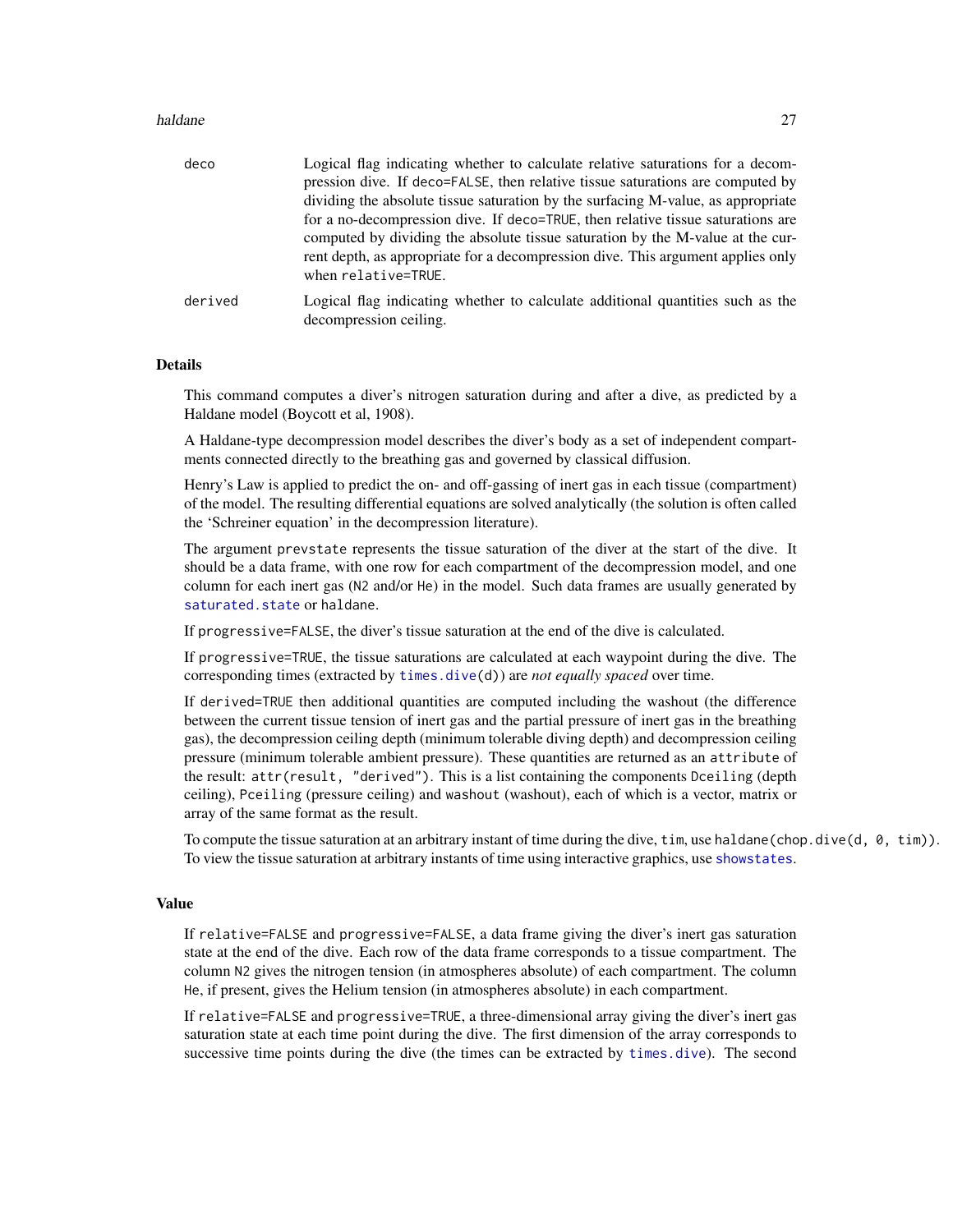#### <span id="page-26-0"></span>haldane 27 anisotrophysics and the set of the set of the set of the set of the set of the set of the set of the set of the set of the set of the set of the set of the set of the set of the set of the set of the set of the

| deco    | Logical flag indicating whether to calculate relative saturations for a decom-<br>pression dive. If deco=FALSE, then relative tissue saturations are computed by<br>dividing the absolute tissue saturation by the surfacing M-value, as appropriate<br>for a no-decompression dive. If deco=TRUE, then relative tissue saturations are<br>computed by dividing the absolute tissue saturation by the M-value at the cur-<br>rent depth, as appropriate for a decompression dive. This argument applies only<br>when relative=TRUE. |
|---------|-------------------------------------------------------------------------------------------------------------------------------------------------------------------------------------------------------------------------------------------------------------------------------------------------------------------------------------------------------------------------------------------------------------------------------------------------------------------------------------------------------------------------------------|
| derived | Logical flag indicating whether to calculate additional quantities such as the<br>decompression ceiling.                                                                                                                                                                                                                                                                                                                                                                                                                            |

#### Details

This command computes a diver's nitrogen saturation during and after a dive, as predicted by a Haldane model (Boycott et al, 1908).

A Haldane-type decompression model describes the diver's body as a set of independent compartments connected directly to the breathing gas and governed by classical diffusion.

Henry's Law is applied to predict the on- and off-gassing of inert gas in each tissue (compartment) of the model. The resulting differential equations are solved analytically (the solution is often called the 'Schreiner equation' in the decompression literature).

The argument prevstate represents the tissue saturation of the diver at the start of the dive. It should be a data frame, with one row for each compartment of the decompression model, and one column for each inert gas (N2 and/or He) in the model. Such data frames are usually generated by saturated. state or haldane.

If progressive=FALSE, the diver's tissue saturation at the end of the dive is calculated.

If progressive=TRUE, the tissue saturations are calculated at each waypoint during the dive. The corresponding times (extracted by [times.dive\(](#page-51-1)d)) are *not equally spaced* over time.

If derived=TRUE then additional quantities are computed including the washout (the difference between the current tissue tension of inert gas and the partial pressure of inert gas in the breathing gas), the decompression ceiling depth (minimum tolerable diving depth) and decompression ceiling pressure (minimum tolerable ambient pressure). These quantities are returned as an attribute of the result: attr(result, "derived"). This is a list containing the components Dceiling (depth ceiling), Pceiling (pressure ceiling) and washout (washout), each of which is a vector, matrix or array of the same format as the result.

To compute the tissue saturation at an arbitrary instant of time during the dive,  $\lim_{n \to \infty} \frac{\text{d} \log(\text{d} \log \text{d} \log \text{d} \log \text{d} \log \text{d} \log \text{d} \log \text{d} \log \text{d} \log \text{d} \log \text{d} \log \text{d} \log \text{d} \log \text{d} \log \text{d} \log \text{d} \log \text{d} \log \text{d} \log$ To view the tissue saturation at arbitrary instants of time using interactive graphics, use [showstates](#page-49-1).

#### Value

If relative=FALSE and progressive=FALSE, a data frame giving the diver's inert gas saturation state at the end of the dive. Each row of the data frame corresponds to a tissue compartment. The column N2 gives the nitrogen tension (in atmospheres absolute) of each compartment. The column He, if present, gives the Helium tension (in atmospheres absolute) in each compartment.

If relative=FALSE and progressive=TRUE, a three-dimensional array giving the diver's inert gas saturation state at each time point during the dive. The first dimension of the array corresponds to successive time points during the dive (the times can be extracted by [times.dive](#page-51-1)). The second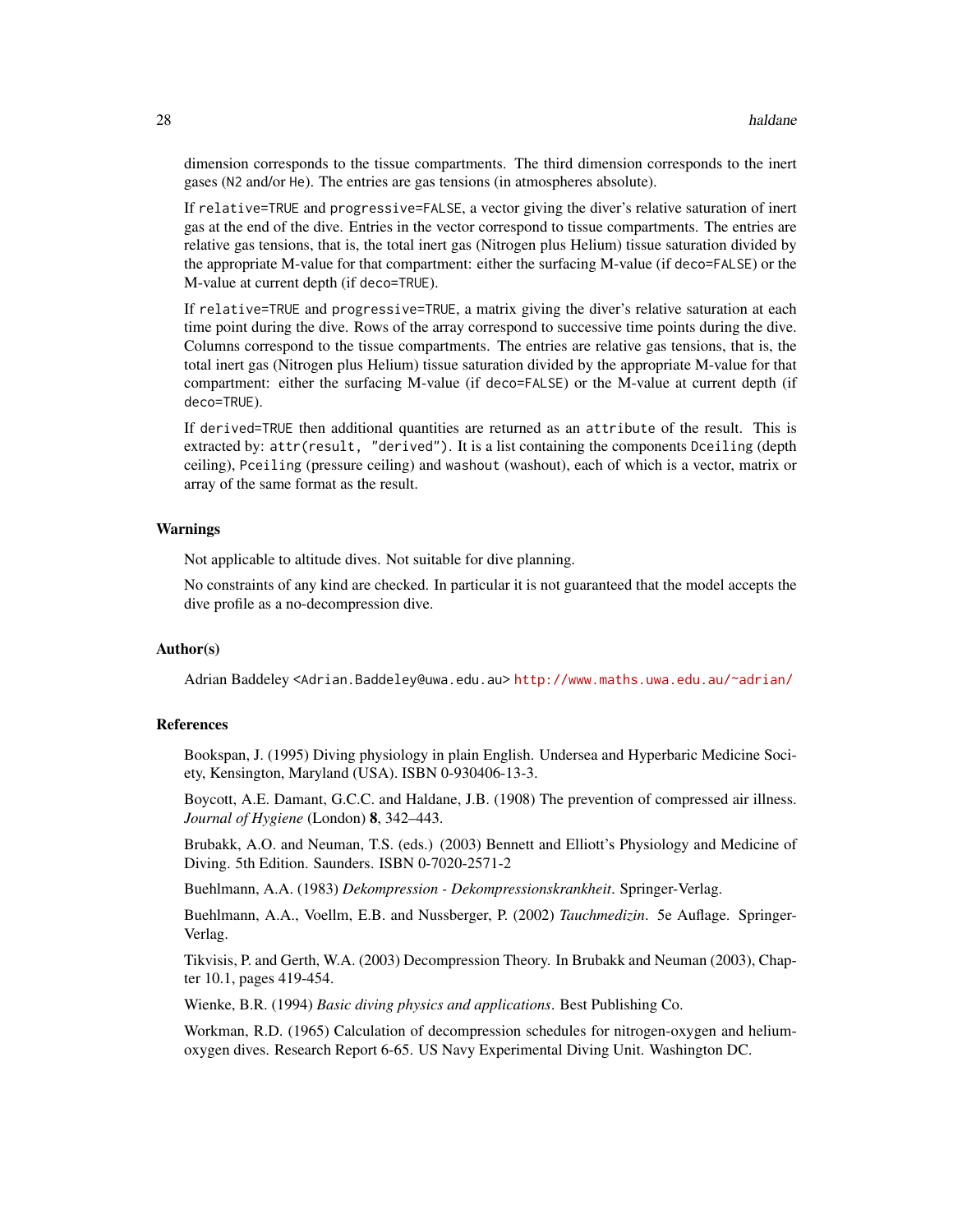dimension corresponds to the tissue compartments. The third dimension corresponds to the inert gases (N2 and/or He). The entries are gas tensions (in atmospheres absolute).

If relative=TRUE and progressive=FALSE, a vector giving the diver's relative saturation of inert gas at the end of the dive. Entries in the vector correspond to tissue compartments. The entries are relative gas tensions, that is, the total inert gas (Nitrogen plus Helium) tissue saturation divided by the appropriate M-value for that compartment: either the surfacing M-value (if deco=FALSE) or the M-value at current depth (if deco=TRUE).

If relative=TRUE and progressive=TRUE, a matrix giving the diver's relative saturation at each time point during the dive. Rows of the array correspond to successive time points during the dive. Columns correspond to the tissue compartments. The entries are relative gas tensions, that is, the total inert gas (Nitrogen plus Helium) tissue saturation divided by the appropriate M-value for that compartment: either the surfacing M-value (if deco=FALSE) or the M-value at current depth (if deco=TRUE).

If derived=TRUE then additional quantities are returned as an attribute of the result. This is extracted by: attr(result, "derived"). It is a list containing the components Dceiling (depth ceiling), Pceiling (pressure ceiling) and washout (washout), each of which is a vector, matrix or array of the same format as the result.

#### Warnings

Not applicable to altitude dives. Not suitable for dive planning.

No constraints of any kind are checked. In particular it is not guaranteed that the model accepts the dive profile as a no-decompression dive.

### Author(s)

Adrian Baddeley <Adrian.Baddeley@uwa.edu.au> <http://www.maths.uwa.edu.au/~adrian/>

#### **References**

Bookspan, J. (1995) Diving physiology in plain English. Undersea and Hyperbaric Medicine Society, Kensington, Maryland (USA). ISBN 0-930406-13-3.

Boycott, A.E. Damant, G.C.C. and Haldane, J.B. (1908) The prevention of compressed air illness. *Journal of Hygiene* (London) 8, 342–443.

Brubakk, A.O. and Neuman, T.S. (eds.) (2003) Bennett and Elliott's Physiology and Medicine of Diving. 5th Edition. Saunders. ISBN 0-7020-2571-2

Buehlmann, A.A. (1983) *Dekompression - Dekompressionskrankheit*. Springer-Verlag.

Buehlmann, A.A., Voellm, E.B. and Nussberger, P. (2002) *Tauchmedizin*. 5e Auflage. Springer-Verlag.

Tikvisis, P. and Gerth, W.A. (2003) Decompression Theory. In Brubakk and Neuman (2003), Chapter 10.1, pages 419-454.

Wienke, B.R. (1994) *Basic diving physics and applications*. Best Publishing Co.

Workman, R.D. (1965) Calculation of decompression schedules for nitrogen-oxygen and heliumoxygen dives. Research Report 6-65. US Navy Experimental Diving Unit. Washington DC.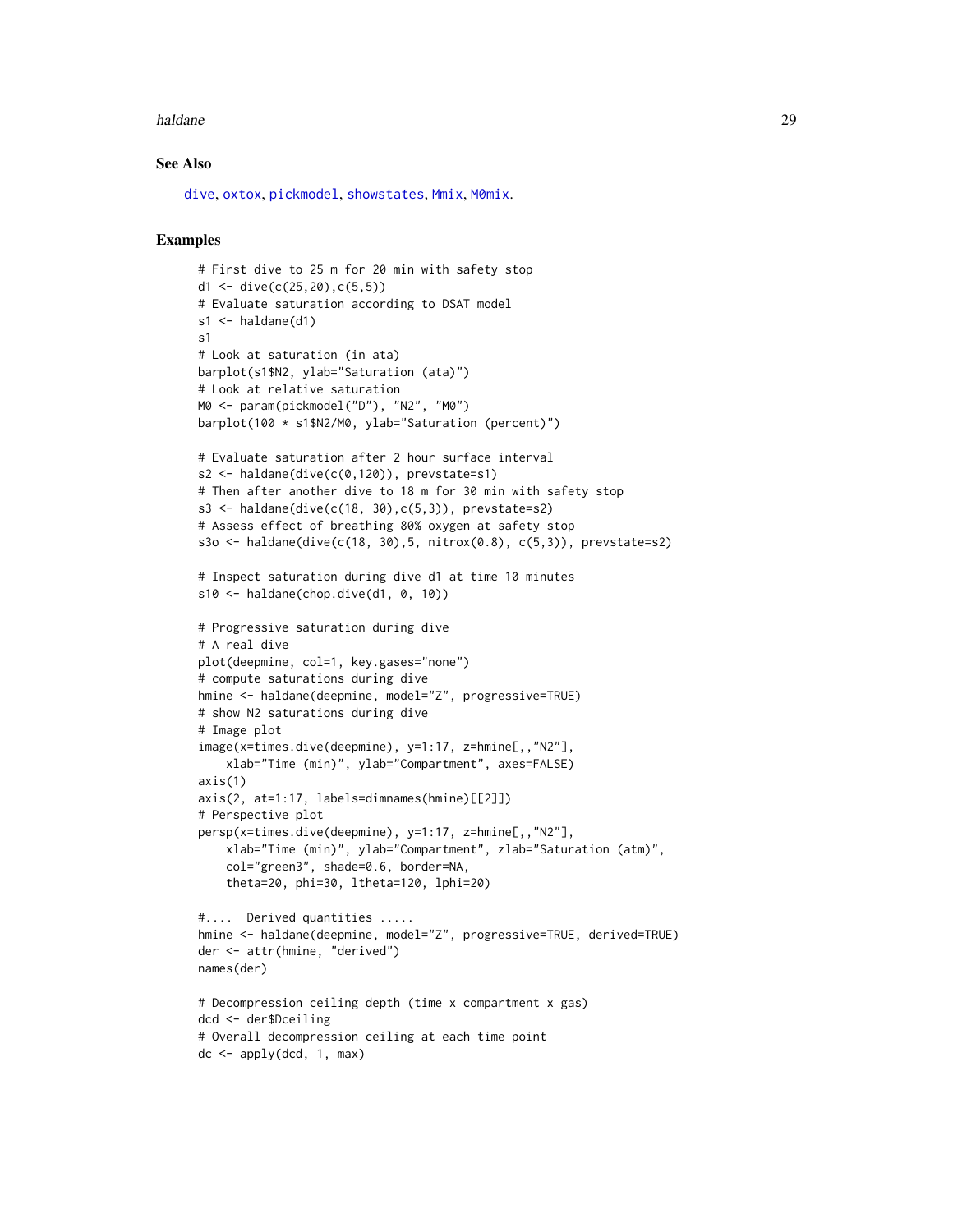#### <span id="page-28-0"></span>haldane 29

#### See Also

[dive](#page-19-1), [oxtox](#page-38-1), [pickmodel](#page-42-1), [showstates](#page-49-1), [Mmix](#page-33-1), [M0mix](#page-33-2).

```
# First dive to 25 m for 20 min with safety stop
d1 <- dive(c(25, 20),c(5, 5))
# Evaluate saturation according to DSAT model
s1 \leftarrow \text{haldane(d1)}s1
# Look at saturation (in ata)
barplot(s1$N2, ylab="Saturation (ata)")
# Look at relative saturation
M0 <- param(pickmodel("D"), "N2", "M0")
barplot(100 * s1$N2/M0, ylab="Saturation (percent)")
# Evaluate saturation after 2 hour surface interval
s2 <- haldane(dive(c(0,120)), prevstate=s1)
# Then after another dive to 18 m for 30 min with safety stop
s3 <- haldane(dive(c(18, 30),c(5,3)), prevstate=s2)
# Assess effect of breathing 80% oxygen at safety stop
s3o <- haldane(dive(c(18, 30),5, nitrox(0.8), c(5,3)), prevstate=s2)
# Inspect saturation during dive d1 at time 10 minutes
s10 \leftarrow \text{haldane}(\text{chop.dive}(d1, 0, 10))# Progressive saturation during dive
# A real dive
plot(deepmine, col=1, key.gases="none")
# compute saturations during dive
hmine <- haldane(deepmine, model="Z", progressive=TRUE)
# show N2 saturations during dive
# Image plot
image(x=times.dive(deepmine), y=1:17, z=hmine[,,"N2"],
    xlab="Time (min)", ylab="Compartment", axes=FALSE)
axis(1)
axis(2, at=1:17, labels=dimnames(hmine)[[2]])
# Perspective plot
persp(x=times.dive(deepmine), y=1:17, z=hmine[,,"N2"],
    xlab="Time (min)", ylab="Compartment", zlab="Saturation (atm)",
    col="green3", shade=0.6, border=NA,
    theta=20, phi=30, ltheta=120, lphi=20)
#.... Derived quantities .....
hmine <- haldane(deepmine, model="Z", progressive=TRUE, derived=TRUE)
der <- attr(hmine, "derived")
names(der)
# Decompression ceiling depth (time x compartment x gas)
dcd <- der$Dceiling
# Overall decompression ceiling at each time point
dc \leftarrow apply(dcd, 1, max)
```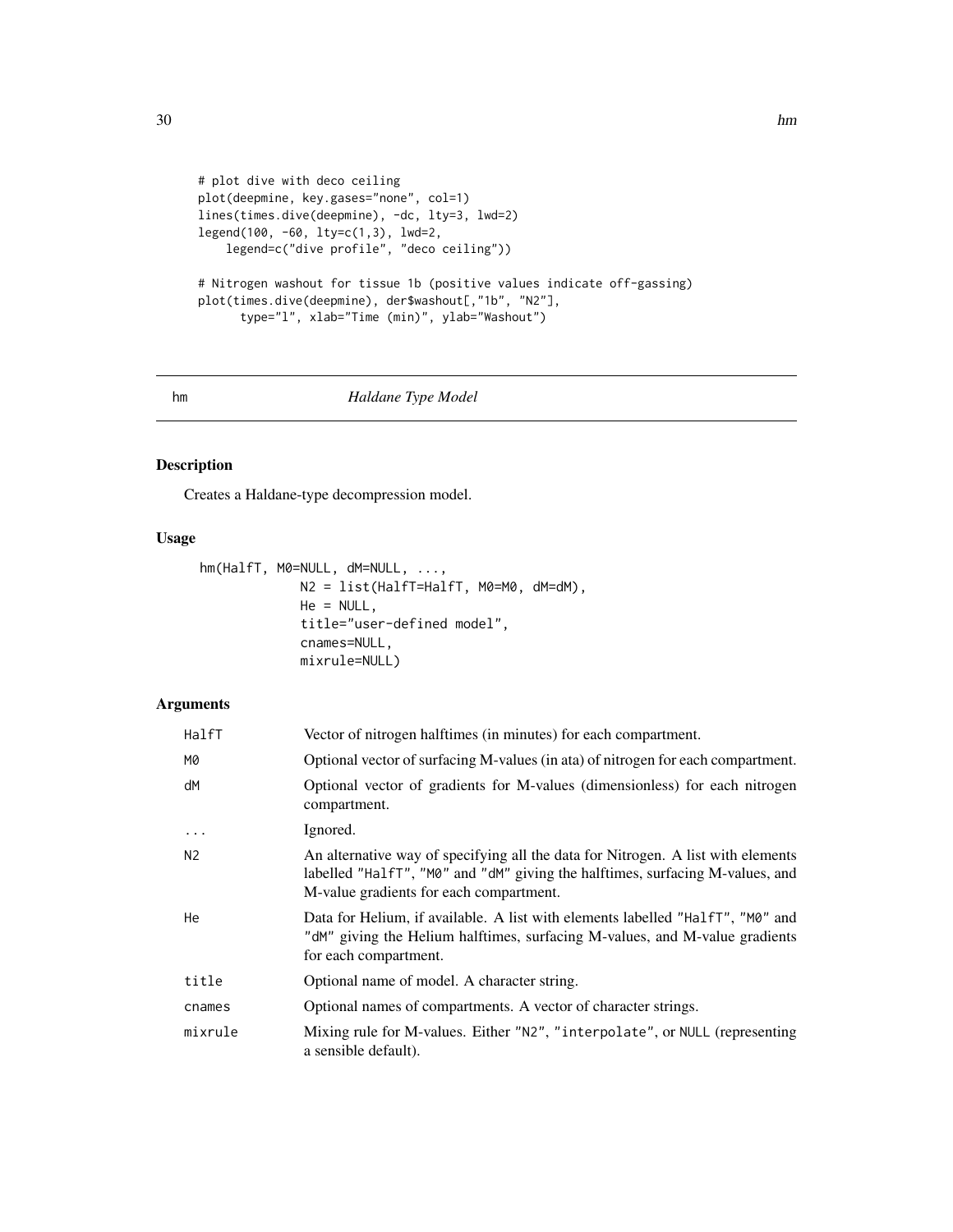```
# plot dive with deco ceiling
plot(deepmine, key.gases="none", col=1)
lines(times.dive(deepmine), -dc, lty=3, lwd=2)
legend(100, -60, lty=c(1,3), lwd=2,
    legend=c("dive profile", "deco ceiling"))
# Nitrogen washout for tissue 1b (positive values indicate off-gassing)
plot(times.dive(deepmine), der$washout[,"1b", "N2"],
      type="l", xlab="Time (min)", ylab="Washout")
```
<span id="page-29-1"></span>

#### hm *Haldane Type Model*

## Description

Creates a Haldane-type decompression model.

## Usage

```
hm(HalfT, M0=NULL, dM=NULL, ...,
             N2 = list(HalfT=HalfT, M0=M0, dM=dM),
             He = NULL,title="user-defined model",
             cnames=NULL,
             mixrule=NULL)
```

| HalfT             | Vector of nitrogen halftimes (in minutes) for each compartment.                                                                                                                                              |
|-------------------|--------------------------------------------------------------------------------------------------------------------------------------------------------------------------------------------------------------|
| M0                | Optional vector of surfacing M-values (in ata) of nitrogen for each compartment.                                                                                                                             |
| dM                | Optional vector of gradients for M-values (dimensionless) for each nitrogen<br>compartment.                                                                                                                  |
| $\cdot\cdot\cdot$ | Ignored.                                                                                                                                                                                                     |
| N <sub>2</sub>    | An alternative way of specifying all the data for Nitrogen. A list with elements<br>labelled "HalfT", "M0" and "dM" giving the halftimes, surfacing M-values, and<br>M-value gradients for each compartment. |
| He                | Data for Helium, if available. A list with elements labelled "HalfT", "M0" and<br>"dM" giving the Helium halftimes, surfacing M-values, and M-value gradients<br>for each compartment.                       |
| title             | Optional name of model. A character string.                                                                                                                                                                  |
| cnames            | Optional names of compartments. A vector of character strings.                                                                                                                                               |
| mixrule           | Mixing rule for M-values. Either "N2", "interpolate", or NULL (representing<br>a sensible default).                                                                                                          |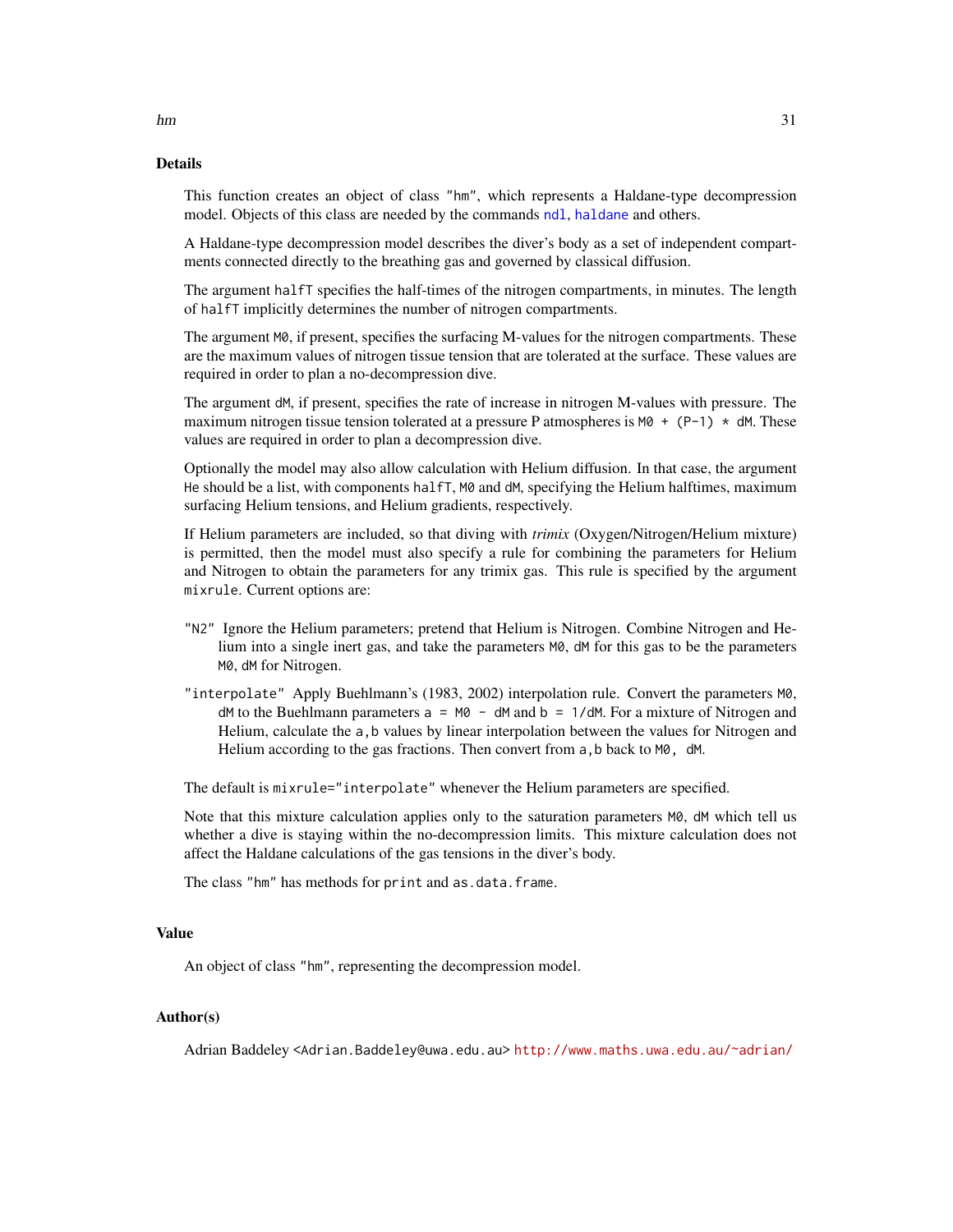## Details

This function creates an object of class "hm", which represents a Haldane-type decompression model. Objects of this class are needed by the commands [ndl](#page-36-1), [haldane](#page-25-1) and others.

A Haldane-type decompression model describes the diver's body as a set of independent compartments connected directly to the breathing gas and governed by classical diffusion.

The argument halfT specifies the half-times of the nitrogen compartments, in minutes. The length of halfT implicitly determines the number of nitrogen compartments.

The argument M0, if present, specifies the surfacing M-values for the nitrogen compartments. These are the maximum values of nitrogen tissue tension that are tolerated at the surface. These values are required in order to plan a no-decompression dive.

The argument dM, if present, specifies the rate of increase in nitrogen M-values with pressure. The maximum nitrogen tissue tension tolerated at a pressure P atmospheres is  $M0 + (P-1) \times dM$ . These values are required in order to plan a decompression dive.

Optionally the model may also allow calculation with Helium diffusion. In that case, the argument He should be a list, with components halfT, M0 and dM, specifying the Helium halftimes, maximum surfacing Helium tensions, and Helium gradients, respectively.

If Helium parameters are included, so that diving with *trimix* (Oxygen/Nitrogen/Helium mixture) is permitted, then the model must also specify a rule for combining the parameters for Helium and Nitrogen to obtain the parameters for any trimix gas. This rule is specified by the argument mixrule. Current options are:

- "N2" Ignore the Helium parameters; pretend that Helium is Nitrogen. Combine Nitrogen and Helium into a single inert gas, and take the parameters M0, dM for this gas to be the parameters M0, dM for Nitrogen.
- "interpolate" Apply Buehlmann's (1983, 2002) interpolation rule. Convert the parameters M0,  $dM$  to the Buehlmann parameters  $a = M0 - dM$  and  $b = 1/dM$ . For a mixture of Nitrogen and Helium, calculate the a,b values by linear interpolation between the values for Nitrogen and Helium according to the gas fractions. Then convert from a, b back to M0, dM.

The default is mixrule="interpolate" whenever the Helium parameters are specified.

Note that this mixture calculation applies only to the saturation parameters M0, dM which tell us whether a dive is staying within the no-decompression limits. This mixture calculation does not affect the Haldane calculations of the gas tensions in the diver's body.

The class "hm" has methods for print and as.data.frame.

## Value

An object of class "hm", representing the decompression model.

## Author(s)

Adrian Baddeley <Adrian.Baddeley@uwa.edu.au> <http://www.maths.uwa.edu.au/~adrian/>

<span id="page-30-0"></span> $hm$  31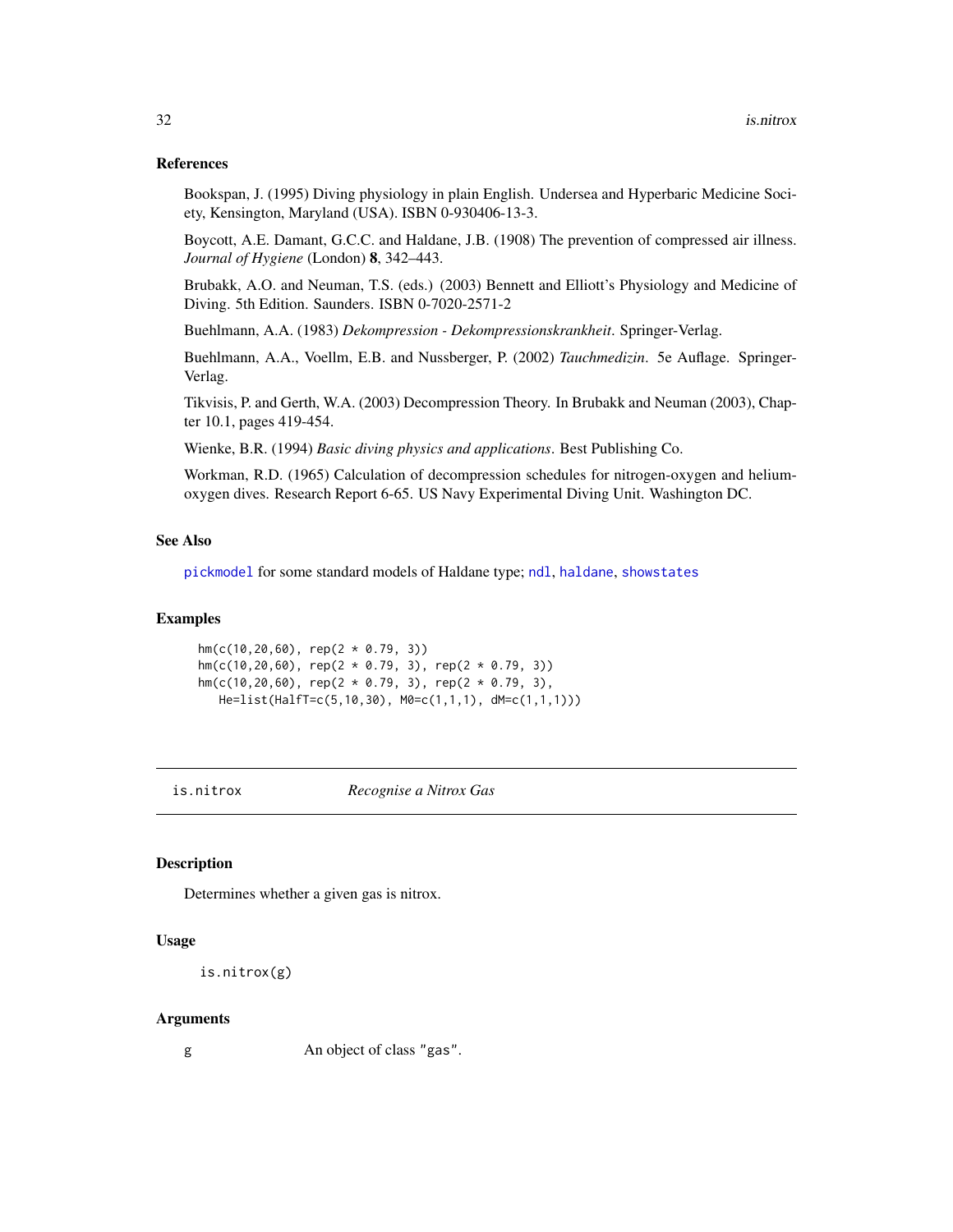#### <span id="page-31-0"></span>References

Bookspan, J. (1995) Diving physiology in plain English. Undersea and Hyperbaric Medicine Society, Kensington, Maryland (USA). ISBN 0-930406-13-3.

Boycott, A.E. Damant, G.C.C. and Haldane, J.B. (1908) The prevention of compressed air illness. *Journal of Hygiene* (London) 8, 342–443.

Brubakk, A.O. and Neuman, T.S. (eds.) (2003) Bennett and Elliott's Physiology and Medicine of Diving. 5th Edition. Saunders. ISBN 0-7020-2571-2

Buehlmann, A.A. (1983) *Dekompression - Dekompressionskrankheit*. Springer-Verlag.

Buehlmann, A.A., Voellm, E.B. and Nussberger, P. (2002) *Tauchmedizin*. 5e Auflage. Springer-Verlag.

Tikvisis, P. and Gerth, W.A. (2003) Decompression Theory. In Brubakk and Neuman (2003), Chapter 10.1, pages 419-454.

Wienke, B.R. (1994) *Basic diving physics and applications*. Best Publishing Co.

Workman, R.D. (1965) Calculation of decompression schedules for nitrogen-oxygen and heliumoxygen dives. Research Report 6-65. US Navy Experimental Diving Unit. Washington DC.

## See Also

[pickmodel](#page-42-1) for some standard models of Haldane type; [ndl](#page-36-1), [haldane](#page-25-1), [showstates](#page-49-1)

#### Examples

hm(c(10,20,60), rep(2 \* 0.79, 3)) hm(c(10,20,60), rep(2  $*$  0.79, 3), rep(2  $*$  0.79, 3)) hm(c(10,20,60), rep(2 \* 0.79, 3), rep(2 \* 0.79, 3), He=list(HalfT=c(5,10,30), M0=c(1,1,1), dM=c(1,1,1)))

<span id="page-31-1"></span>

is.nitrox *Recognise a Nitrox Gas*

## **Description**

Determines whether a given gas is nitrox.

#### Usage

```
is.nitrox(g)
```
#### Arguments

g An object of class "gas".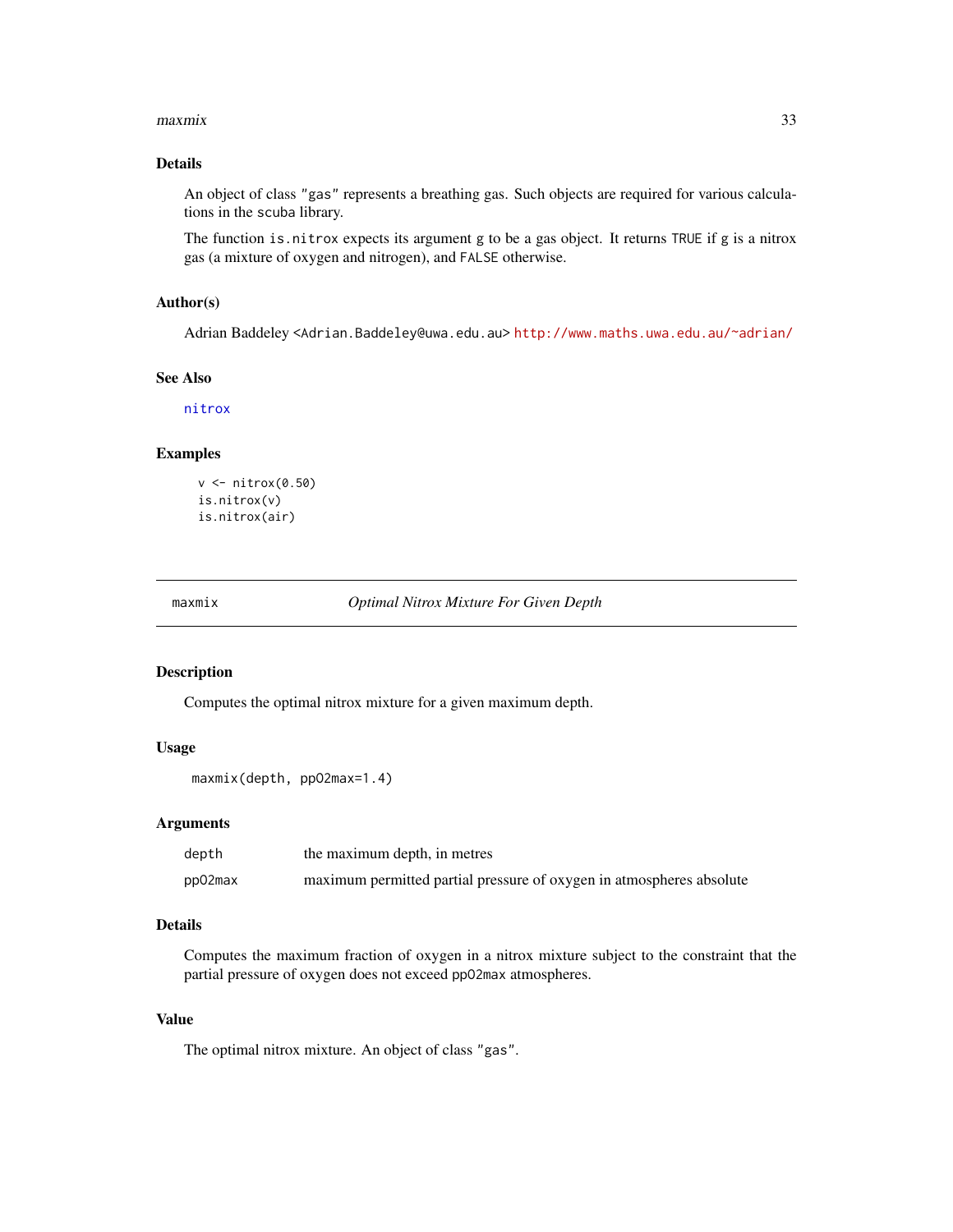#### <span id="page-32-0"></span>maxmix 33

## Details

An object of class "gas" represents a breathing gas. Such objects are required for various calculations in the scuba library.

The function is.nitrox expects its argument g to be a gas object. It returns TRUE if g is a nitrox gas (a mixture of oxygen and nitrogen), and FALSE otherwise.

### Author(s)

Adrian Baddeley <Adrian.Baddeley@uwa.edu.au> <http://www.maths.uwa.edu.au/~adrian/>

#### See Also

[nitrox](#page-37-1)

## Examples

```
v <- nitrox(0.50)
is.nitrox(v)
is.nitrox(air)
```
<span id="page-32-1"></span>maxmix *Optimal Nitrox Mixture For Given Depth*

#### Description

Computes the optimal nitrox mixture for a given maximum depth.

#### Usage

```
maxmix(depth, ppO2max=1.4)
```
#### Arguments

| depth   | the maximum depth, in metres                                         |
|---------|----------------------------------------------------------------------|
| pp02max | maximum permitted partial pressure of oxygen in atmospheres absolute |

## Details

Computes the maximum fraction of oxygen in a nitrox mixture subject to the constraint that the partial pressure of oxygen does not exceed ppO2max atmospheres.

## Value

The optimal nitrox mixture. An object of class "gas".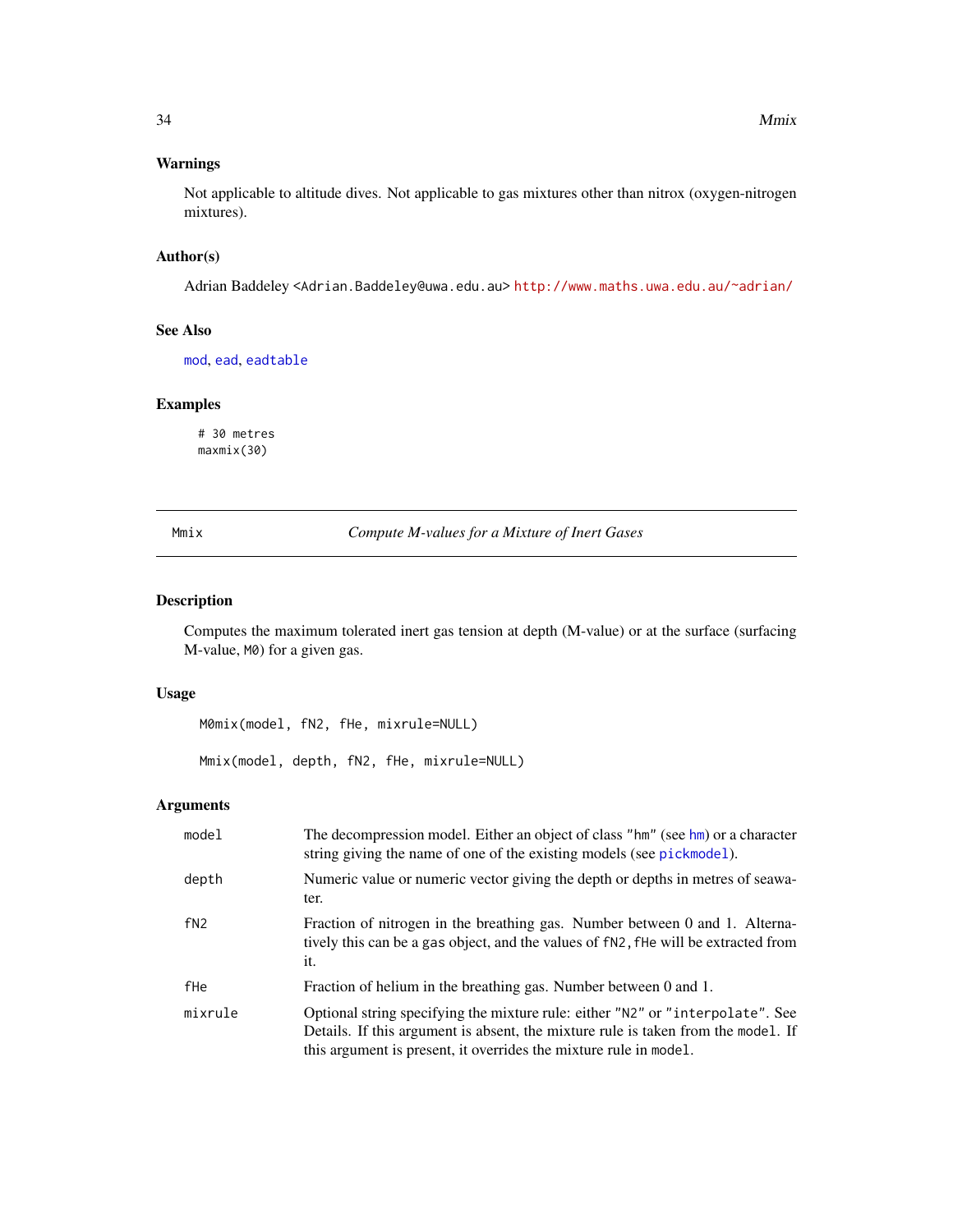## <span id="page-33-0"></span>Warnings

Not applicable to altitude dives. Not applicable to gas mixtures other than nitrox (oxygen-nitrogen mixtures).

## Author(s)

Adrian Baddeley <Adrian.Baddeley@uwa.edu.au> <http://www.maths.uwa.edu.au/~adrian/>

## See Also

[mod](#page-35-1), [ead](#page-23-1), [eadtable](#page-23-2)

## Examples

# 30 metres maxmix(30)

<span id="page-33-1"></span>Mmix *Compute M-values for a Mixture of Inert Gases*

## <span id="page-33-2"></span>Description

Computes the maximum tolerated inert gas tension at depth (M-value) or at the surface (surfacing M-value, M0) for a given gas.

## Usage

```
M0mix(model, fN2, fHe, mixrule=NULL)
```
Mmix(model, depth, fN2, fHe, mixrule=NULL)

| model   | The decompression model. Either an object of class "hm" (see hm) or a character<br>string giving the name of one of the existing models (see pickmodel).                                                                                 |
|---------|------------------------------------------------------------------------------------------------------------------------------------------------------------------------------------------------------------------------------------------|
| depth   | Numeric value or numeric vector giving the depth or depths in metres of seawa-<br>ter.                                                                                                                                                   |
| fN2     | Fraction of nitrogen in the breathing gas. Number between 0 and 1. Alterna-<br>tively this can be a gas object, and the values of fN2, fHe will be extracted from<br>it.                                                                 |
| fHe     | Fraction of helium in the breathing gas. Number between 0 and 1.                                                                                                                                                                         |
| mixrule | Optional string specifying the mixture rule: either "N2" or "interpolate". See<br>Details. If this argument is absent, the mixture rule is taken from the model. If<br>this argument is present, it overrides the mixture rule in model. |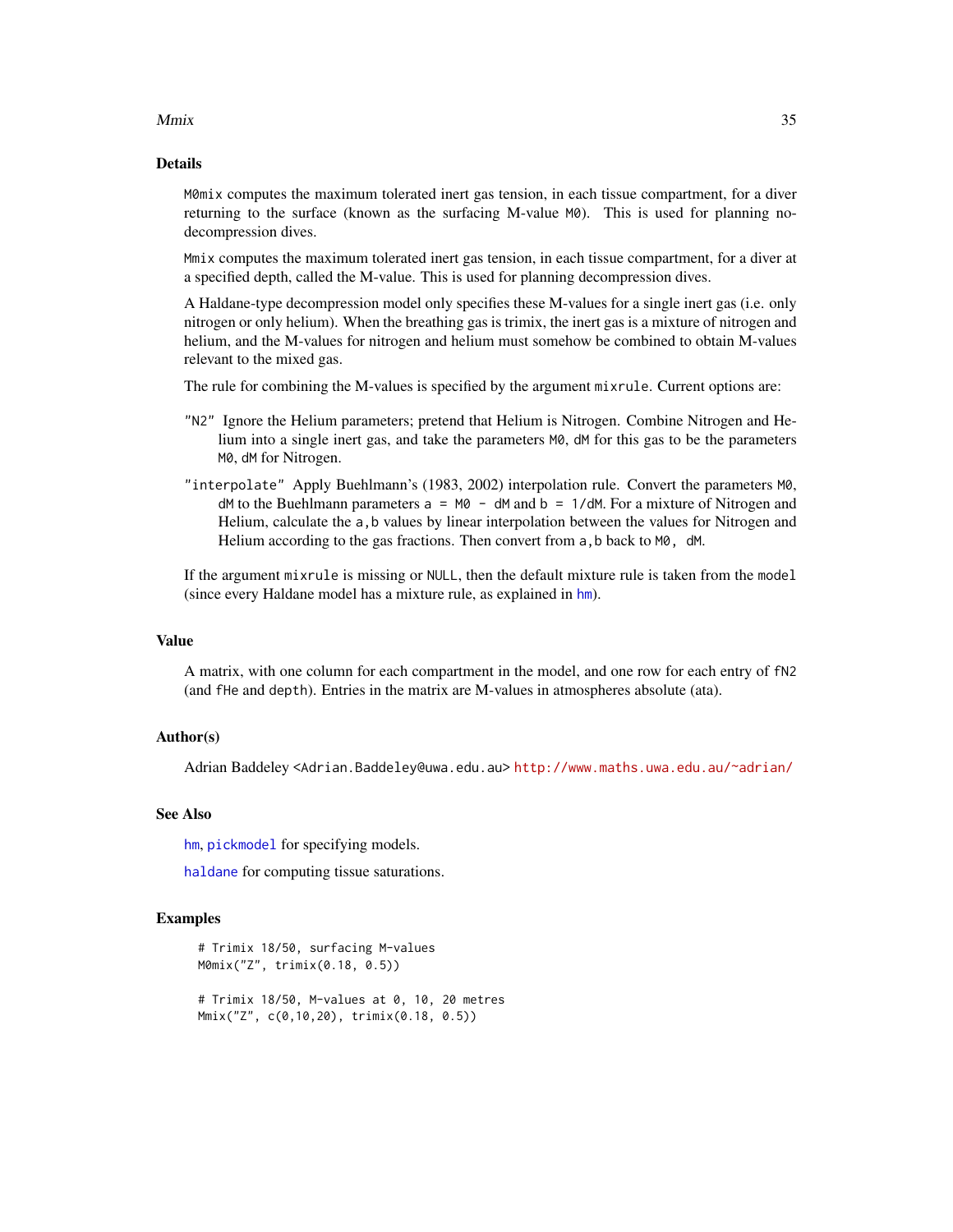#### <span id="page-34-0"></span> $Mmix$  35

## Details

M0mix computes the maximum tolerated inert gas tension, in each tissue compartment, for a diver returning to the surface (known as the surfacing M-value M0). This is used for planning nodecompression dives.

Mmix computes the maximum tolerated inert gas tension, in each tissue compartment, for a diver at a specified depth, called the M-value. This is used for planning decompression dives.

A Haldane-type decompression model only specifies these M-values for a single inert gas (i.e. only nitrogen or only helium). When the breathing gas is trimix, the inert gas is a mixture of nitrogen and helium, and the M-values for nitrogen and helium must somehow be combined to obtain M-values relevant to the mixed gas.

The rule for combining the M-values is specified by the argument mixrule. Current options are:

- "N2" Ignore the Helium parameters; pretend that Helium is Nitrogen. Combine Nitrogen and Helium into a single inert gas, and take the parameters M0, dM for this gas to be the parameters M0, dM for Nitrogen.
- "interpolate" Apply Buehlmann's (1983, 2002) interpolation rule. Convert the parameters M0,  $dM$  to the Buehlmann parameters  $a = M0 - dM$  and  $b = 1/dM$ . For a mixture of Nitrogen and Helium, calculate the a, b values by linear interpolation between the values for Nitrogen and Helium according to the gas fractions. Then convert from a, b back to M0, dM.

If the argument mixrule is missing or NULL, then the default mixture rule is taken from the model (since every Haldane model has a mixture rule, as explained in [hm](#page-29-1)).

#### Value

A matrix, with one column for each compartment in the model, and one row for each entry of fN2 (and fHe and depth). Entries in the matrix are M-values in atmospheres absolute (ata).

## Author(s)

Adrian Baddeley <Adrian.Baddeley@uwa.edu.au> <http://www.maths.uwa.edu.au/~adrian/>

#### See Also

[hm](#page-29-1), [pickmodel](#page-42-1) for specifying models.

[haldane](#page-25-1) for computing tissue saturations.

```
# Trimix 18/50, surfacing M-values
M0mix("Z", trimix(0.18, 0.5))
# Trimix 18/50, M-values at 0, 10, 20 metres
Mmix("Z", c(0,10,20), trimix(0.18, 0.5))
```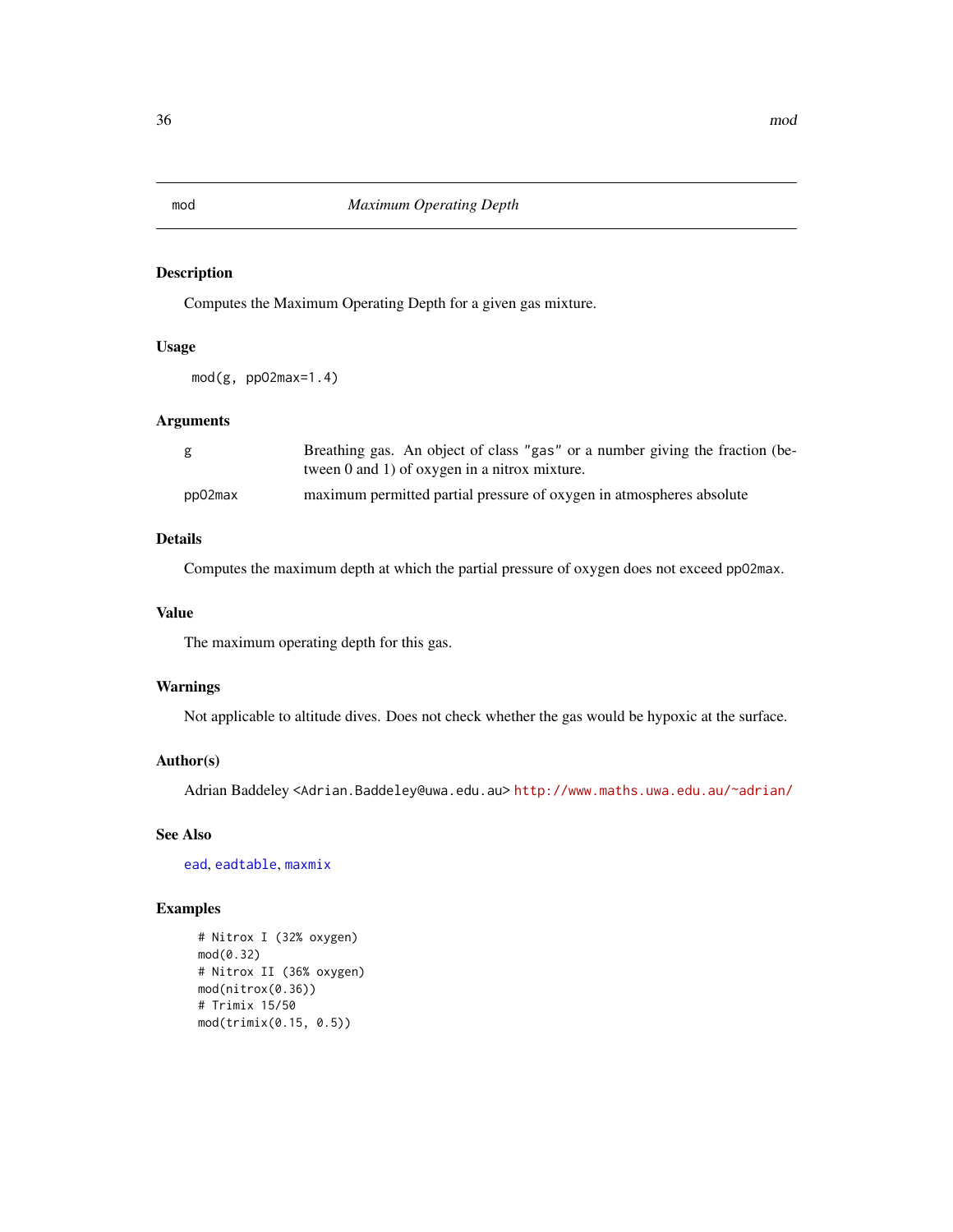<span id="page-35-1"></span><span id="page-35-0"></span>

## **Description**

Computes the Maximum Operating Depth for a given gas mixture.

## Usage

mod(g, ppO2max=1.4)

## Arguments

| g       | Breathing gas. An object of class "gas" or a number giving the fraction (be- |
|---------|------------------------------------------------------------------------------|
|         | tween $0$ and $1$ ) of oxygen in a nitrox mixture.                           |
| pp02max | maximum permitted partial pressure of oxygen in atmospheres absolute         |

## Details

Computes the maximum depth at which the partial pressure of oxygen does not exceed ppO2max.

## Value

The maximum operating depth for this gas.

## Warnings

Not applicable to altitude dives. Does not check whether the gas would be hypoxic at the surface.

## Author(s)

Adrian Baddeley <Adrian.Baddeley@uwa.edu.au> <http://www.maths.uwa.edu.au/~adrian/>

## See Also

[ead](#page-23-1), [eadtable](#page-23-2), [maxmix](#page-32-1)

```
# Nitrox I (32% oxygen)
mod(0.32)
# Nitrox II (36% oxygen)
mod(nitrox(0.36))
# Trimix 15/50
mod(trimix(0.15, 0.5))
```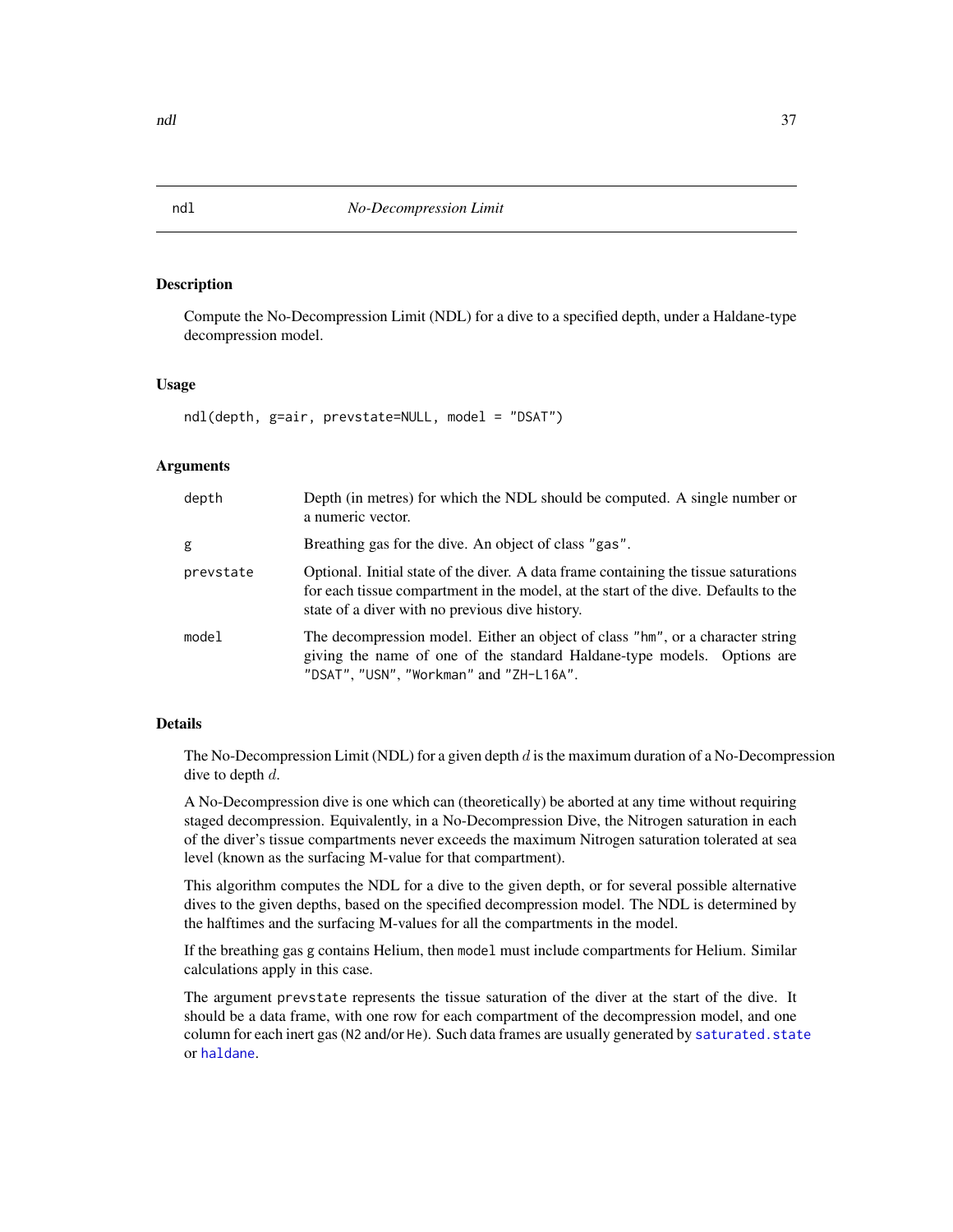#### Description

Compute the No-Decompression Limit (NDL) for a dive to a specified depth, under a Haldane-type decompression model.

#### Usage

```
ndl(depth, g=air, prevstate=NULL, model = "DSAT")
```
#### Arguments

| depth     | Depth (in metres) for which the NDL should be computed. A single number or<br>a numeric vector.                                                                                                                                |
|-----------|--------------------------------------------------------------------------------------------------------------------------------------------------------------------------------------------------------------------------------|
| g         | Breathing gas for the dive. An object of class "gas".                                                                                                                                                                          |
| prevstate | Optional. Initial state of the diver. A data frame containing the tissue saturations<br>for each tissue compartment in the model, at the start of the dive. Defaults to the<br>state of a diver with no previous dive history. |
| model     | The decompression model. Either an object of class "hm", or a character string<br>giving the name of one of the standard Haldane-type models. Options are<br>"DSAT", "USN", "Workman" and "ZH-L16A".                           |

## Details

The No-Decompression Limit (NDL) for a given depth  $d$  is the maximum duration of a No-Decompression dive to depth  $d$ .

A No-Decompression dive is one which can (theoretically) be aborted at any time without requiring staged decompression. Equivalently, in a No-Decompression Dive, the Nitrogen saturation in each of the diver's tissue compartments never exceeds the maximum Nitrogen saturation tolerated at sea level (known as the surfacing M-value for that compartment).

This algorithm computes the NDL for a dive to the given depth, or for several possible alternative dives to the given depths, based on the specified decompression model. The NDL is determined by the halftimes and the surfacing M-values for all the compartments in the model.

If the breathing gas g contains Helium, then model must include compartments for Helium. Similar calculations apply in this case.

The argument prevstate represents the tissue saturation of the diver at the start of the dive. It should be a data frame, with one row for each compartment of the decompression model, and one column for each inert gas (N2 and/or He). Such data frames are usually generated by saturated. state or [haldane](#page-25-1).

<span id="page-36-1"></span><span id="page-36-0"></span>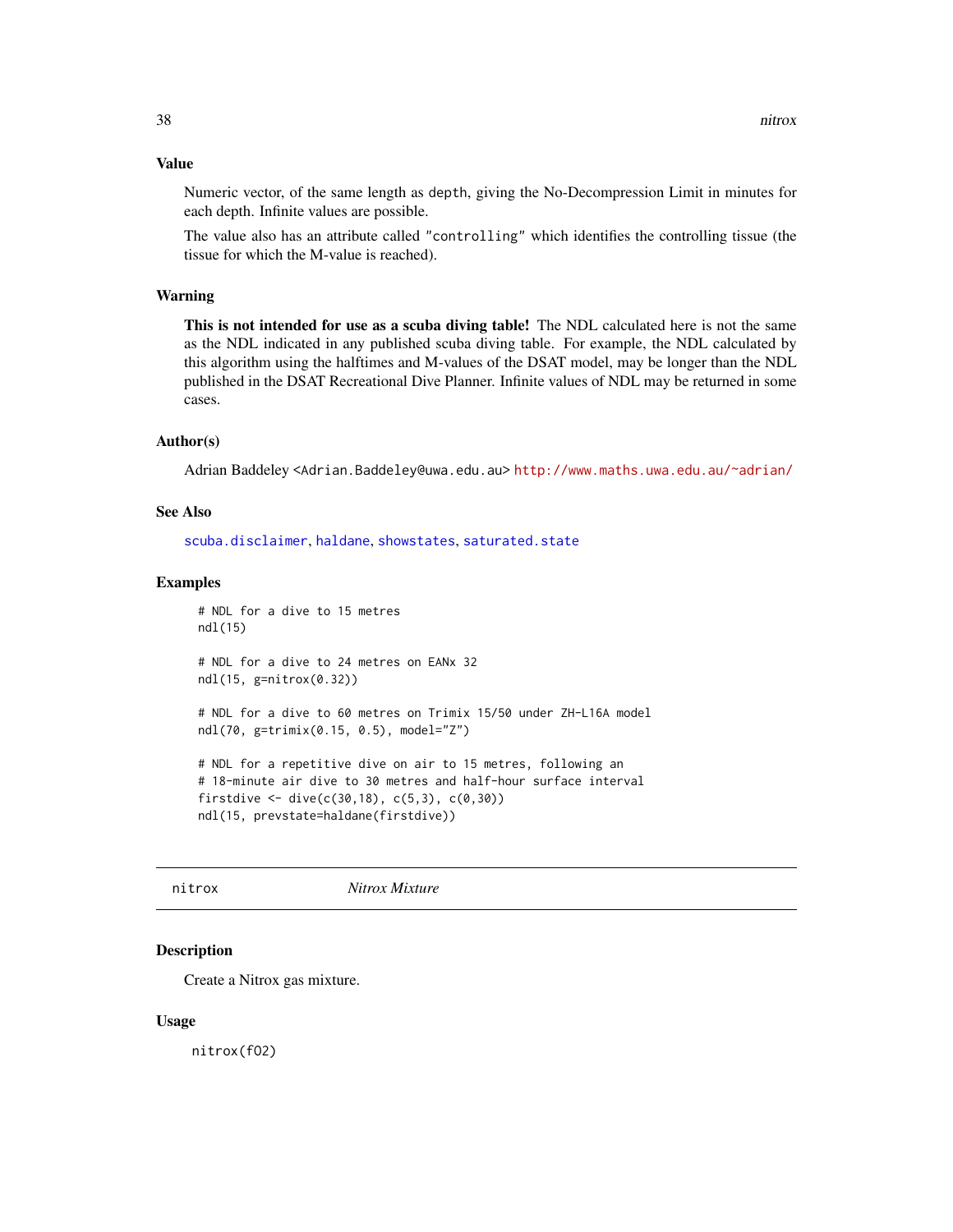## <span id="page-37-0"></span>Value

Numeric vector, of the same length as depth, giving the No-Decompression Limit in minutes for each depth. Infinite values are possible.

The value also has an attribute called "controlling" which identifies the controlling tissue (the tissue for which the M-value is reached).

## Warning

This is not intended for use as a scuba diving table! The NDL calculated here is not the same as the NDL indicated in any published scuba diving table. For example, the NDL calculated by this algorithm using the halftimes and M-values of the DSAT model, may be longer than the NDL published in the DSAT Recreational Dive Planner. Infinite values of NDL may be returned in some cases.

#### Author(s)

Adrian Baddeley <Adrian.Baddeley@uwa.edu.au> <http://www.maths.uwa.edu.au/~adrian/>

#### See Also

[scuba.disclaimer](#page-48-1), [haldane](#page-25-1), [showstates](#page-49-1), [saturated.state](#page-47-1)

#### Examples

```
# NDL for a dive to 15 metres
ndl(15)
# NDL for a dive to 24 metres on EANx 32
ndl(15, g=nitrox(0.32))
# NDL for a dive to 60 metres on Trimix 15/50 under ZH-L16A model
ndl(70, g=trimix(0.15, 0.5), model="Z")
# NDL for a repetitive dive on air to 15 metres, following an
# 18-minute air dive to 30 metres and half-hour surface interval
firstdive \leq dive(c(30,18), c(5,3), c(0,30))
ndl(15, prevstate=haldane(firstdive))
```
<span id="page-37-1"></span>nitrox *Nitrox Mixture*

#### Description

Create a Nitrox gas mixture.

#### Usage

nitrox(fO2)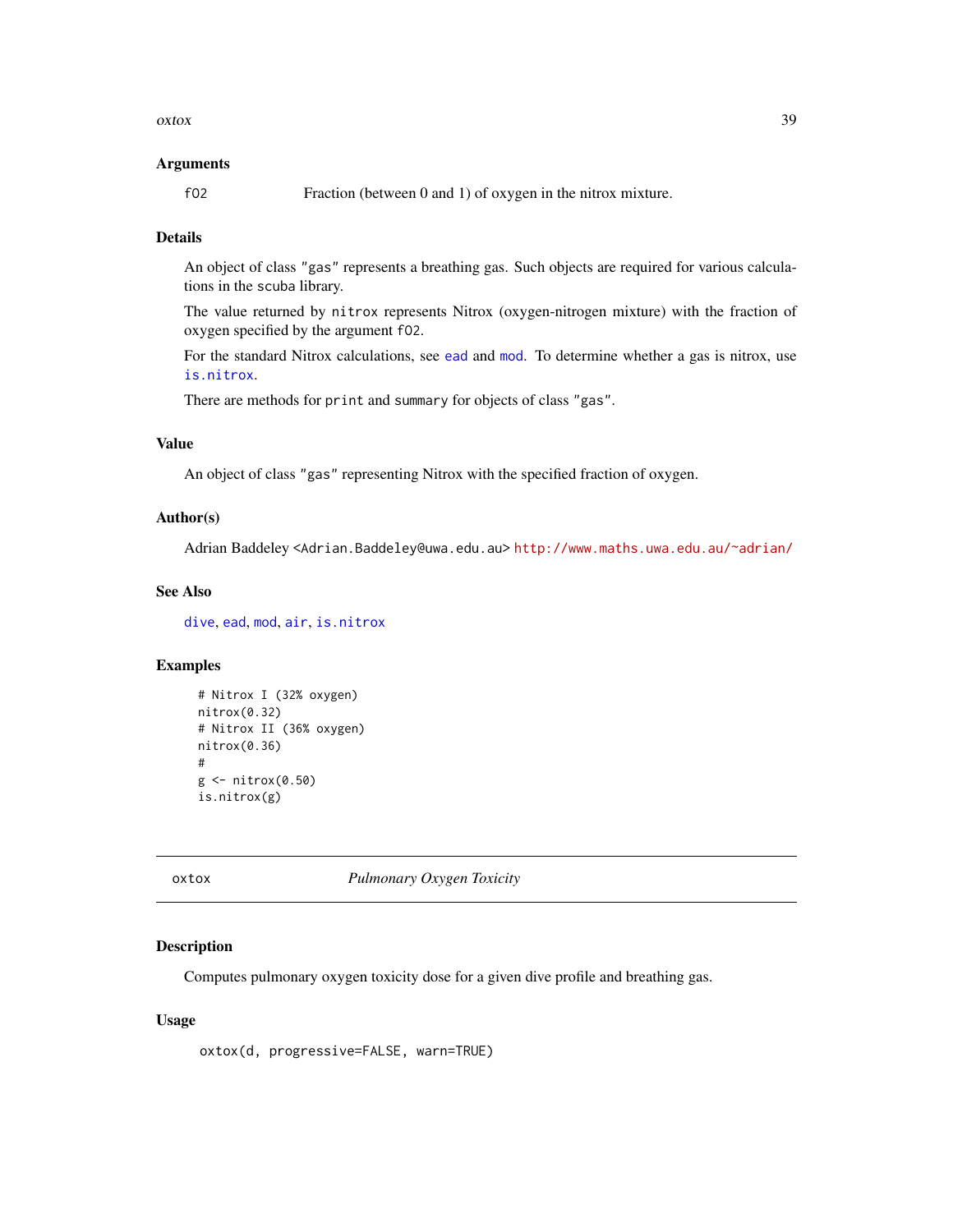#### <span id="page-38-0"></span> $\alpha$ xtox  $\alpha$

#### Arguments

fO2 Fraction (between 0 and 1) of oxygen in the nitrox mixture.

#### Details

An object of class "gas" represents a breathing gas. Such objects are required for various calculations in the scuba library.

The value returned by nitrox represents Nitrox (oxygen-nitrogen mixture) with the fraction of oxygen specified by the argument fO2.

For the standard Nitrox calculations, see [ead](#page-23-1) and [mod](#page-35-1). To determine whether a gas is nitrox, use [is.nitrox](#page-31-1).

There are methods for print and summary for objects of class "gas".

## Value

An object of class "gas" representing Nitrox with the specified fraction of oxygen.

#### Author(s)

Adrian Baddeley <Adrian.Baddeley@uwa.edu.au> <http://www.maths.uwa.edu.au/~adrian/>

## See Also

[dive](#page-19-1), [ead](#page-23-1), [mod](#page-35-1), [air](#page-6-1), [is.nitrox](#page-31-1)

## Examples

```
# Nitrox I (32% oxygen)
nitrox(0.32)
# Nitrox II (36% oxygen)
nitrox(0.36)
#
g \leftarrownitrox(0.50)is.nitrox(g)
```
<span id="page-38-1"></span>oxtox *Pulmonary Oxygen Toxicity*

#### Description

Computes pulmonary oxygen toxicity dose for a given dive profile and breathing gas.

#### Usage

oxtox(d, progressive=FALSE, warn=TRUE)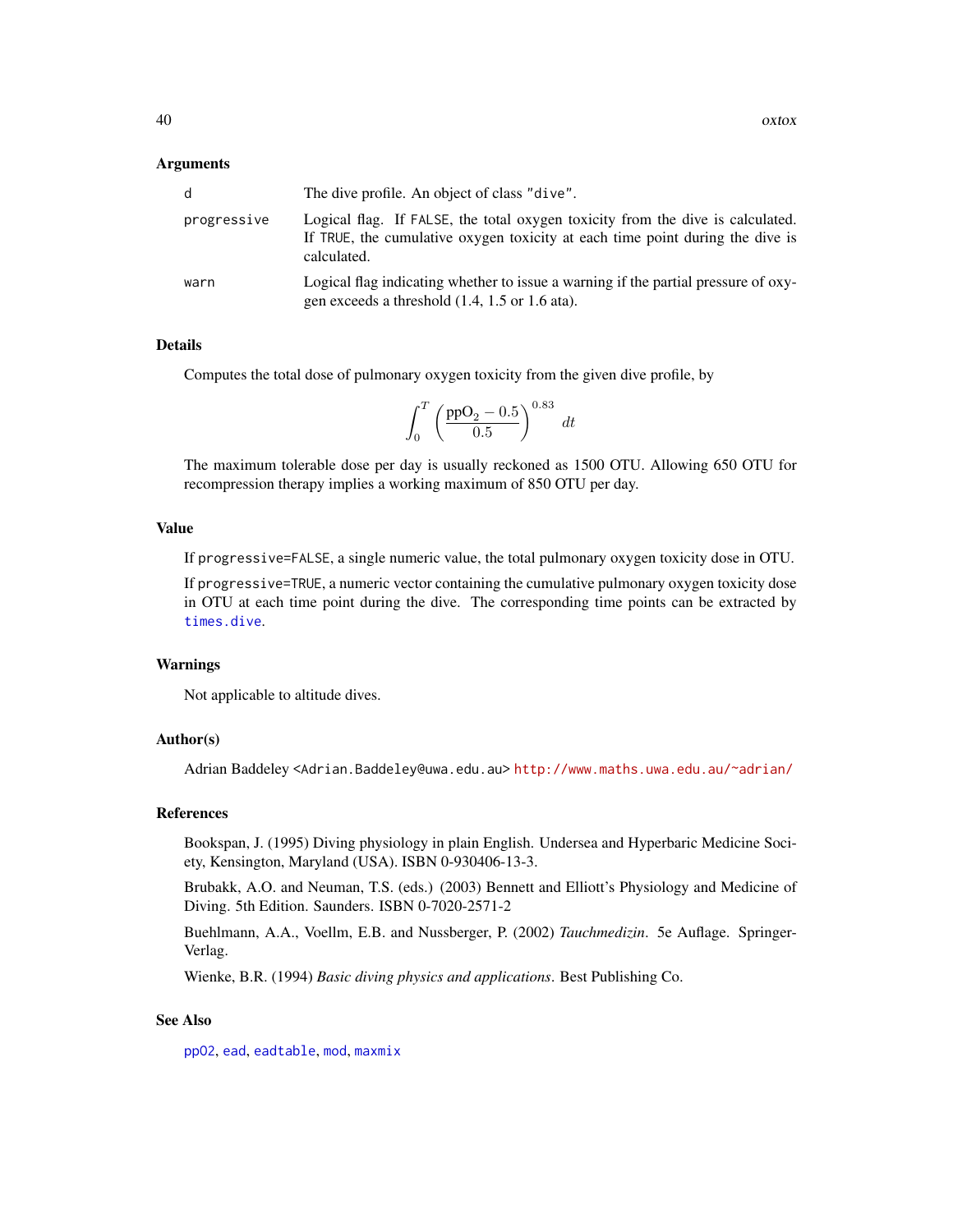#### <span id="page-39-0"></span>Arguments

| d           | The dive profile. An object of class "dive".                                                                                                                                   |
|-------------|--------------------------------------------------------------------------------------------------------------------------------------------------------------------------------|
| progressive | Logical flag. If FALSE, the total oxygen toxicity from the dive is calculated.<br>If TRUE, the cumulative oxygen toxicity at each time point during the dive is<br>calculated. |
| warn        | Logical flag indicating whether to issue a warning if the partial pressure of oxy-<br>gen exceeds a threshold $(1.4, 1.5 \text{ or } 1.6 \text{ ata})$ .                       |

#### Details

Computes the total dose of pulmonary oxygen toxicity from the given dive profile, by

$$
\int_0^T \left( \frac{\text{ppO}_2 - 0.5}{0.5} \right)^{0.83} dt
$$

The maximum tolerable dose per day is usually reckoned as 1500 OTU. Allowing 650 OTU for recompression therapy implies a working maximum of 850 OTU per day.

#### Value

If progressive=FALSE, a single numeric value, the total pulmonary oxygen toxicity dose in OTU.

If progressive=TRUE, a numeric vector containing the cumulative pulmonary oxygen toxicity dose in OTU at each time point during the dive. The corresponding time points can be extracted by [times.dive](#page-51-1).

#### Warnings

Not applicable to altitude dives.

#### Author(s)

Adrian Baddeley <Adrian.Baddeley@uwa.edu.au> <http://www.maths.uwa.edu.au/~adrian/>

#### References

Bookspan, J. (1995) Diving physiology in plain English. Undersea and Hyperbaric Medicine Society, Kensington, Maryland (USA). ISBN 0-930406-13-3.

Brubakk, A.O. and Neuman, T.S. (eds.) (2003) Bennett and Elliott's Physiology and Medicine of Diving. 5th Edition. Saunders. ISBN 0-7020-2571-2

Buehlmann, A.A., Voellm, E.B. and Nussberger, P. (2002) *Tauchmedizin*. 5e Auflage. Springer-Verlag.

Wienke, B.R. (1994) *Basic diving physics and applications*. Best Publishing Co.

## See Also

[ppO2](#page-45-1), [ead](#page-23-1), [eadtable](#page-23-2), [mod](#page-35-1), [maxmix](#page-32-1)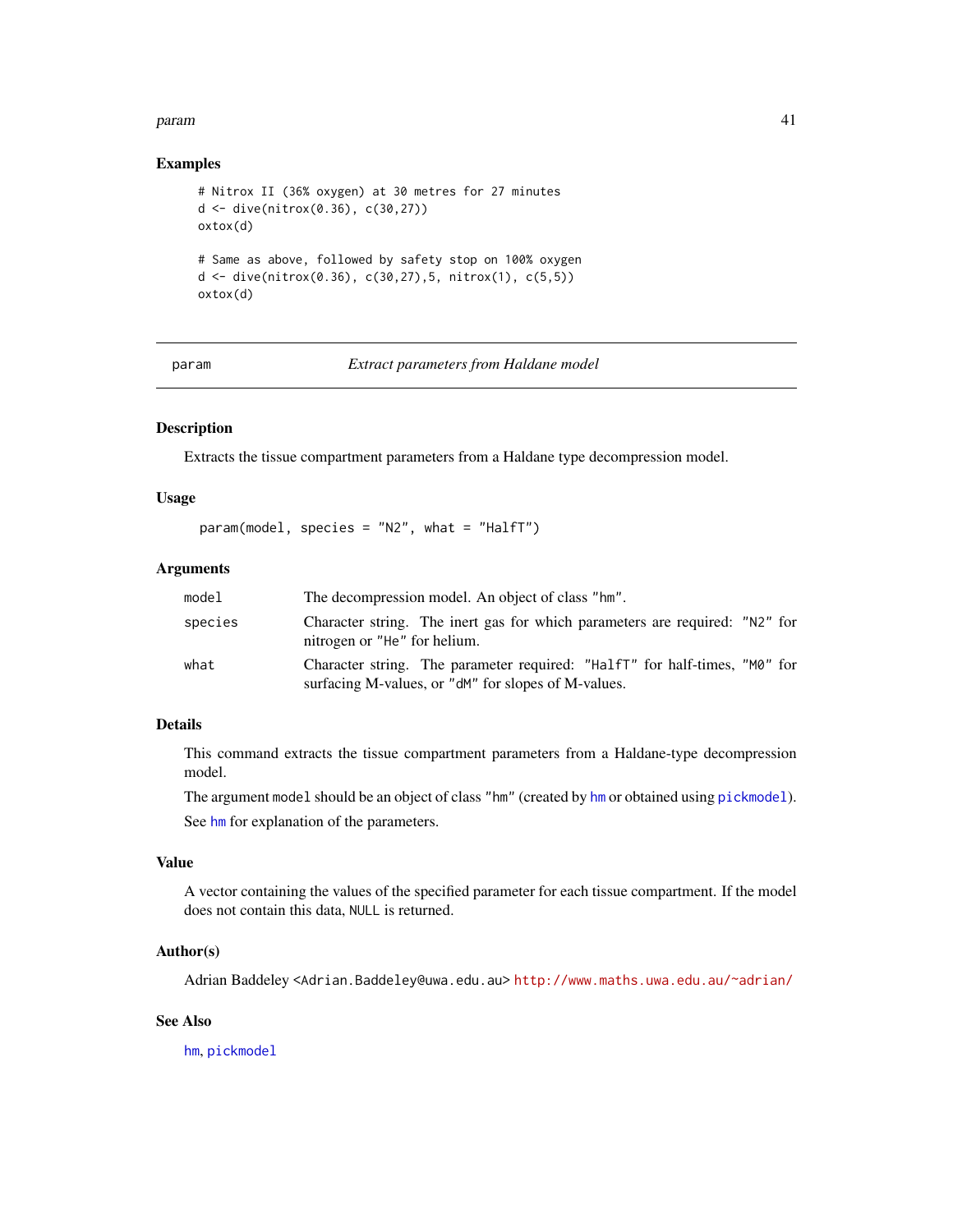#### <span id="page-40-0"></span>param 41

#### Examples

```
# Nitrox II (36% oxygen) at 30 metres for 27 minutes
d <- dive(nitrox(0.36), c(30,27))
oxtox(d)
# Same as above, followed by safety stop on 100% oxygen
d <- dive(nitrox(0.36), c(30,27),5, nitrox(1), c(5,5))
oxtox(d)
```
param *Extract parameters from Haldane model*

## Description

Extracts the tissue compartment parameters from a Haldane type decompression model.

## Usage

```
param(model, species = "N2", what = "HalfT")
```
#### Arguments

| model   | The decompression model. An object of class "hm".                                                                                 |
|---------|-----------------------------------------------------------------------------------------------------------------------------------|
| species | Character string. The inert gas for which parameters are required: "N2" for<br>nitrogen or "He" for helium.                       |
| what    | Character string. The parameter required: "HalfT" for half-times, "M0" for<br>surfacing M-values, or "dM" for slopes of M-values. |

## Details

This command extracts the tissue compartment parameters from a Haldane-type decompression model.

The argument model should be an object of class "hm" (created by [hm](#page-29-1) or obtained using [pickmodel](#page-42-1)).

See [hm](#page-29-1) for explanation of the parameters.

## Value

A vector containing the values of the specified parameter for each tissue compartment. If the model does not contain this data, NULL is returned.

## Author(s)

Adrian Baddeley <Adrian.Baddeley@uwa.edu.au> <http://www.maths.uwa.edu.au/~adrian/>

#### See Also

[hm](#page-29-1), [pickmodel](#page-42-1)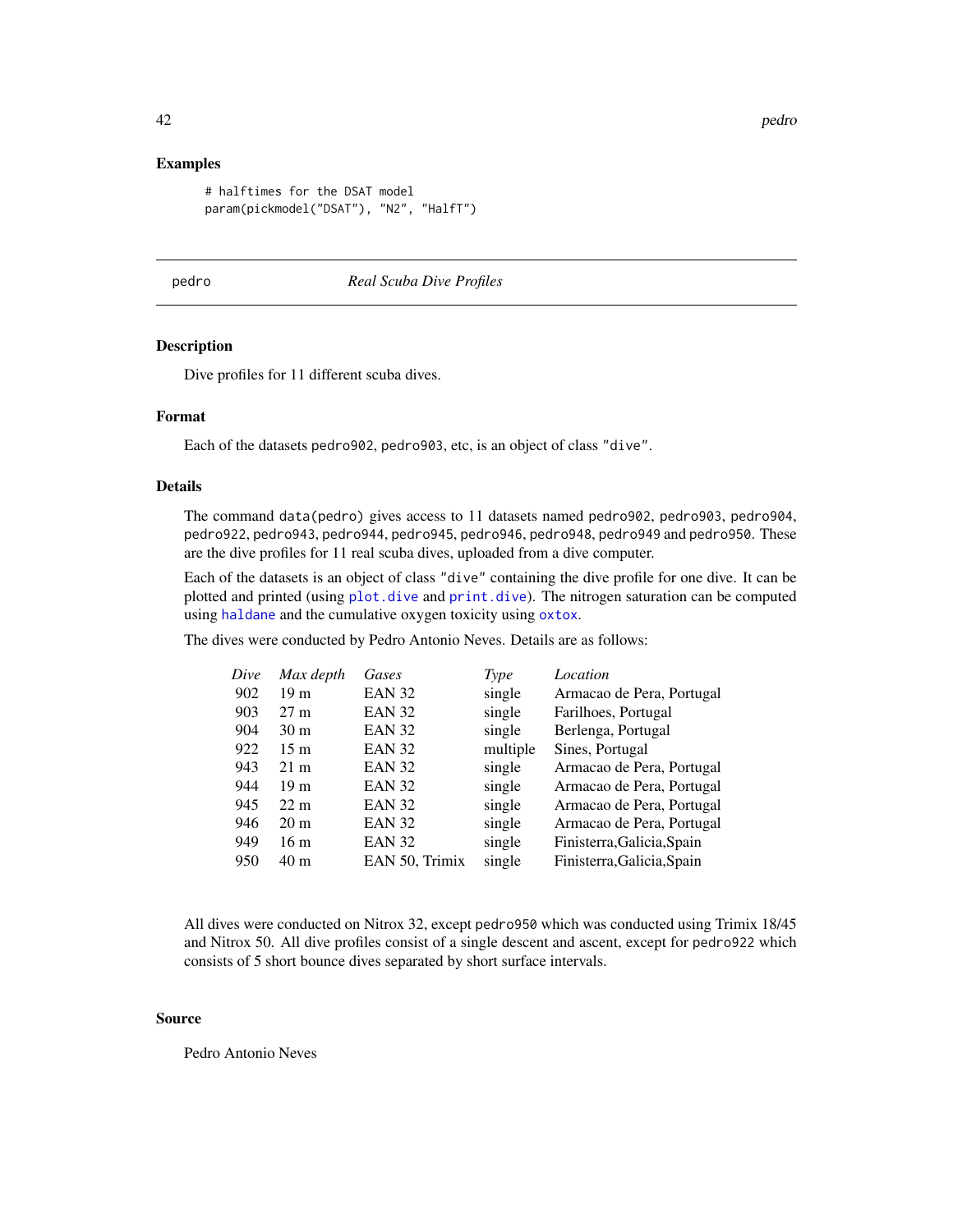#### <span id="page-41-0"></span>Examples

```
# halftimes for the DSAT model
param(pickmodel("DSAT"), "N2", "HalfT")
```
<span id="page-41-1"></span>pedro *Real Scuba Dive Profiles*

#### Description

Dive profiles for 11 different scuba dives.

#### Format

Each of the datasets pedro902, pedro903, etc, is an object of class "dive".

## Details

The command data(pedro) gives access to 11 datasets named pedro902, pedro903, pedro904, pedro922, pedro943, pedro944, pedro945, pedro946, pedro948, pedro949 and pedro950. These are the dive profiles for 11 real scuba dives, uploaded from a dive computer.

Each of the datasets is an object of class "dive" containing the dive profile for one dive. It can be plotted and printed (using [plot.dive](#page-43-1) and [print.dive](#page-46-1)). The nitrogen saturation can be computed using [haldane](#page-25-1) and the cumulative oxygen toxicity using [oxtox](#page-38-1).

The dives were conducted by Pedro Antonio Neves. Details are as follows:

| Dive | Max depth       | Gases          | Type     | Location                   |
|------|-----------------|----------------|----------|----------------------------|
| 902  | 19 <sub>m</sub> | <b>EAN 32</b>  | single   | Armacao de Pera, Portugal  |
| 903  | $27 \text{ m}$  | EAN 32         | single   | Farilhoes, Portugal        |
| 904  | 30 m            | EAN 32         | single   | Berlenga, Portugal         |
| 922  | 15 <sub>m</sub> | EAN 32         | multiple | Sines, Portugal            |
| 943  | $21 \text{ m}$  | EAN 32         | single   | Armacao de Pera, Portugal  |
| 944  | 19 m            | <b>EAN 32</b>  | single   | Armacao de Pera, Portugal  |
| 945  | $22 \text{ m}$  | <b>EAN 32</b>  | single   | Armacao de Pera, Portugal  |
| 946  | $20 \text{ m}$  | <b>EAN 32</b>  | single   | Armacao de Pera, Portugal  |
| 949  | 16 <sub>m</sub> | <b>EAN 32</b>  | single   | Finisterra, Galicia, Spain |
| 950  | 40 m            | EAN 50, Trimix | single   | Finisterra, Galicia, Spain |

All dives were conducted on Nitrox 32, except pedro950 which was conducted using Trimix 18/45 and Nitrox 50. All dive profiles consist of a single descent and ascent, except for pedro922 which consists of 5 short bounce dives separated by short surface intervals.

#### Source

Pedro Antonio Neves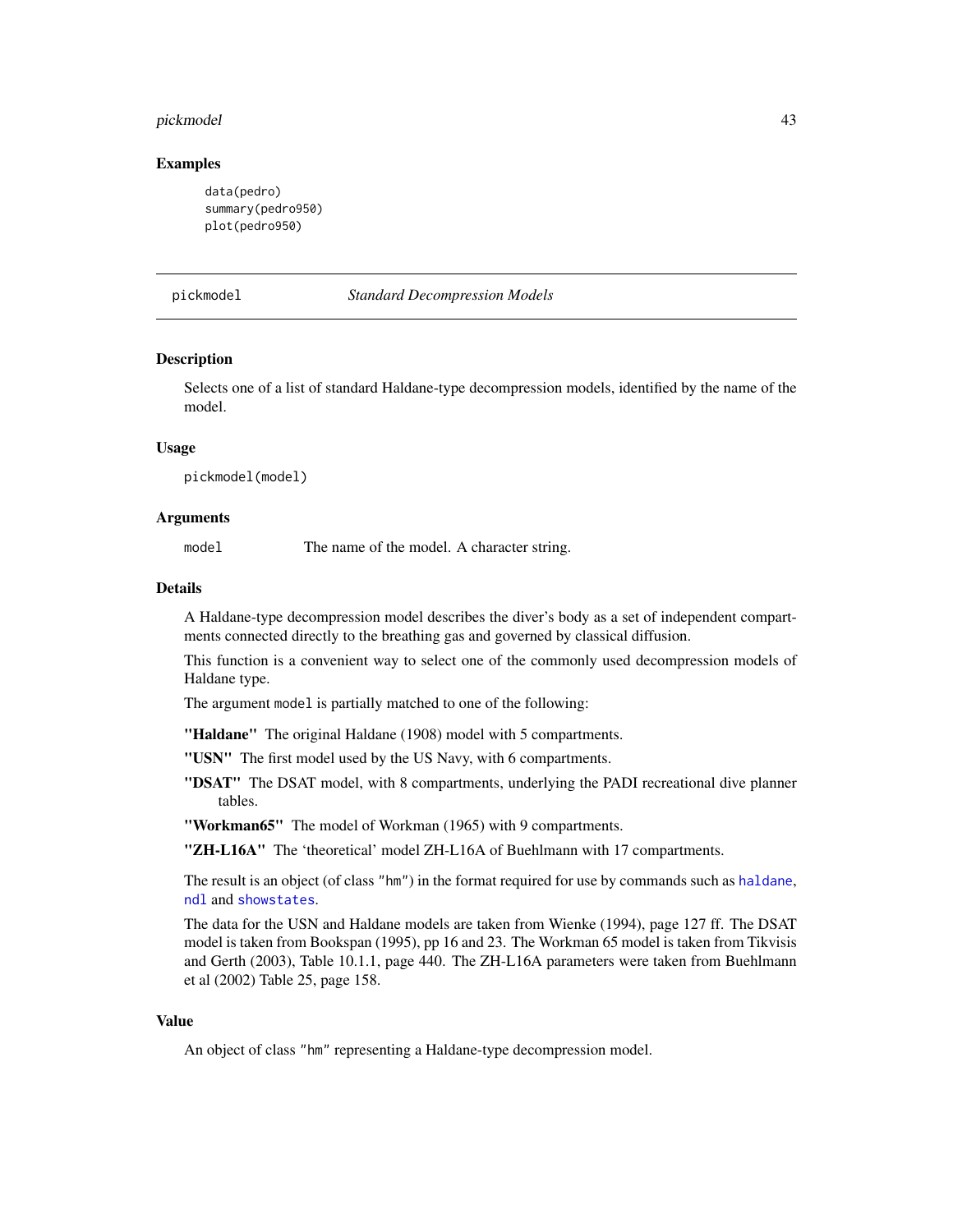#### <span id="page-42-0"></span>pickmodel 43

#### Examples

```
data(pedro)
summary(pedro950)
plot(pedro950)
```
<span id="page-42-1"></span>pickmodel *Standard Decompression Models*

#### Description

Selects one of a list of standard Haldane-type decompression models, identified by the name of the model.

#### Usage

pickmodel(model)

#### **Arguments**

model The name of the model. A character string.

#### Details

A Haldane-type decompression model describes the diver's body as a set of independent compartments connected directly to the breathing gas and governed by classical diffusion.

This function is a convenient way to select one of the commonly used decompression models of Haldane type.

The argument model is partially matched to one of the following:

"Haldane" The original Haldane (1908) model with 5 compartments.

"USN" The first model used by the US Navy, with 6 compartments.

"DSAT" The DSAT model, with 8 compartments, underlying the PADI recreational dive planner tables.

"Workman65" The model of Workman (1965) with 9 compartments.

"ZH-L16A" The 'theoretical' model ZH-L16A of Buehlmann with 17 compartments.

The result is an object (of class "hm") in the format required for use by commands such as [haldane](#page-25-1), [ndl](#page-36-1) and [showstates](#page-49-1).

The data for the USN and Haldane models are taken from Wienke (1994), page 127 ff. The DSAT model is taken from Bookspan (1995), pp 16 and 23. The Workman 65 model is taken from Tikvisis and Gerth (2003), Table 10.1.1, page 440. The ZH-L16A parameters were taken from Buehlmann et al (2002) Table 25, page 158.

## Value

An object of class "hm" representing a Haldane-type decompression model.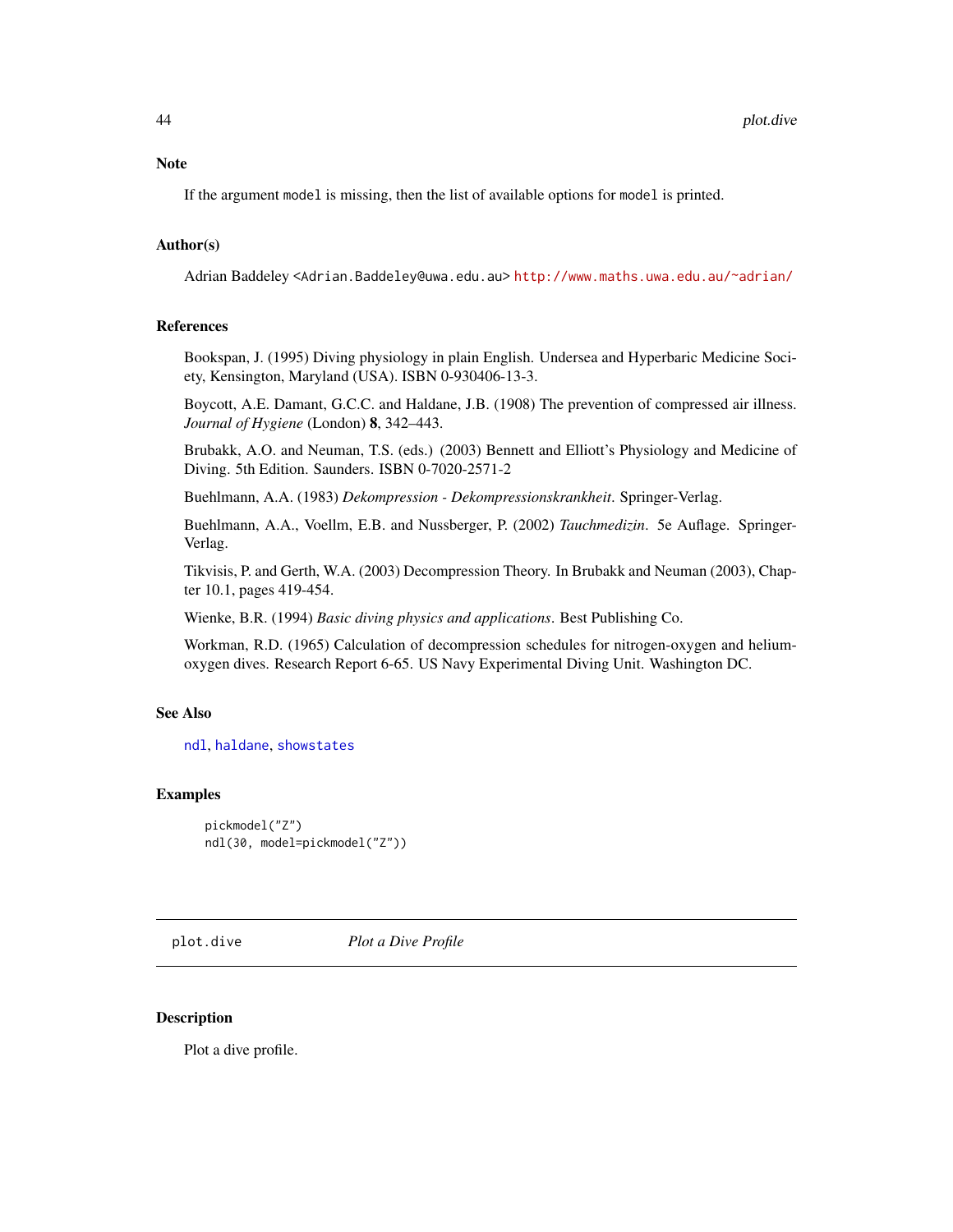<span id="page-43-0"></span>If the argument model is missing, then the list of available options for model is printed.

#### Author(s)

Adrian Baddeley <Adrian.Baddeley@uwa.edu.au> <http://www.maths.uwa.edu.au/~adrian/>

## References

Bookspan, J. (1995) Diving physiology in plain English. Undersea and Hyperbaric Medicine Society, Kensington, Maryland (USA). ISBN 0-930406-13-3.

Boycott, A.E. Damant, G.C.C. and Haldane, J.B. (1908) The prevention of compressed air illness. *Journal of Hygiene* (London) 8, 342–443.

Brubakk, A.O. and Neuman, T.S. (eds.) (2003) Bennett and Elliott's Physiology and Medicine of Diving. 5th Edition. Saunders. ISBN 0-7020-2571-2

Buehlmann, A.A. (1983) *Dekompression - Dekompressionskrankheit*. Springer-Verlag.

Buehlmann, A.A., Voellm, E.B. and Nussberger, P. (2002) *Tauchmedizin*. 5e Auflage. Springer-Verlag.

Tikvisis, P. and Gerth, W.A. (2003) Decompression Theory. In Brubakk and Neuman (2003), Chapter 10.1, pages 419-454.

Wienke, B.R. (1994) *Basic diving physics and applications*. Best Publishing Co.

Workman, R.D. (1965) Calculation of decompression schedules for nitrogen-oxygen and heliumoxygen dives. Research Report 6-65. US Navy Experimental Diving Unit. Washington DC.

## See Also

[ndl](#page-36-1), [haldane](#page-25-1), [showstates](#page-49-1)

## Examples

```
pickmodel("Z")
ndl(30, model=pickmodel("Z"))
```
<span id="page-43-1"></span>plot.dive *Plot a Dive Profile*

#### Description

Plot a dive profile.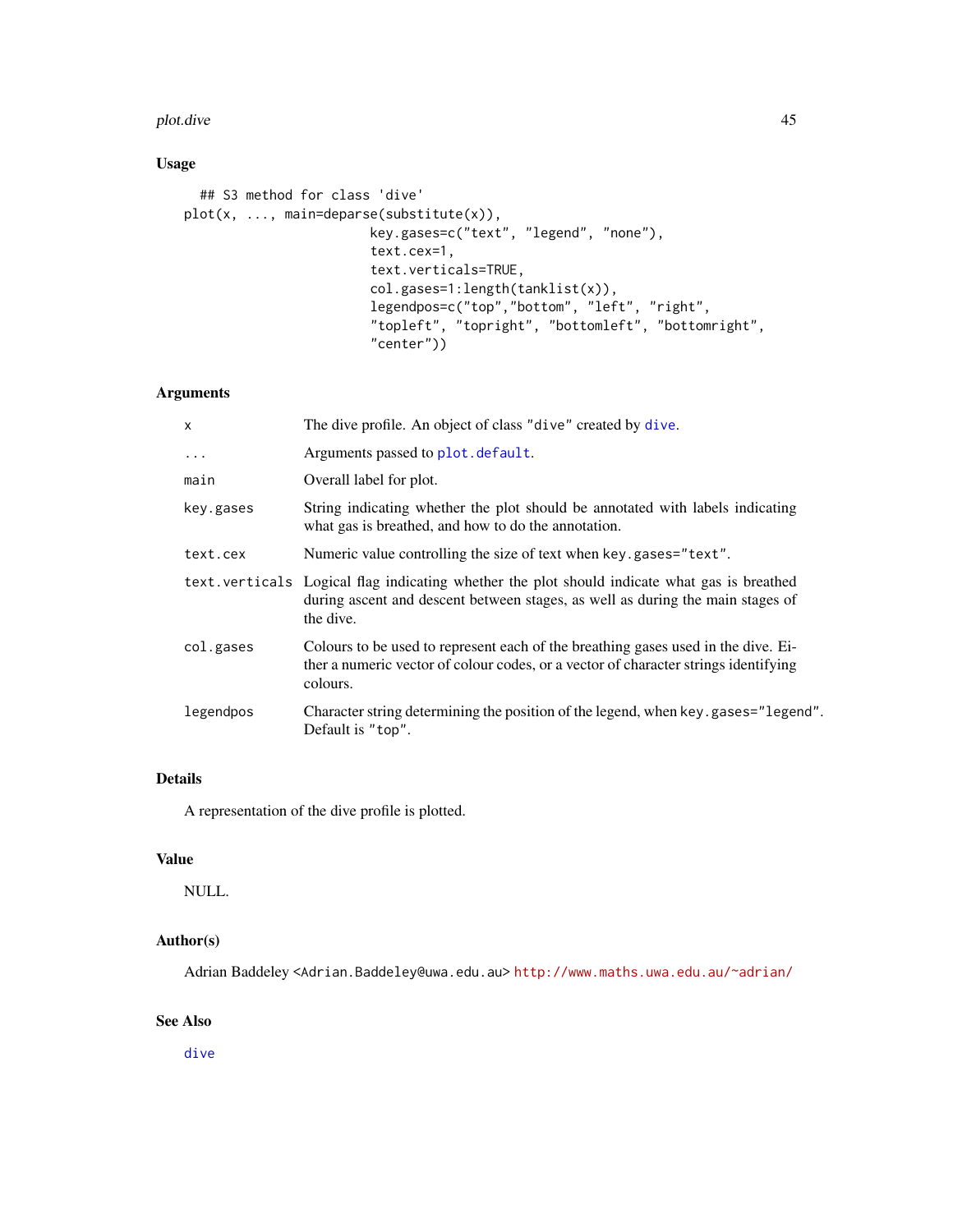#### <span id="page-44-0"></span>plot.dive 45

## Usage

```
## S3 method for class 'dive'
plot(x, ..., main=deparse(substitute(x)),
                        key.gases=c("text", "legend", "none"),
                        text.cex=1,
                        text.verticals=TRUE,
                        col.gases=1:length(tanklist(x)),
                        legendpos=c("top","bottom", "left", "right",
                        "topleft", "topright", "bottomleft", "bottomright",
                        "center"))
```
## Arguments

| X         | The dive profile. An object of class "dive" created by dive.                                                                                                                                |
|-----------|---------------------------------------------------------------------------------------------------------------------------------------------------------------------------------------------|
| $\ddots$  | Arguments passed to plot. default.                                                                                                                                                          |
| main      | Overall label for plot.                                                                                                                                                                     |
| key.gases | String indicating whether the plot should be annotated with labels indicating<br>what gas is breathed, and how to do the annotation.                                                        |
| text.cex  | Numeric value controlling the size of text when key gases="text".                                                                                                                           |
|           | text verticals Logical flag indicating whether the plot should indicate what gas is breathed<br>during ascent and descent between stages, as well as during the main stages of<br>the dive. |
| col.gases | Colours to be used to represent each of the breathing gases used in the dive. Ei-<br>ther a numeric vector of colour codes, or a vector of character strings identifying<br>colours.        |
| legendpos | Character string determining the position of the legend, when key gases="legend".<br>Default is "top".                                                                                      |
|           |                                                                                                                                                                                             |

## Details

A representation of the dive profile is plotted.

## Value

NULL.

## Author(s)

Adrian Baddeley <Adrian.Baddeley@uwa.edu.au> <http://www.maths.uwa.edu.au/~adrian/>

## See Also

[dive](#page-19-1)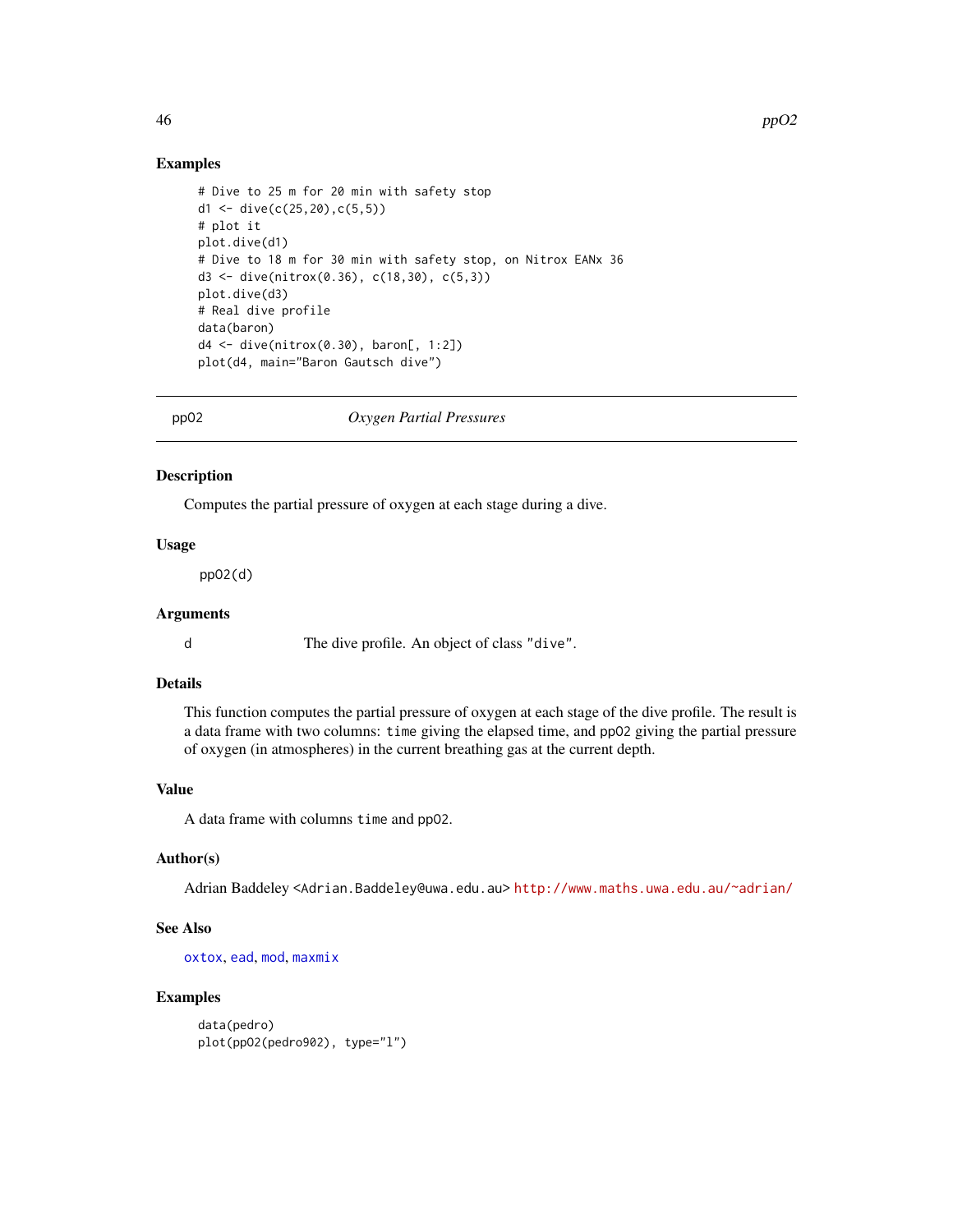## Examples

```
# Dive to 25 m for 20 min with safety stop
d1 <- dive(c(25, 20),c(5, 5))
# plot it
plot.dive(d1)
# Dive to 18 m for 30 min with safety stop, on Nitrox EANx 36
d3 <- dive(nitrox(0.36), c(18,30), c(5,3))
plot.dive(d3)
# Real dive profile
data(baron)
d4 <- dive(nitrox(0.30), baron[, 1:2])
plot(d4, main="Baron Gautsch dive")
```
<span id="page-45-1"></span>

ppO2 *Oxygen Partial Pressures*

#### Description

Computes the partial pressure of oxygen at each stage during a dive.

## Usage

ppO2(d)

#### Arguments

d The dive profile. An object of class "dive".

## Details

This function computes the partial pressure of oxygen at each stage of the dive profile. The result is a data frame with two columns: time giving the elapsed time, and ppO2 giving the partial pressure of oxygen (in atmospheres) in the current breathing gas at the current depth.

## Value

A data frame with columns time and ppO2.

#### Author(s)

Adrian Baddeley <Adrian.Baddeley@uwa.edu.au> <http://www.maths.uwa.edu.au/~adrian/>

#### See Also

[oxtox](#page-38-1), [ead](#page-23-1), [mod](#page-35-1), [maxmix](#page-32-1)

```
data(pedro)
plot(ppO2(pedro902), type="l")
```
<span id="page-45-0"></span>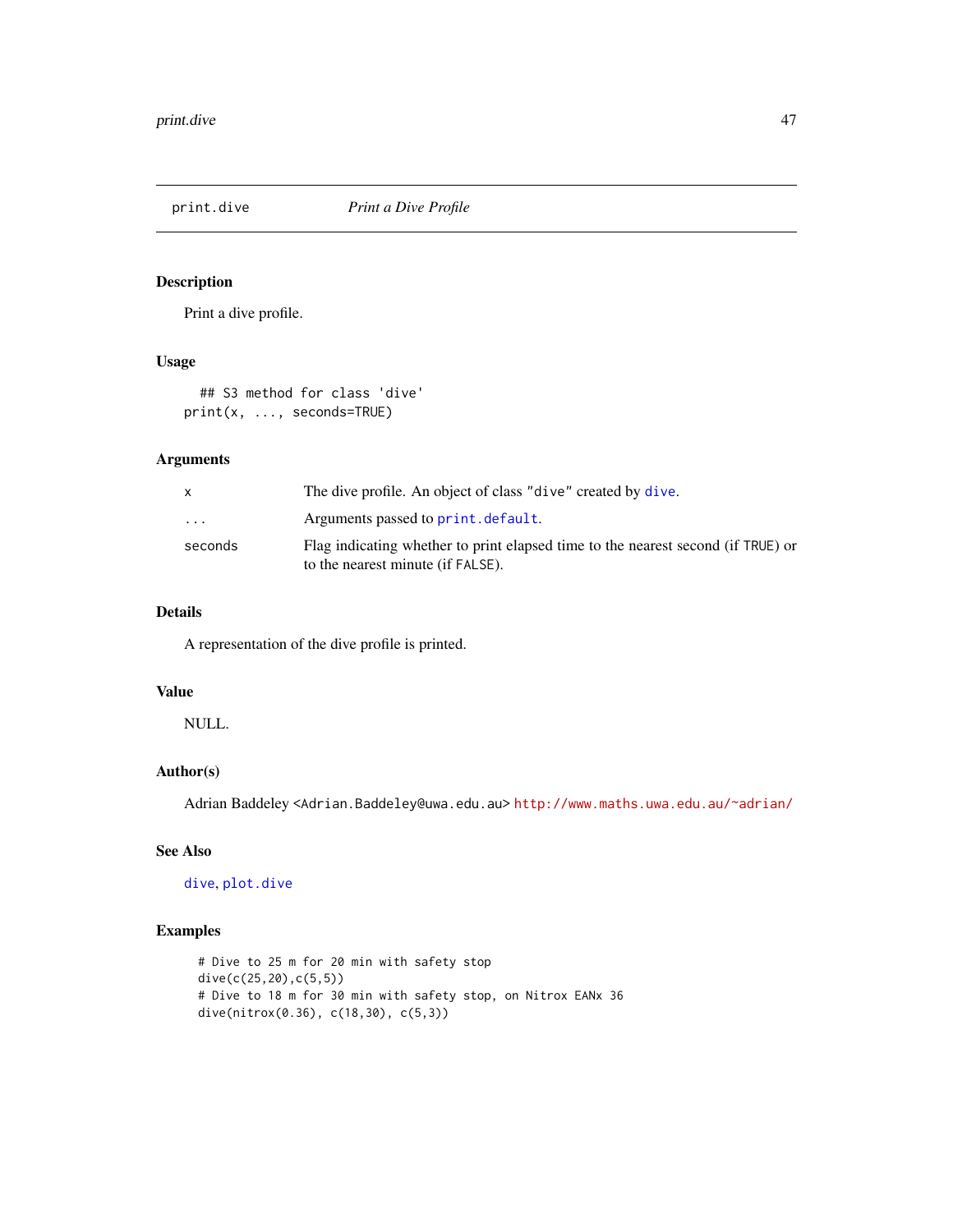<span id="page-46-1"></span><span id="page-46-0"></span>

## Description

Print a dive profile.

## Usage

## S3 method for class 'dive' print(x, ..., seconds=TRUE)

#### Arguments

|          | The dive profile. An object of class "dive" created by dive.                                                          |
|----------|-----------------------------------------------------------------------------------------------------------------------|
| $\cdots$ | Arguments passed to print. default.                                                                                   |
| seconds  | Flag indicating whether to print elapsed time to the nearest second (if TRUE) or<br>to the nearest minute (if FALSE). |

## Details

A representation of the dive profile is printed.

## Value

NULL.

## Author(s)

Adrian Baddeley <Adrian.Baddeley@uwa.edu.au> <http://www.maths.uwa.edu.au/~adrian/>

## See Also

[dive](#page-19-1), [plot.dive](#page-43-1)

```
# Dive to 25 m for 20 min with safety stop
dive(c(25,20),c(5,5))
# Dive to 18 m for 30 min with safety stop, on Nitrox EANx 36
dive(nitrox(0.36), c(18,30), c(5,3))
```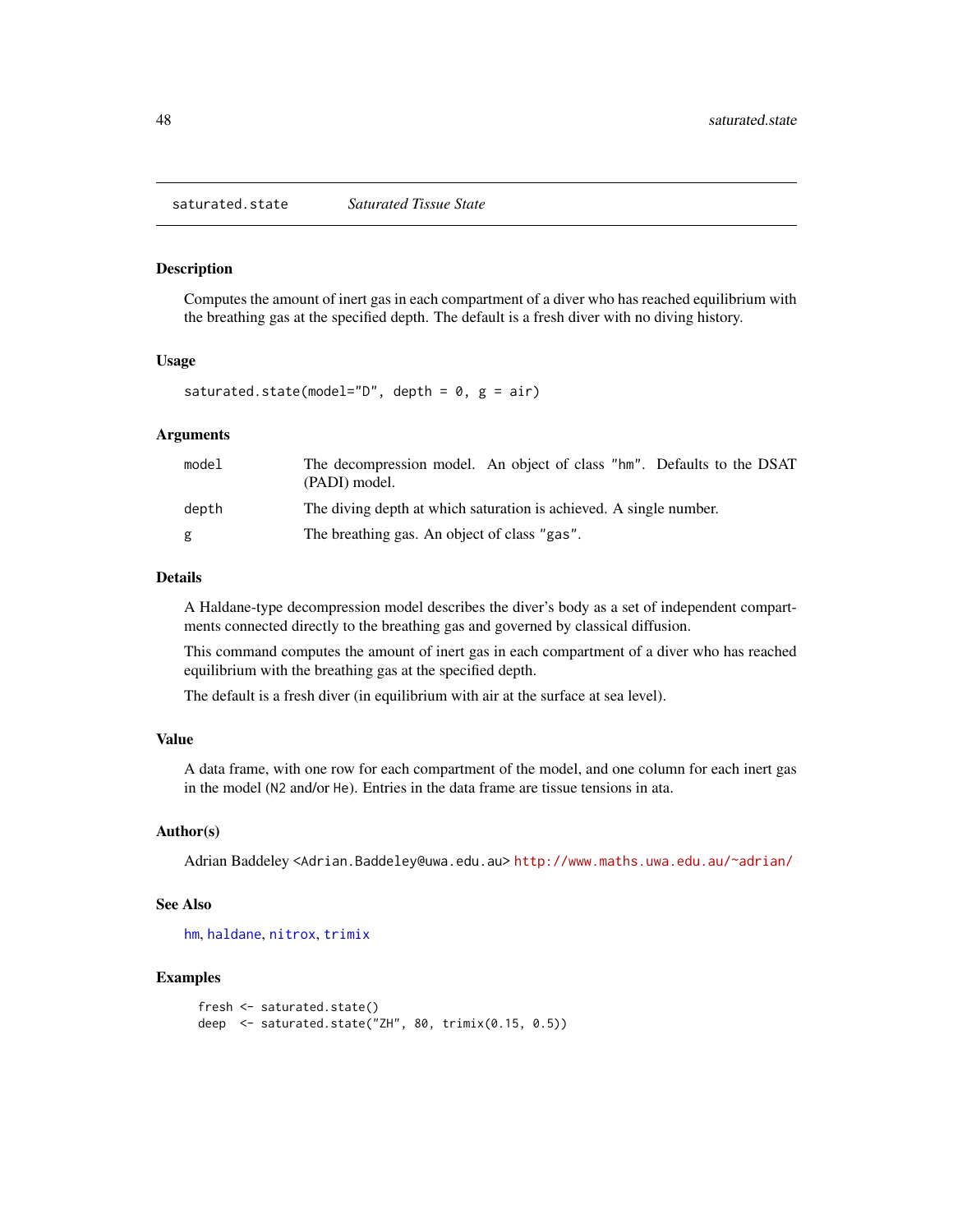<span id="page-47-1"></span><span id="page-47-0"></span>saturated.state *Saturated Tissue State*

#### Description

Computes the amount of inert gas in each compartment of a diver who has reached equilibrium with the breathing gas at the specified depth. The default is a fresh diver with no diving history.

#### Usage

saturated.state(model="D", depth =  $0$ ,  $g = air$ )

## Arguments

| model | The decompression model. An object of class "hm". Defaults to the DSAT<br>(PADI) model. |
|-------|-----------------------------------------------------------------------------------------|
| depth | The diving depth at which saturation is achieved. A single number.                      |
| g     | The breathing gas. An object of class "gas".                                            |

## Details

A Haldane-type decompression model describes the diver's body as a set of independent compartments connected directly to the breathing gas and governed by classical diffusion.

This command computes the amount of inert gas in each compartment of a diver who has reached equilibrium with the breathing gas at the specified depth.

The default is a fresh diver (in equilibrium with air at the surface at sea level).

#### Value

A data frame, with one row for each compartment of the model, and one column for each inert gas in the model (N2 and/or He). Entries in the data frame are tissue tensions in ata.

## Author(s)

Adrian Baddeley <Adrian.Baddeley@uwa.edu.au> <http://www.maths.uwa.edu.au/~adrian/>

#### See Also

[hm](#page-29-1), [haldane](#page-25-1), [nitrox](#page-37-1), [trimix](#page-52-1)

```
fresh <- saturated.state()
deep <- saturated.state("ZH", 80, trimix(0.15, 0.5))
```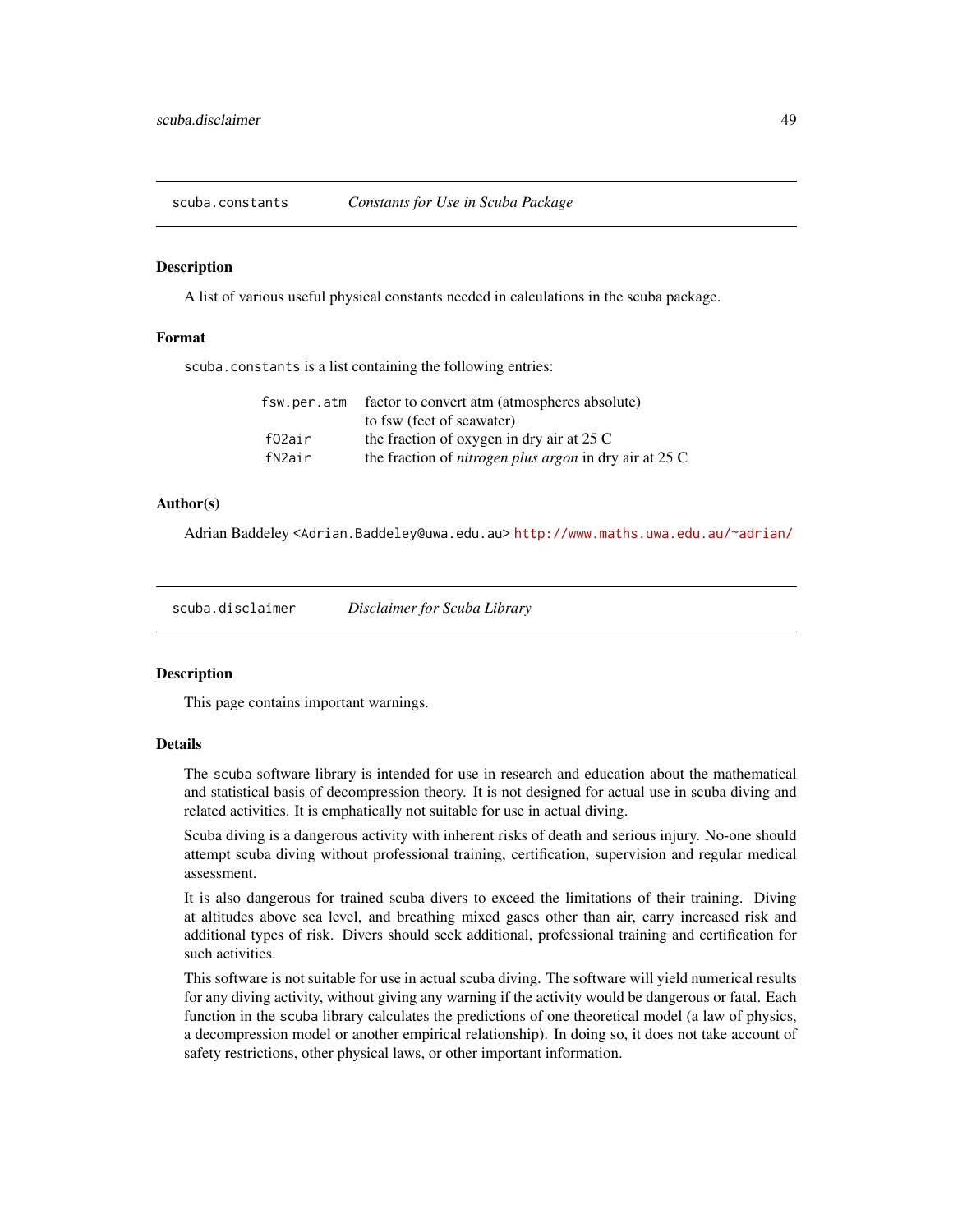<span id="page-48-0"></span>

#### Description

A list of various useful physical constants needed in calculations in the scuba package.

#### Format

scuba.constants is a list containing the following entries:

| fsw.per.atm | factor to convert atm (atmospheres absolute)                    |
|-------------|-----------------------------------------------------------------|
|             | to fsw (feet of seawater)                                       |
| f02air      | the fraction of oxygen in dry air at $25 \text{ C}$             |
| fN2air      | the fraction of <i>nitrogen plus argon</i> in dry air at $25 C$ |
|             |                                                                 |

#### Author(s)

Adrian Baddeley <Adrian.Baddeley@uwa.edu.au> <http://www.maths.uwa.edu.au/~adrian/>

<span id="page-48-1"></span>scuba.disclaimer *Disclaimer for Scuba Library*

#### Description

This page contains important warnings.

## Details

The scuba software library is intended for use in research and education about the mathematical and statistical basis of decompression theory. It is not designed for actual use in scuba diving and related activities. It is emphatically not suitable for use in actual diving.

Scuba diving is a dangerous activity with inherent risks of death and serious injury. No-one should attempt scuba diving without professional training, certification, supervision and regular medical assessment.

It is also dangerous for trained scuba divers to exceed the limitations of their training. Diving at altitudes above sea level, and breathing mixed gases other than air, carry increased risk and additional types of risk. Divers should seek additional, professional training and certification for such activities.

This software is not suitable for use in actual scuba diving. The software will yield numerical results for any diving activity, without giving any warning if the activity would be dangerous or fatal. Each function in the scuba library calculates the predictions of one theoretical model (a law of physics, a decompression model or another empirical relationship). In doing so, it does not take account of safety restrictions, other physical laws, or other important information.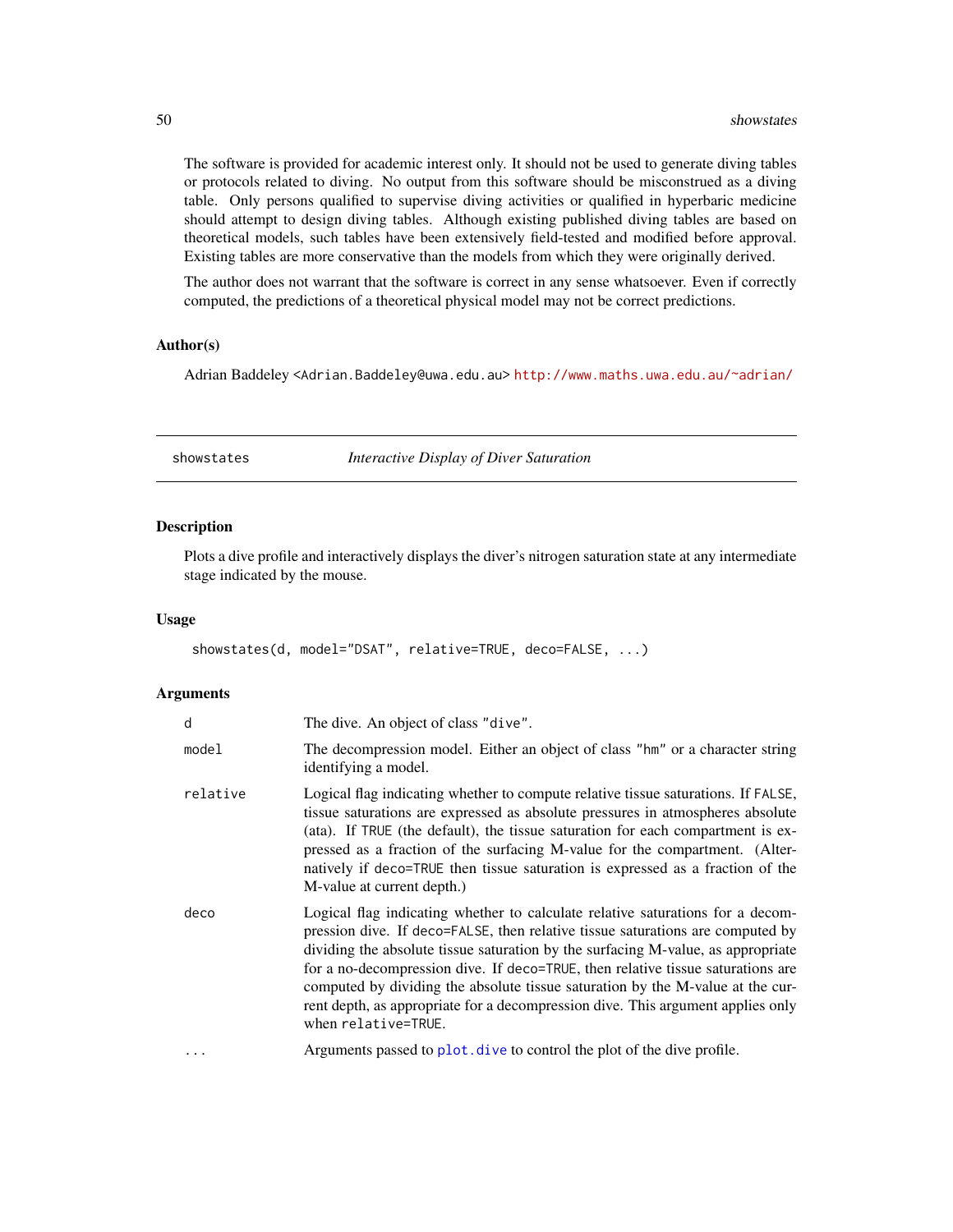The software is provided for academic interest only. It should not be used to generate diving tables or protocols related to diving. No output from this software should be misconstrued as a diving table. Only persons qualified to supervise diving activities or qualified in hyperbaric medicine should attempt to design diving tables. Although existing published diving tables are based on theoretical models, such tables have been extensively field-tested and modified before approval. Existing tables are more conservative than the models from which they were originally derived.

The author does not warrant that the software is correct in any sense whatsoever. Even if correctly computed, the predictions of a theoretical physical model may not be correct predictions.

#### Author(s)

Adrian Baddeley <Adrian.Baddeley@uwa.edu.au> <http://www.maths.uwa.edu.au/~adrian/>

<span id="page-49-1"></span>showstates *Interactive Display of Diver Saturation*

#### Description

Plots a dive profile and interactively displays the diver's nitrogen saturation state at any intermediate stage indicated by the mouse.

#### Usage

showstates(d, model="DSAT", relative=TRUE, deco=FALSE, ...)

| d        | The dive. An object of class "dive".                                                                                                                                                                                                                                                                                                                                                                                                                                                                                                |
|----------|-------------------------------------------------------------------------------------------------------------------------------------------------------------------------------------------------------------------------------------------------------------------------------------------------------------------------------------------------------------------------------------------------------------------------------------------------------------------------------------------------------------------------------------|
| model    | The decompression model. Either an object of class "hm" or a character string<br>identifying a model.                                                                                                                                                                                                                                                                                                                                                                                                                               |
| relative | Logical flag indicating whether to compute relative tissue saturations. If FALSE,<br>tissue saturations are expressed as absolute pressures in atmospheres absolute<br>(ata). If TRUE (the default), the tissue saturation for each compartment is ex-<br>pressed as a fraction of the surfacing M-value for the compartment. (Alter-<br>natively if deco=TRUE then tissue saturation is expressed as a fraction of the<br>M-value at current depth.)                                                                               |
| deco     | Logical flag indicating whether to calculate relative saturations for a decom-<br>pression dive. If deco=FALSE, then relative tissue saturations are computed by<br>dividing the absolute tissue saturation by the surfacing M-value, as appropriate<br>for a no-decompression dive. If deco=TRUE, then relative tissue saturations are<br>computed by dividing the absolute tissue saturation by the M-value at the cur-<br>rent depth, as appropriate for a decompression dive. This argument applies only<br>when relative=TRUE. |
| $\cdots$ | Arguments passed to plot. dive to control the plot of the dive profile.                                                                                                                                                                                                                                                                                                                                                                                                                                                             |

<span id="page-49-0"></span>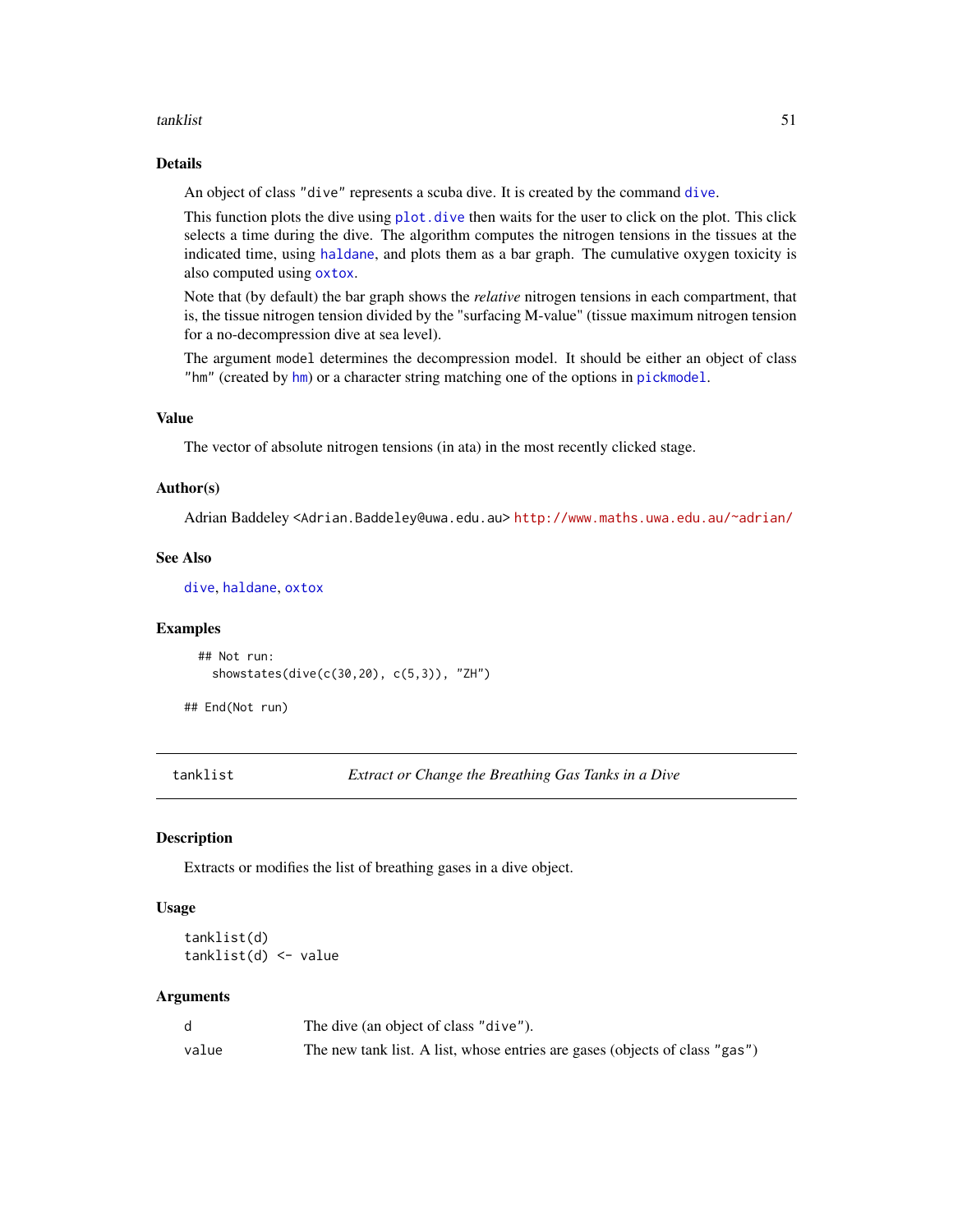#### <span id="page-50-0"></span>tanklist 51

## Details

An object of class "dive" represents a scuba dive. It is created by the command [dive](#page-19-1).

This function plots the dive using plot, dive then waits for the user to click on the plot. This click selects a time during the dive. The algorithm computes the nitrogen tensions in the tissues at the indicated time, using [haldane](#page-25-1), and plots them as a bar graph. The cumulative oxygen toxicity is also computed using [oxtox](#page-38-1).

Note that (by default) the bar graph shows the *relative* nitrogen tensions in each compartment, that is, the tissue nitrogen tension divided by the "surfacing M-value" (tissue maximum nitrogen tension for a no-decompression dive at sea level).

The argument model determines the decompression model. It should be either an object of class "hm" (created by [hm](#page-29-1)) or a character string matching one of the options in [pickmodel](#page-42-1).

#### Value

The vector of absolute nitrogen tensions (in ata) in the most recently clicked stage.

#### Author(s)

Adrian Baddeley <Adrian.Baddeley@uwa.edu.au> <http://www.maths.uwa.edu.au/~adrian/>

#### See Also

[dive](#page-19-1), [haldane](#page-25-1), [oxtox](#page-38-1)

#### Examples

```
## Not run:
  showstates(dive(c(30,20), c(5,3)), "ZH")
```
## End(Not run)

<span id="page-50-1"></span>tanklist *Extract or Change the Breathing Gas Tanks in a Dive*

## **Description**

Extracts or modifies the list of breathing gases in a dive object.

#### Usage

tanklist(d) tanklist(d) <- value

|       | The dive (an object of class "dive").                                       |
|-------|-----------------------------------------------------------------------------|
| value | The new tank list. A list, whose entries are gases (objects of class "gas") |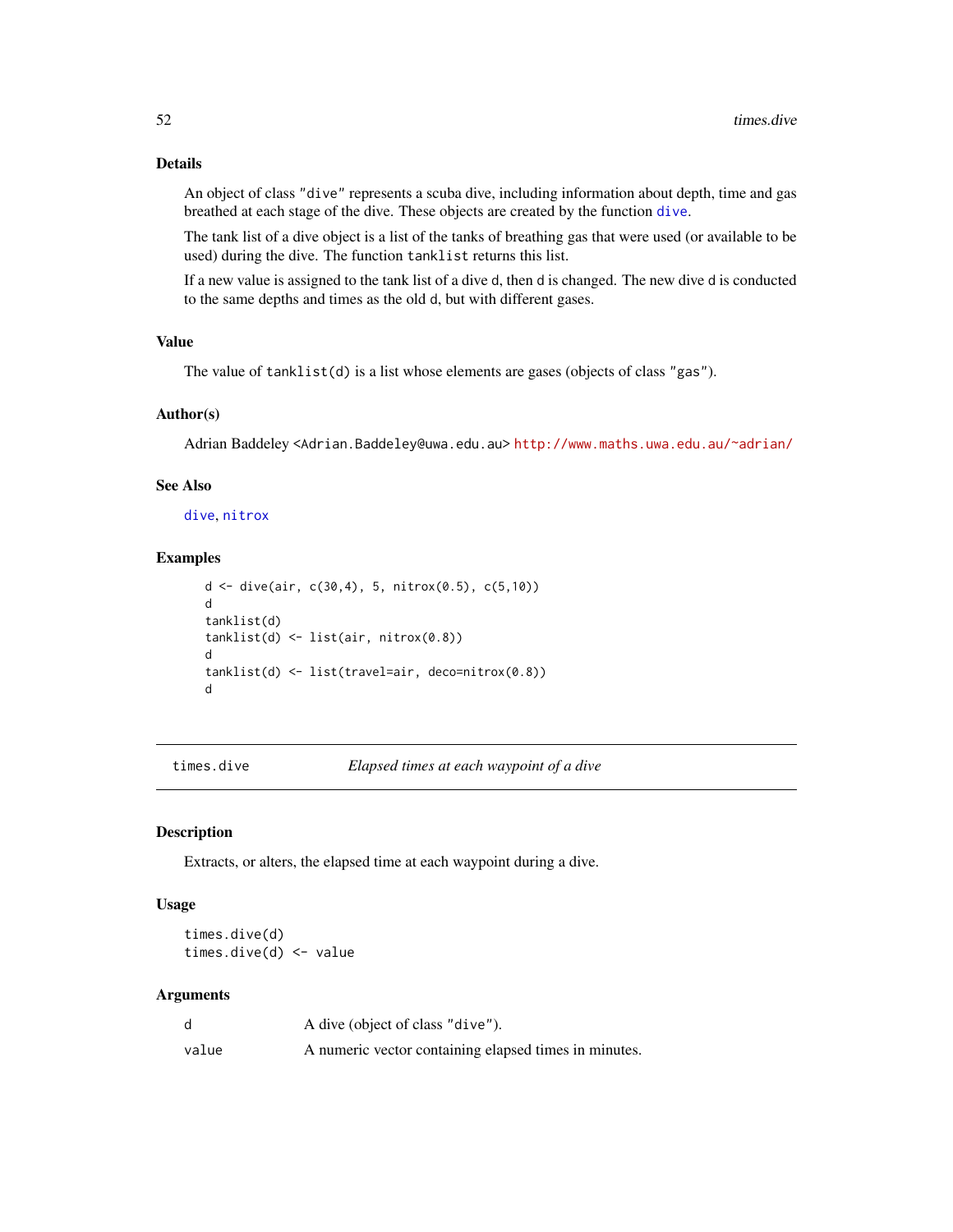## Details

An object of class "dive" represents a scuba dive, including information about depth, time and gas breathed at each stage of the dive. These objects are created by the function [dive](#page-19-1).

The tank list of a dive object is a list of the tanks of breathing gas that were used (or available to be used) during the dive. The function tanklist returns this list.

If a new value is assigned to the tank list of a dive d, then d is changed. The new dive d is conducted to the same depths and times as the old d, but with different gases.

## Value

The value of tanklist(d) is a list whose elements are gases (objects of class "gas").

#### Author(s)

Adrian Baddeley <Adrian.Baddeley@uwa.edu.au> <http://www.maths.uwa.edu.au/~adrian/>

## See Also

[dive](#page-19-1), [nitrox](#page-37-1)

#### Examples

```
d <- dive(air, c(30,4), 5, nitrox(0.5), c(5,10))
d
tanklist(d)
tanklist(d) <- list(air, nitrox(0.8))
d
tanklist(d) <- list(travel=air, deco=nitrox(0.8))
d
```
<span id="page-51-1"></span>times.dive *Elapsed times at each waypoint of a dive*

## <span id="page-51-2"></span>Description

Extracts, or alters, the elapsed time at each waypoint during a dive.

#### Usage

times.dive(d) times.dive(d) <- value

|       | A dive (object of class "dive").                      |
|-------|-------------------------------------------------------|
| value | A numeric vector containing elapsed times in minutes. |

<span id="page-51-0"></span>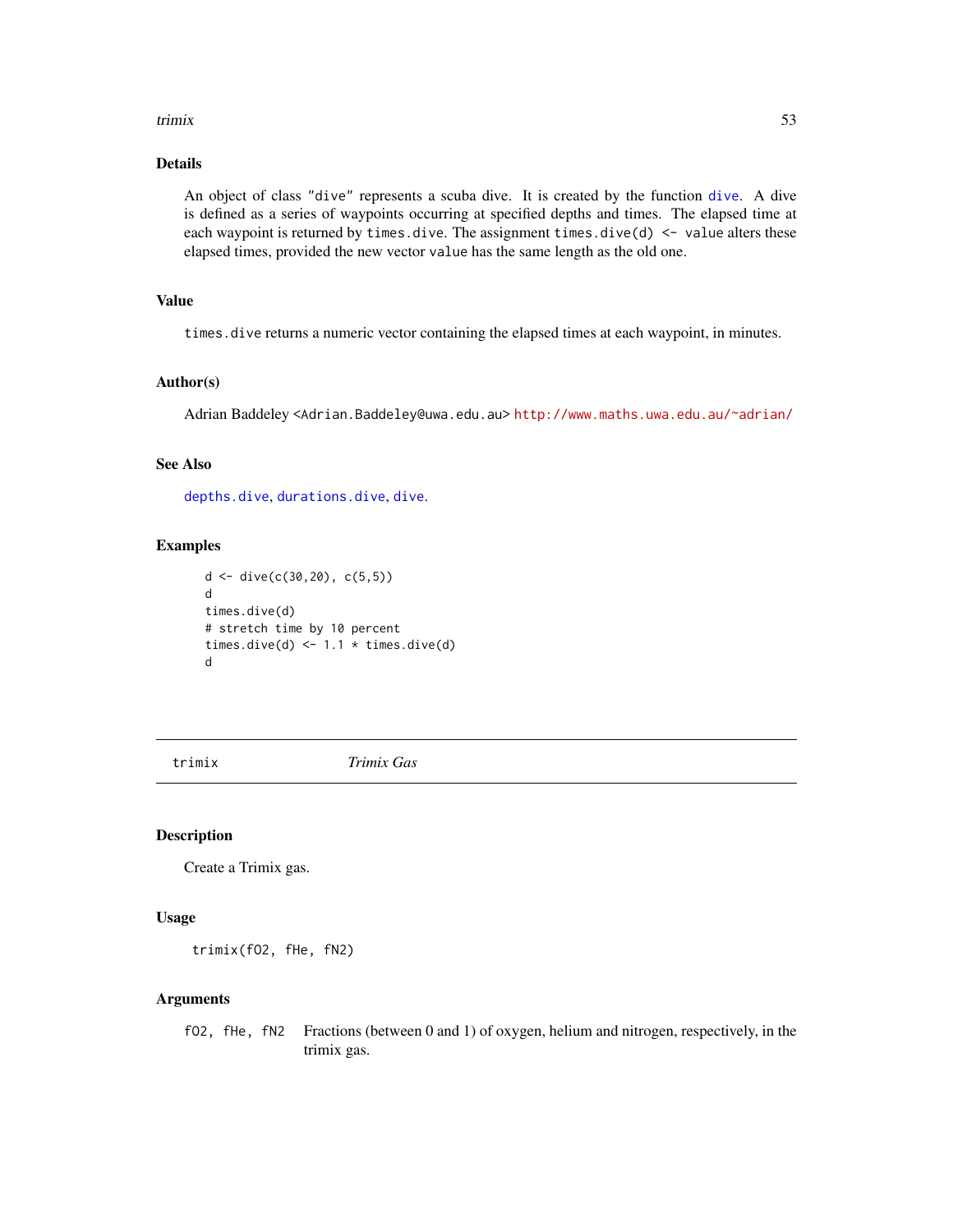#### <span id="page-52-0"></span>trimix 53

## Details

An object of class "dive" represents a scuba dive. It is created by the function [dive](#page-19-1). A dive is defined as a series of waypoints occurring at specified depths and times. The elapsed time at each waypoint is returned by times. dive. The assignment times. dive(d)  $\le$  value alters these elapsed times, provided the new vector value has the same length as the old one.

## Value

times.dive returns a numeric vector containing the elapsed times at each waypoint, in minutes.

## Author(s)

Adrian Baddeley <Adrian.Baddeley@uwa.edu.au> <http://www.maths.uwa.edu.au/~adrian/>

#### See Also

[depths.dive](#page-17-1), [durations.dive](#page-22-1), [dive](#page-19-1).

## Examples

```
d \leq d ive(c(30,20), c(5,5))
d
times.dive(d)
# stretch time by 10 percent
times.dive(d) \leq -1.1 \times \text{times.dive(d)}d
```
<span id="page-52-1"></span>trimix *Trimix Gas*

#### Description

Create a Trimix gas.

#### Usage

trimix(fO2, fHe, fN2)

## Arguments

fO2, fHe, fN2 Fractions (between 0 and 1) of oxygen, helium and nitrogen, respectively, in the trimix gas.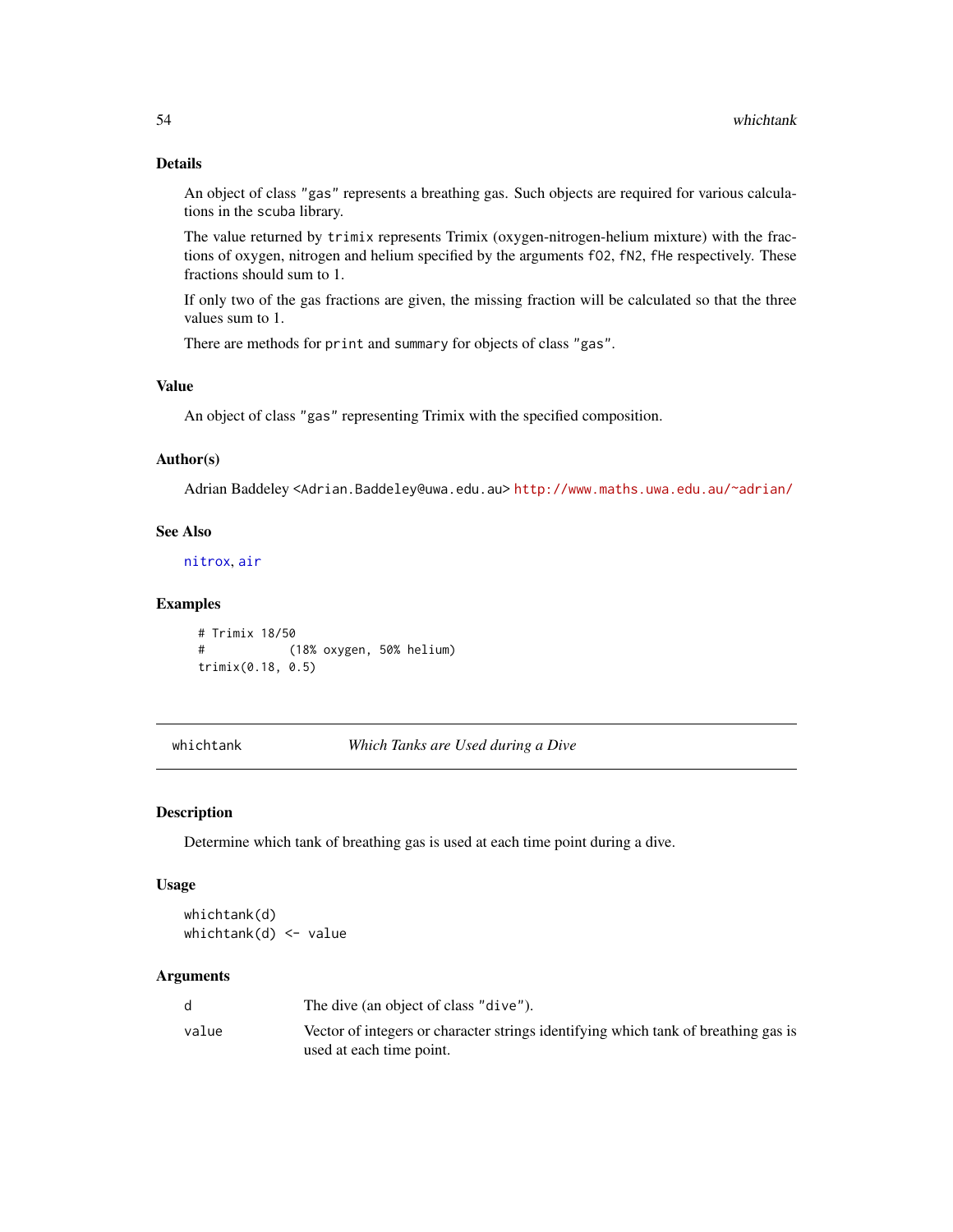## Details

An object of class "gas" represents a breathing gas. Such objects are required for various calculations in the scuba library.

The value returned by trimix represents Trimix (oxygen-nitrogen-helium mixture) with the fractions of oxygen, nitrogen and helium specified by the arguments fO2, fN2, fHe respectively. These fractions should sum to 1.

If only two of the gas fractions are given, the missing fraction will be calculated so that the three values sum to 1.

There are methods for print and summary for objects of class "gas".

## Value

An object of class "gas" representing Trimix with the specified composition.

#### Author(s)

Adrian Baddeley <Adrian.Baddeley@uwa.edu.au> <http://www.maths.uwa.edu.au/~adrian/>

## See Also

[nitrox](#page-37-1), [air](#page-6-1)

#### Examples

```
# Trimix 18/50
# (18% oxygen, 50% helium)
trimix(0.18, 0.5)
```
<span id="page-53-1"></span>whichtank *Which Tanks are Used during a Dive*

## Description

Determine which tank of breathing gas is used at each time point during a dive.

#### Usage

whichtank(d) whichtank(d) <- value

|       | The dive (an object of class "dive").                                                                          |
|-------|----------------------------------------------------------------------------------------------------------------|
| value | Vector of integers or character strings identifying which tank of breathing gas is<br>used at each time point. |

<span id="page-53-0"></span>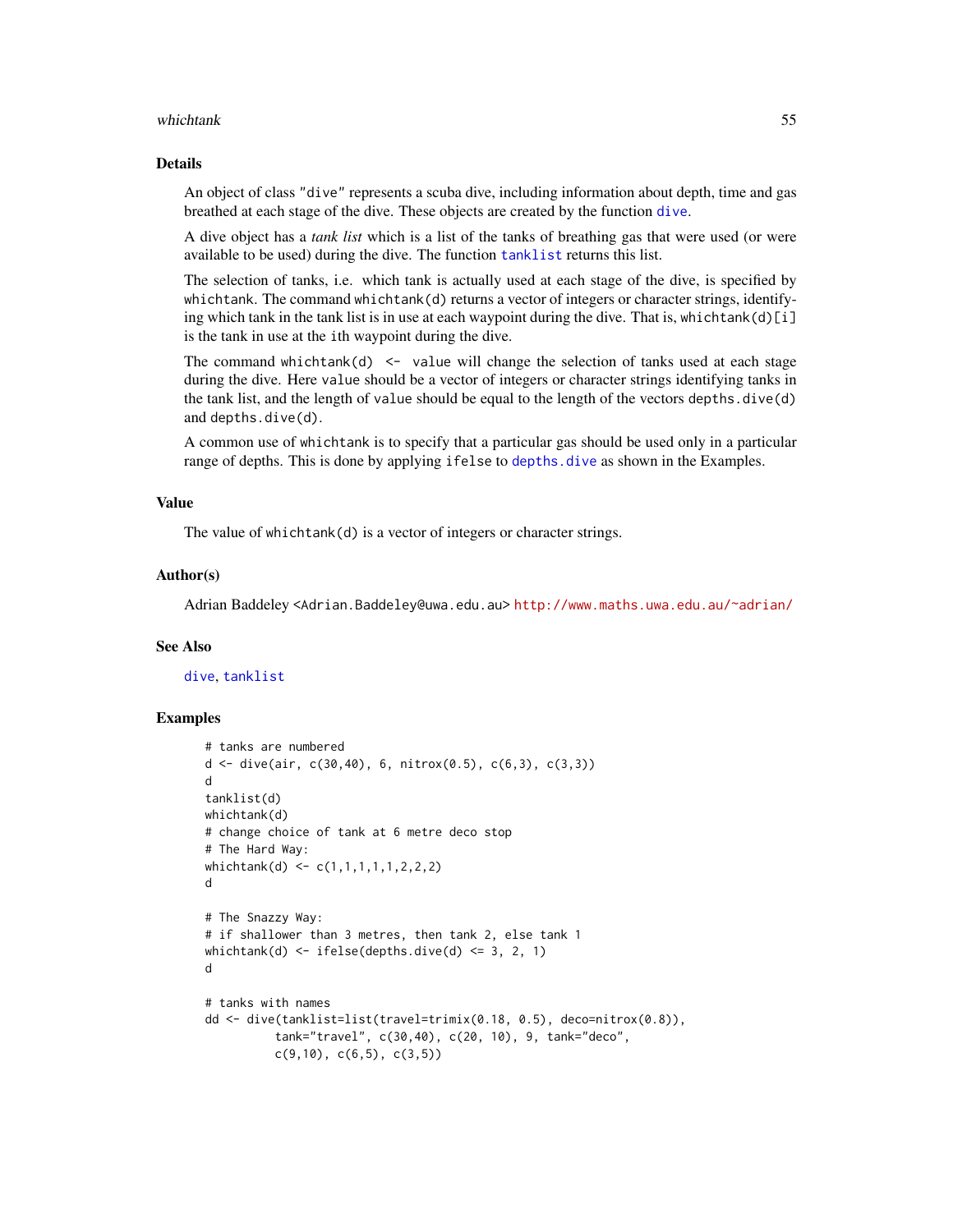#### <span id="page-54-0"></span>whichtank 55

## Details

An object of class "dive" represents a scuba dive, including information about depth, time and gas breathed at each stage of the dive. These objects are created by the function [dive](#page-19-1).

A dive object has a *tank list* which is a list of the tanks of breathing gas that were used (or were available to be used) during the dive. The function [tanklist](#page-50-1) returns this list.

The selection of tanks, i.e. which tank is actually used at each stage of the dive, is specified by whichtank. The command whichtank(d) returns a vector of integers or character strings, identifying which tank in the tank list is in use at each waypoint during the dive. That is, whichtank(d)[i] is the tank in use at the ith waypoint during the dive.

The command whichtank $(d)$  <- value will change the selection of tanks used at each stage during the dive. Here value should be a vector of integers or character strings identifying tanks in the tank list, and the length of value should be equal to the length of the vectors depths.dive(d) and depths.dive(d).

A common use of whichtank is to specify that a particular gas should be used only in a particular range of depths. This is done by applying ifelse to depths. dive as shown in the Examples.

## Value

The value of whichtank(d) is a vector of integers or character strings.

#### Author(s)

Adrian Baddeley <Adrian.Baddeley@uwa.edu.au> <http://www.maths.uwa.edu.au/~adrian/>

#### See Also

[dive](#page-19-1), [tanklist](#page-50-1)

```
# tanks are numbered
d <- dive(air, c(30,40), 6, nitrox(0.5), c(6,3), c(3,3))
d
tanklist(d)
whichtank(d)
# change choice of tank at 6 metre deco stop
# The Hard Way:
whichtank(d) <- c(1,1,1,1,1,2,2,2)
d
# The Snazzy Way:
# if shallower than 3 metres, then tank 2, else tank 1
whichtank(d) \le ifelse(depths.dive(d) \le 3, 2, 1)
d
# tanks with names
dd <- dive(tanklist=list(travel=trimix(0.18, 0.5), deco=nitrox(0.8)),
          tank="travel", c(30,40), c(20, 10), 9, tank="deco",
          c(9,10), c(6,5), c(3,5))
```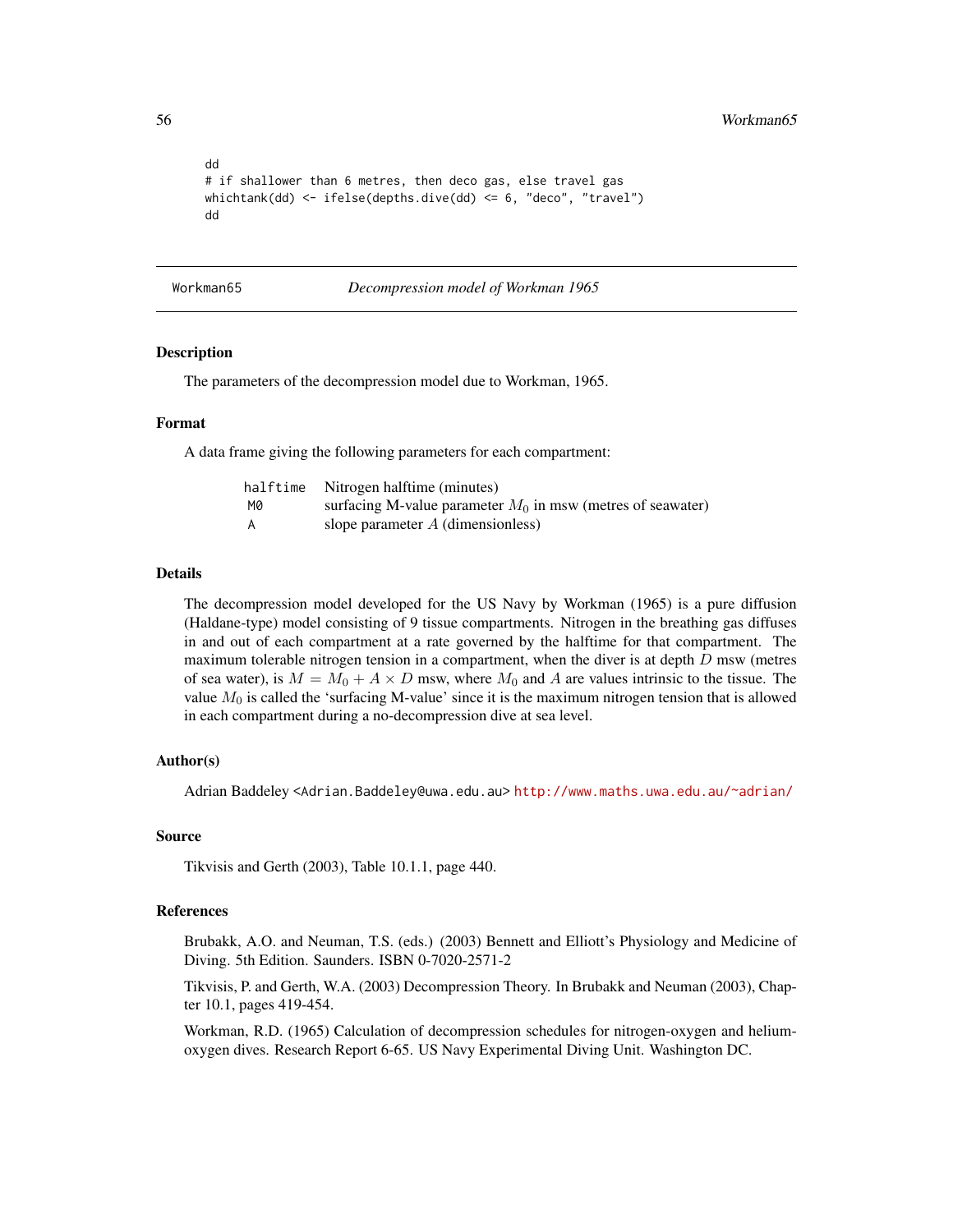```
dd
# if shallower than 6 metres, then deco gas, else travel gas
whichtank(dd) <- ifelse(depths.dive(dd) <= 6, "deco", "travel")
dd
```
<span id="page-55-1"></span>Workman65 *Decompression model of Workman 1965*

#### Description

The parameters of the decompression model due to Workman, 1965.

#### Format

A data frame giving the following parameters for each compartment:

| halftime | Nitrogen halftime (minutes)                                   |
|----------|---------------------------------------------------------------|
| M0       | surfacing M-value parameter $M_0$ in msw (metres of seawater) |
| A        | slope parameter $A$ (dimensionless)                           |

## Details

The decompression model developed for the US Navy by Workman (1965) is a pure diffusion (Haldane-type) model consisting of 9 tissue compartments. Nitrogen in the breathing gas diffuses in and out of each compartment at a rate governed by the halftime for that compartment. The maximum tolerable nitrogen tension in a compartment, when the diver is at depth  $D$  msw (metres of sea water), is  $M = M_0 + A \times D$  msw, where  $M_0$  and A are values intrinsic to the tissue. The value  $M_0$  is called the 'surfacing M-value' since it is the maximum nitrogen tension that is allowed in each compartment during a no-decompression dive at sea level.

## Author(s)

Adrian Baddeley <Adrian.Baddeley@uwa.edu.au> <http://www.maths.uwa.edu.au/~adrian/>

#### Source

Tikvisis and Gerth (2003), Table 10.1.1, page 440.

## References

Brubakk, A.O. and Neuman, T.S. (eds.) (2003) Bennett and Elliott's Physiology and Medicine of Diving. 5th Edition. Saunders. ISBN 0-7020-2571-2

Tikvisis, P. and Gerth, W.A. (2003) Decompression Theory. In Brubakk and Neuman (2003), Chapter 10.1, pages 419-454.

Workman, R.D. (1965) Calculation of decompression schedules for nitrogen-oxygen and heliumoxygen dives. Research Report 6-65. US Navy Experimental Diving Unit. Washington DC.

<span id="page-55-0"></span>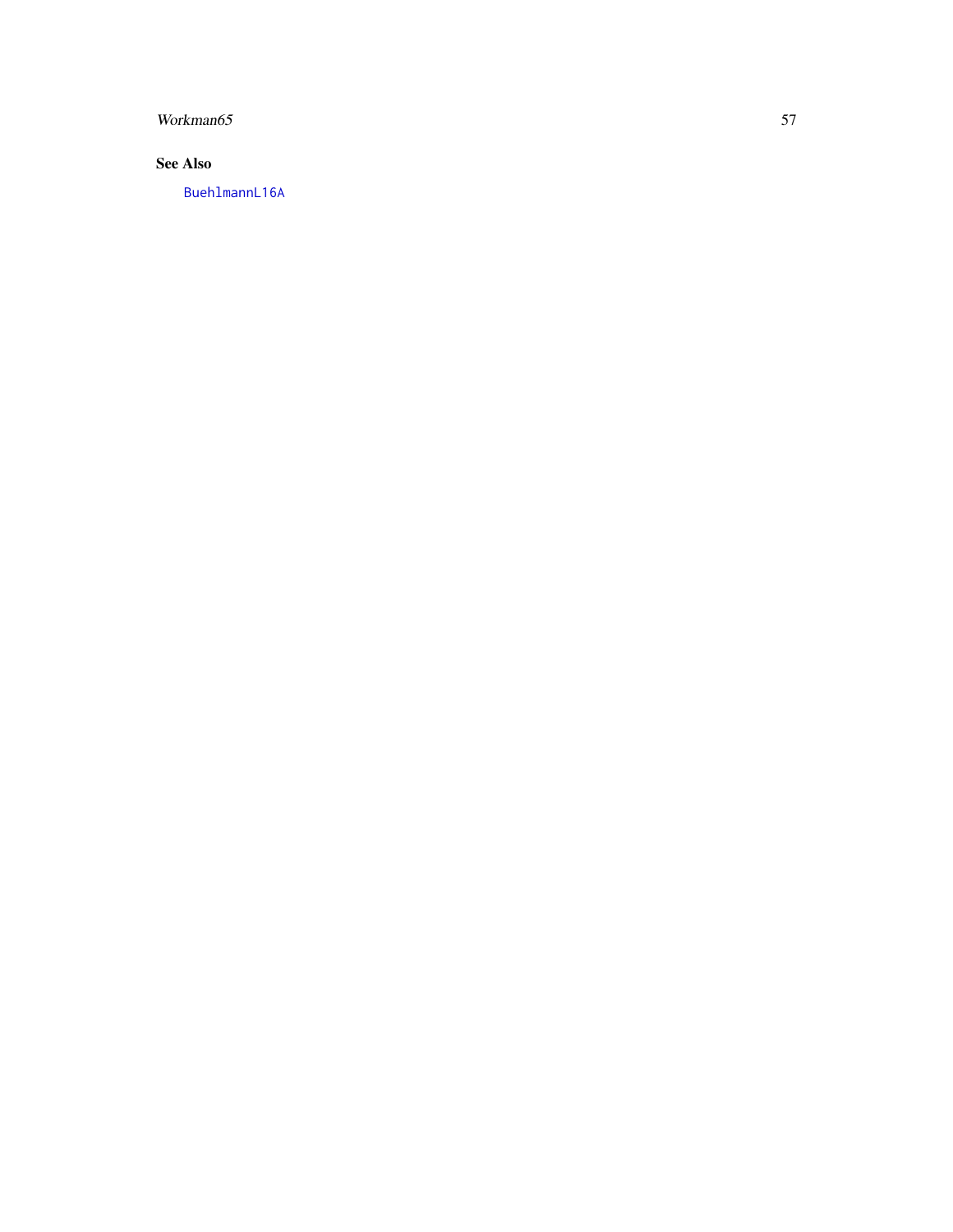## <span id="page-56-0"></span>Workman65 57

## See Also

[BuehlmannL16A](#page-12-1)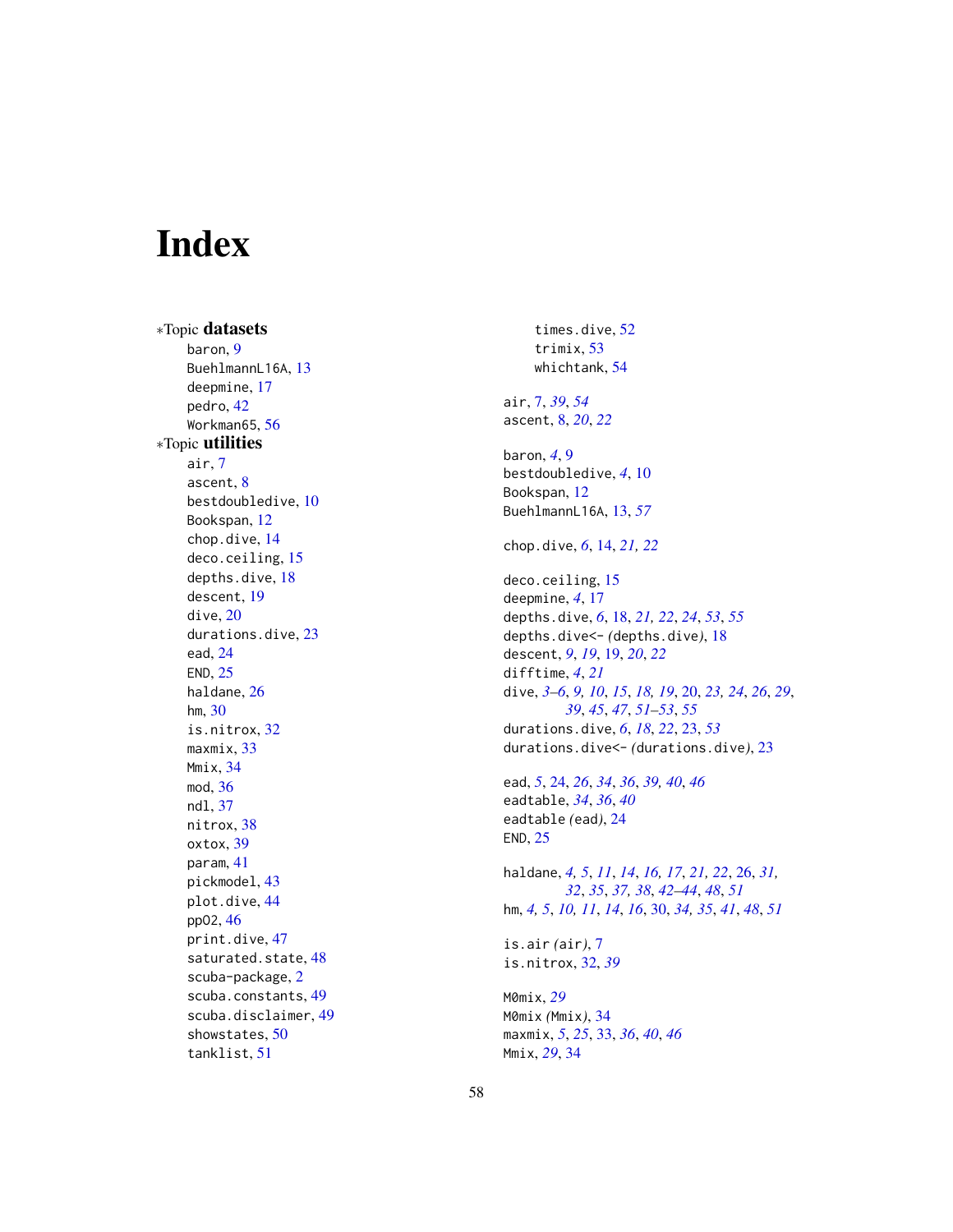# <span id="page-57-0"></span>Index

∗Topic datasets baron, [9](#page-8-0) BuehlmannL16A, [13](#page-12-0) deepmine, [17](#page-16-0) pedro, [42](#page-41-0) Workman65, [56](#page-55-0) ∗Topic utilities air, [7](#page-6-0) ascent, [8](#page-7-0) bestdoubledive, [10](#page-9-0) Bookspan, [12](#page-11-0) chop.dive, [14](#page-13-0) deco.ceiling, [15](#page-14-0) depths.dive, [18](#page-17-0) descent, [19](#page-18-0) dive, [20](#page-19-0) durations.dive, [23](#page-22-0) ead, [24](#page-23-0) END, [25](#page-24-0) haldane, [26](#page-25-0) hm, [30](#page-29-0) is.nitrox, [32](#page-31-0) maxmix, [33](#page-32-0) Mmix, [34](#page-33-0) mod, [36](#page-35-0) ndl, [37](#page-36-0) nitrox, [38](#page-37-0) oxtox, [39](#page-38-0) param, [41](#page-40-0) pickmodel, [43](#page-42-0) plot.dive, [44](#page-43-0) ppO2, [46](#page-45-0) print.dive, [47](#page-46-0) saturated.state, [48](#page-47-0) scuba-package, [2](#page-1-0) scuba.constants, [49](#page-48-0) scuba.disclaimer, [49](#page-48-0) showstates, [50](#page-49-0) tanklist, [51](#page-50-0)

times.dive, [52](#page-51-0) trimix, [53](#page-52-0) whichtank, [54](#page-53-0) air, [7,](#page-6-0) *[39](#page-38-0)*, *[54](#page-53-0)* ascent, [8,](#page-7-0) *[20](#page-19-0)*, *[22](#page-21-0)* baron, *[4](#page-3-0)*, [9](#page-8-0) bestdoubledive, *[4](#page-3-0)*, [10](#page-9-0) Bookspan, [12](#page-11-0) BuehlmannL16A, [13,](#page-12-0) *[57](#page-56-0)* chop.dive, *[6](#page-5-0)*, [14,](#page-13-0) *[21,](#page-20-0) [22](#page-21-0)* deco.ceiling, [15](#page-14-0) deepmine, *[4](#page-3-0)*, [17](#page-16-0) depths.dive, *[6](#page-5-0)*, [18,](#page-17-0) *[21,](#page-20-0) [22](#page-21-0)*, *[24](#page-23-0)*, *[53](#page-52-0)*, *[55](#page-54-0)* depths.dive<- *(*depths.dive*)*, [18](#page-17-0) descent, *[9](#page-8-0)*, *[19](#page-18-0)*, [19,](#page-18-0) *[20](#page-19-0)*, *[22](#page-21-0)* difftime, *[4](#page-3-0)*, *[21](#page-20-0)* dive, *[3–](#page-2-0)[6](#page-5-0)*, *[9,](#page-8-0) [10](#page-9-0)*, *[15](#page-14-0)*, *[18,](#page-17-0) [19](#page-18-0)*, [20,](#page-19-0) *[23,](#page-22-0) [24](#page-23-0)*, *[26](#page-25-0)*, *[29](#page-28-0)*, *[39](#page-38-0)*, *[45](#page-44-0)*, *[47](#page-46-0)*, *[51](#page-50-0)[–53](#page-52-0)*, *[55](#page-54-0)* durations.dive, *[6](#page-5-0)*, *[18](#page-17-0)*, *[22](#page-21-0)*, [23,](#page-22-0) *[53](#page-52-0)* durations.dive<- *(*durations.dive*)*, [23](#page-22-0) ead, *[5](#page-4-0)*, [24,](#page-23-0) *[26](#page-25-0)*, *[34](#page-33-0)*, *[36](#page-35-0)*, *[39,](#page-38-0) [40](#page-39-0)*, *[46](#page-45-0)* eadtable, *[34](#page-33-0)*, *[36](#page-35-0)*, *[40](#page-39-0)* eadtable *(*ead*)*, [24](#page-23-0) END, [25](#page-24-0) haldane, *[4,](#page-3-0) [5](#page-4-0)*, *[11](#page-10-0)*, *[14](#page-13-0)*, *[16,](#page-15-0) [17](#page-16-0)*, *[21,](#page-20-0) [22](#page-21-0)*, [26,](#page-25-0) *[31,](#page-30-0) [32](#page-31-0)*, *[35](#page-34-0)*, *[37,](#page-36-0) [38](#page-37-0)*, *[42](#page-41-0)[–44](#page-43-0)*, *[48](#page-47-0)*, *[51](#page-50-0)* hm, *[4,](#page-3-0) [5](#page-4-0)*, *[10,](#page-9-0) [11](#page-10-0)*, *[14](#page-13-0)*, *[16](#page-15-0)*, [30,](#page-29-0) *[34,](#page-33-0) [35](#page-34-0)*, *[41](#page-40-0)*, *[48](#page-47-0)*, *[51](#page-50-0)* is.air *(*air*)*, [7](#page-6-0) is.nitrox, [32,](#page-31-0) *[39](#page-38-0)* M0mix, *[29](#page-28-0)* M0mix *(*Mmix*)*, [34](#page-33-0) maxmix, *[5](#page-4-0)*, *[25](#page-24-0)*, [33,](#page-32-0) *[36](#page-35-0)*, *[40](#page-39-0)*, *[46](#page-45-0)* Mmix, *[29](#page-28-0)*, [34](#page-33-0)